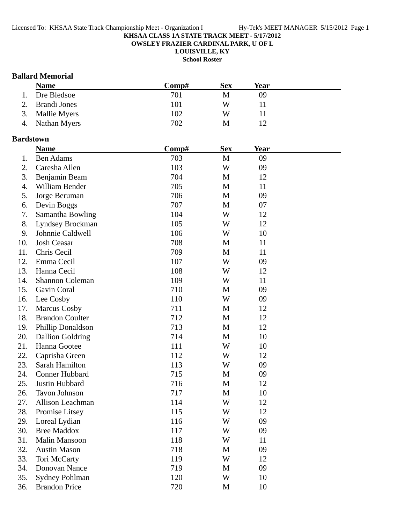**OWSLEY FRAZIER CARDINAL PARK, U OF L**

**LOUISVILLE, KY**

**School Roster**

### **Ballard Memorial**

|    | <b>Name</b>     | Comp# | <b>Sex</b> | Year |  |
|----|-----------------|-------|------------|------|--|
| 1. | Dre Bledsoe     | 701   | M          | 09   |  |
|    | 2. Brandi Jones | 101   | W          |      |  |
|    | 3. Mallie Myers | 102   | W          |      |  |
|    | 4. Nathan Myers | 702   | М          |      |  |

#### **Bardstown**

|     | <b>Name</b>             | Comp# | <b>Sex</b>   | <b>Year</b> |  |
|-----|-------------------------|-------|--------------|-------------|--|
| 1.  | <b>Ben Adams</b>        | 703   | $\mathbf{M}$ | 09          |  |
| 2.  | Caresha Allen           | 103   | W            | 09          |  |
| 3.  | Benjamin Beam           | 704   | $\mathbf M$  | 12          |  |
| 4.  | William Bender          | 705   | M            | 11          |  |
| 5.  | Jorge Beruman           | 706   | $\mathbf M$  | 09          |  |
| 6.  | Devin Boggs             | 707   | $\mathbf M$  | 07          |  |
| 7.  | Samantha Bowling        | 104   | W            | 12          |  |
| 8.  | Lyndsey Brockman        | 105   | W            | 12          |  |
| 9.  | Johnnie Caldwell        | 106   | W            | 10          |  |
| 10. | <b>Josh Ceasar</b>      | 708   | M            | 11          |  |
| 11. | Chris Cecil             | 709   | $\mathbf M$  | 11          |  |
| 12. | Emma Cecil              | 107   | W            | 09          |  |
| 13. | Hanna Cecil             | 108   | W            | 12          |  |
| 14. | Shannon Coleman         | 109   | W            | 11          |  |
| 15. | Gavin Coral             | 710   | M            | 09          |  |
| 16. | Lee Cosby               | 110   | W            | 09          |  |
| 17. | <b>Marcus Cosby</b>     | 711   | $\mathbf M$  | 12          |  |
| 18. | <b>Brandon Coulter</b>  | 712   | $\mathbf{M}$ | 12          |  |
| 19. | Phillip Donaldson       | 713   | M            | 12          |  |
| 20. | <b>Dallion Goldring</b> | 714   | $\mathbf{M}$ | 10          |  |
| 21. | Hanna Gootee            | 111   | W            | 10          |  |
| 22. | Caprisha Green          | 112   | W            | 12          |  |
| 23. | Sarah Hamilton          | 113   | W            | 09          |  |
| 24. | Conner Hubbard          | 715   | $\mathbf{M}$ | 09          |  |
| 25. | Justin Hubbard          | 716   | $\mathbf M$  | 12          |  |
| 26. | <b>Tavon Johnson</b>    | 717   | $\mathbf{M}$ | 10          |  |
| 27. | Allison Leachman        | 114   | W            | 12          |  |
| 28. | Promise Litsey          | 115   | W            | 12          |  |
| 29. | Loreal Lydian           | 116   | W            | 09          |  |
| 30. | <b>Bree Maddox</b>      | 117   | W            | 09          |  |
| 31. | Malin Mansoon           | 118   | W            | 11          |  |
| 32. | <b>Austin Mason</b>     | 718   | $\mathbf M$  | 09          |  |
| 33. | Tori McCarty            | 119   | W            | 12          |  |
| 34. | Donovan Nance           | 719   | $\mathbf M$  | 09          |  |
| 35. | Sydney Pohlman          | 120   | W            | 10          |  |
| 36. | <b>Brandon Price</b>    | 720   | M            | 10          |  |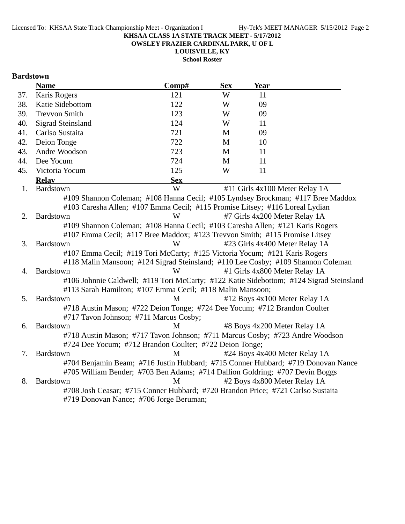**OWSLEY FRAZIER CARDINAL PARK, U OF L**

**LOUISVILLE, KY**

**School Roster**

### **Bardstown**

|     | <b>Name</b>                                                                               | Comp#      | <b>Sex</b> | Year                           |  |  |
|-----|-------------------------------------------------------------------------------------------|------------|------------|--------------------------------|--|--|
| 37. | Karis Rogers                                                                              | 121        | W          | 11                             |  |  |
| 38. | Katie Sidebottom                                                                          | 122        | W          | 09                             |  |  |
| 39. | <b>Trevvon Smith</b>                                                                      | 123        | W          | 09                             |  |  |
| 40. | <b>Sigrad Steinsland</b>                                                                  | 124        | W          | 11                             |  |  |
| 41. | Carlso Sustaita                                                                           | 721        | M          | 09                             |  |  |
| 42. | Deion Tonge                                                                               | 722        | M          | 10                             |  |  |
| 43. | Andre Woodson                                                                             | 723        | M          | 11                             |  |  |
| 44. | Dee Yocum                                                                                 | 724        | M          | 11                             |  |  |
| 45. | Victoria Yocum                                                                            | 125        | W          | 11                             |  |  |
|     | <b>Relay</b>                                                                              | <b>Sex</b> |            |                                |  |  |
| 1.  | Bardstown                                                                                 | W          |            | #11 Girls 4x100 Meter Relay 1A |  |  |
|     | #109 Shannon Coleman; #108 Hanna Cecil; #105 Lyndsey Brockman; #117 Bree Maddox           |            |            |                                |  |  |
|     | #103 Caresha Allen; #107 Emma Cecil; #115 Promise Litsey; #116 Loreal Lydian              |            |            |                                |  |  |
| 2.  | Bardstown                                                                                 | W          |            | #7 Girls 4x200 Meter Relay 1A  |  |  |
|     | #109 Shannon Coleman; #108 Hanna Cecil; #103 Caresha Allen; #121 Karis Rogers             |            |            |                                |  |  |
|     | #107 Emma Cecil; #117 Bree Maddox; #123 Trevvon Smith; #115 Promise Litsey                |            |            |                                |  |  |
| 3.  | Bardstown                                                                                 | W          |            | #23 Girls 4x400 Meter Relay 1A |  |  |
|     | #107 Emma Cecil; #119 Tori McCarty; #125 Victoria Yocum; #121 Karis Rogers                |            |            |                                |  |  |
|     | #118 Malin Mansoon; #124 Sigrad Steinsland; #110 Lee Cosby; #109 Shannon Coleman          |            |            |                                |  |  |
| 4.  | Bardstown                                                                                 | W          |            | #1 Girls 4x800 Meter Relay 1A  |  |  |
|     | #106 Johnnie Caldwell; #119 Tori McCarty; #122 Katie Sidebottom; #124 Sigrad Steinsland   |            |            |                                |  |  |
|     | #113 Sarah Hamilton; #107 Emma Cecil; #118 Malin Mansoon;                                 |            |            |                                |  |  |
| 5.  | Bardstown                                                                                 | M          |            | #12 Boys 4x100 Meter Relay 1A  |  |  |
|     | #718 Austin Mason; #722 Deion Tonge; #724 Dee Yocum; #712 Brandon Coulter                 |            |            |                                |  |  |
|     | #717 Tavon Johnson; #711 Marcus Cosby;                                                    |            |            |                                |  |  |
| 6.  | Bardstown                                                                                 | M          |            | #8 Boys 4x200 Meter Relay 1A   |  |  |
|     | #718 Austin Mason; #717 Tavon Johnson; #711 Marcus Cosby; #723 Andre Woodson              |            |            |                                |  |  |
|     | #724 Dee Yocum; #712 Brandon Coulter; #722 Deion Tonge;                                   |            |            |                                |  |  |
| 7.  | <b>Bardstown</b>                                                                          | M          |            | #24 Boys 4x400 Meter Relay 1A  |  |  |
|     | #704 Benjamin Beam; #716 Justin Hubbard; #715 Conner Hubbard; #719 Donovan Nance          |            |            |                                |  |  |
| 8.  | #705 William Bender; #703 Ben Adams; #714 Dallion Goldring; #707 Devin Boggs<br>Bardstown | M          |            | #2 Boys 4x800 Meter Relay 1A   |  |  |
|     | #708 Josh Ceasar; #715 Conner Hubbard; #720 Brandon Price; #721 Carlso Sustaita           |            |            |                                |  |  |
|     | #719 Donovan Nance; #706 Jorge Beruman;                                                   |            |            |                                |  |  |
|     |                                                                                           |            |            |                                |  |  |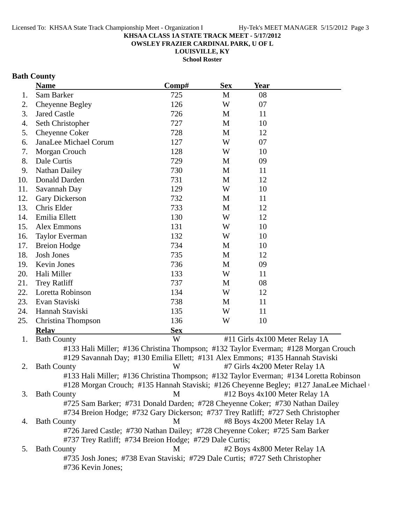**OWSLEY FRAZIER CARDINAL PARK, U OF L**

**LOUISVILLE, KY School Roster**

### **Bath County**

|     | <b>Name</b>                                                                           | Comp#      | <b>Sex</b> | <b>Year</b>                    |                                                                                      |
|-----|---------------------------------------------------------------------------------------|------------|------------|--------------------------------|--------------------------------------------------------------------------------------|
| 1.  | Sam Barker                                                                            | 725        | M          | 08                             |                                                                                      |
| 2.  | Cheyenne Begley                                                                       | 126        | W          | 07                             |                                                                                      |
| 3.  | <b>Jared Castle</b>                                                                   | 726        | M          | 11                             |                                                                                      |
| 4.  | Seth Christopher                                                                      | 727        | M          | 10                             |                                                                                      |
| 5.  | Cheyenne Coker                                                                        | 728        | M          | 12                             |                                                                                      |
| 6.  | JanaLee Michael Corum                                                                 | 127        | W          | 07                             |                                                                                      |
| 7.  | Morgan Crouch                                                                         | 128        | W          | 10                             |                                                                                      |
| 8.  | Dale Curtis                                                                           | 729        | M          | 09                             |                                                                                      |
| 9.  | <b>Nathan Dailey</b>                                                                  | 730        | M          | 11                             |                                                                                      |
| 10. | Donald Darden                                                                         | 731        | M          | 12                             |                                                                                      |
| 11. | Savannah Day                                                                          | 129        | W          | 10                             |                                                                                      |
| 12. | Gary Dickerson                                                                        | 732        | M          | 11                             |                                                                                      |
| 13. | Chris Elder                                                                           | 733        | M          | 12                             |                                                                                      |
| 14. | Emilia Ellett                                                                         | 130        | W          | 12                             |                                                                                      |
| 15. | Alex Emmons                                                                           | 131        | W          | 10                             |                                                                                      |
| 16. | <b>Taylor Everman</b>                                                                 | 132        | W          | 10                             |                                                                                      |
| 17. | <b>Breion Hodge</b>                                                                   | 734        | M          | 10                             |                                                                                      |
| 18. | <b>Josh Jones</b>                                                                     | 735        | M          | 12                             |                                                                                      |
| 19. | Kevin Jones                                                                           | 736        | M          | 09                             |                                                                                      |
| 20. | Hali Miller                                                                           | 133        | W          | 11                             |                                                                                      |
| 21. | <b>Trey Ratliff</b>                                                                   | 737        | M          | 08                             |                                                                                      |
| 22. | Loretta Robinson                                                                      | 134        | W          | 12                             |                                                                                      |
| 23. | Evan Staviski                                                                         | 738        | M          | 11                             |                                                                                      |
| 24. | Hannah Staviski                                                                       | 135        | W          | 11                             |                                                                                      |
| 25. | Christina Thompson                                                                    | 136        | W          | 10                             |                                                                                      |
|     | <b>Relav</b>                                                                          | <b>Sex</b> |            |                                |                                                                                      |
| 1.  | <b>Bath County</b>                                                                    | W          |            | #11 Girls 4x100 Meter Relay 1A |                                                                                      |
|     | #133 Hali Miller; #136 Christina Thompson; #132 Taylor Everman; #128 Morgan Crouch    |            |            |                                |                                                                                      |
|     | #129 Savannah Day; #130 Emilia Ellett; #131 Alex Emmons; #135 Hannah Staviski         |            |            |                                |                                                                                      |
| 2.  | <b>Bath County</b>                                                                    | W          |            | #7 Girls 4x200 Meter Relay 1A  |                                                                                      |
|     | #133 Hali Miller; #136 Christina Thompson; #132 Taylor Everman; #134 Loretta Robinson |            |            |                                |                                                                                      |
|     |                                                                                       |            |            |                                | #128 Morgan Crouch; #135 Hannah Staviski; #126 Cheyenne Begley; #127 JanaLee Michael |
| 3.  | <b>Bath County</b>                                                                    | M          |            | #12 Boys 4x100 Meter Relay 1A  |                                                                                      |
|     | #725 Sam Barker; #731 Donald Darden; #728 Cheyenne Coker; #730 Nathan Dailey          |            |            |                                |                                                                                      |
|     | #734 Breion Hodge; #732 Gary Dickerson; #737 Trey Ratliff; #727 Seth Christopher      |            |            |                                |                                                                                      |
| 4.  | <b>Bath County</b>                                                                    | M          |            | #8 Boys 4x200 Meter Relay 1A   |                                                                                      |
|     | #726 Jared Castle; #730 Nathan Dailey; #728 Cheyenne Coker; #725 Sam Barker           |            |            |                                |                                                                                      |
|     | #737 Trey Ratliff; #734 Breion Hodge; #729 Dale Curtis;                               |            |            |                                |                                                                                      |
| 5.  | <b>Bath County</b>                                                                    | M          |            | #2 Boys 4x800 Meter Relay 1A   |                                                                                      |
|     | #735 Josh Jones; #738 Evan Staviski; #729 Dale Curtis; #727 Seth Christopher          |            |            |                                |                                                                                      |
|     | #736 Kevin Jones;                                                                     |            |            |                                |                                                                                      |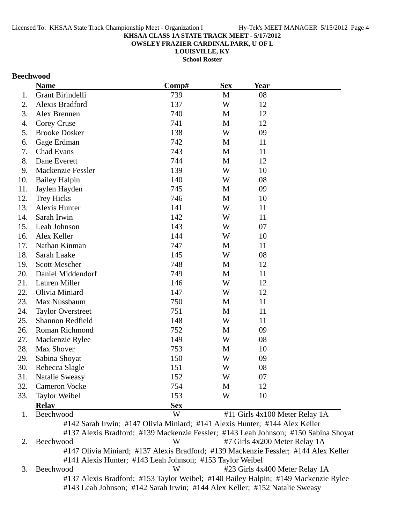**OWSLEY FRAZIER CARDINAL PARK, U OF L**

**LOUISVILLE, KY**

**School Roster**

### **Beechwood**

|     | <b>Name</b>              | Comp#      | <b>Sex</b> | <b>Year</b>                                                                         |  |
|-----|--------------------------|------------|------------|-------------------------------------------------------------------------------------|--|
| 1.  | Grant Birindelli         | 739        | M          | 08                                                                                  |  |
| 2.  | Alexis Bradford          | 137        | W          | 12                                                                                  |  |
| 3.  | Alex Brennen             | 740        | M          | 12                                                                                  |  |
| 4.  | Corey Cruse              | 741        | M          | 12                                                                                  |  |
| 5.  | <b>Brooke Dosker</b>     | 138        | W          | 09                                                                                  |  |
| 6.  | Gage Erdman              | 742        | M          | 11                                                                                  |  |
| 7.  | Chad Evans               | 743        | M          | 11                                                                                  |  |
| 8.  | Dane Everett             | 744        | M          | 12                                                                                  |  |
| 9.  | <b>Mackenzie Fessler</b> | 139        | W          | 10                                                                                  |  |
| 10. | <b>Bailey Halpin</b>     | 140        | W          | 08                                                                                  |  |
| 11. | Jaylen Hayden            | 745        | M          | 09                                                                                  |  |
| 12. | <b>Trey Hicks</b>        | 746        | M          | 10                                                                                  |  |
| 13. | <b>Alexis Hunter</b>     | 141        | W          | 11                                                                                  |  |
| 14. | Sarah Irwin              | 142        | W          | 11                                                                                  |  |
| 15. | Leah Johnson             | 143        | W          | 07                                                                                  |  |
| 16. | Alex Keller              | 144        | W          | 10                                                                                  |  |
| 17. | Nathan Kinman            | 747        | M          | 11                                                                                  |  |
| 18. | Sarah Laake              | 145        | W          | 08                                                                                  |  |
| 19. | <b>Scott Mescher</b>     | 748        | M          | 12                                                                                  |  |
| 20. | Daniel Middendorf        | 749        | M          | 11                                                                                  |  |
| 21. | Lauren Miller            | 146        | W          | 12                                                                                  |  |
| 22. | Olivia Miniard           | 147        | W          | 12                                                                                  |  |
| 23. | Max Nussbaum             | 750        | M          | 11                                                                                  |  |
| 24. | <b>Taylor Overstreet</b> | 751        | M          | 11                                                                                  |  |
| 25. | Shannon Redfield         | 148        | W          | 11                                                                                  |  |
| 26. | Roman Richmond           | 752        | M          | 09                                                                                  |  |
| 27. | Mackenzie Rylee          | 149        | W          | 08                                                                                  |  |
| 28. | Max Shover               | 753        | M          | 10                                                                                  |  |
| 29. | Sabina Shoyat            | 150        | W          | 09                                                                                  |  |
| 30. | Rebecca Slagle           | 151        | W          | 08                                                                                  |  |
| 31. | <b>Natalie Sweasy</b>    | 152        | W          | 07                                                                                  |  |
| 32. | <b>Cameron Vocke</b>     | 754        | M          | 12                                                                                  |  |
| 33. | <b>Taylor Weibel</b>     | 153        | W          | 10                                                                                  |  |
|     | <b>Relay</b>             | <b>Sex</b> |            |                                                                                     |  |
| 1.  | Beechwood                | W          |            | #11 Girls 4x100 Meter Relay 1A                                                      |  |
|     |                          |            |            | #142 Sarah Irwin; #147 Olivia Miniard; #141 Alexis Hunter; #144 Alex Keller         |  |
|     |                          |            |            | #137 Alexis Bradford; #139 Mackenzie Fessler; #143 Leah Johnson; #150 Sabina Shoyat |  |
| 2.  | Beechwood                | W          |            | #7 Girls 4x200 Meter Relay 1A                                                       |  |

#147 Olivia Miniard; #137 Alexis Bradford; #139 Mackenzie Fessler; #144 Alex Keller #141 Alexis Hunter; #143 Leah Johnson; #153 Taylor Weibel

3. Beechwood W #23 Girls 4x400 Meter Relay 1A #137 Alexis Bradford; #153 Taylor Weibel; #140 Bailey Halpin; #149 Mackenzie Rylee #143 Leah Johnson; #142 Sarah Irwin; #144 Alex Keller; #152 Natalie Sweasy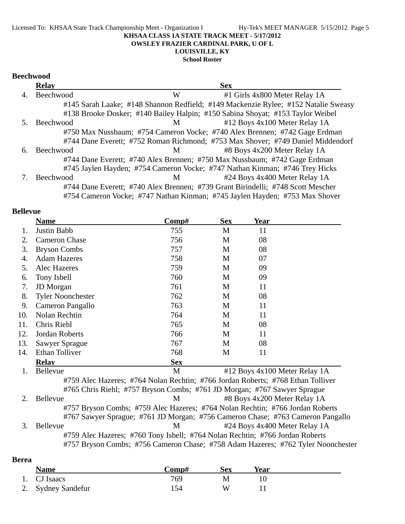**School Roster**

## **Beechwood**

|    | <b>Relay</b> |                                                                                 | <b>Sex</b>                                                                         |
|----|--------------|---------------------------------------------------------------------------------|------------------------------------------------------------------------------------|
| 4. | Beechwood    | W                                                                               | #1 Girls 4x800 Meter Relay 1A                                                      |
|    |              |                                                                                 | #145 Sarah Laake; #148 Shannon Redfield; #149 Mackenzie Rylee; #152 Natalie Sweasy |
|    |              | #138 Brooke Dosker; #140 Bailey Halpin; #150 Sabina Shoyat; #153 Taylor Weibel  |                                                                                    |
|    | Beechwood    | M                                                                               | $#12$ Boys 4x100 Meter Relay 1A                                                    |
|    |              |                                                                                 | #750 Max Nussbaum; #754 Cameron Vocke; #740 Alex Brennen; #742 Gage Erdman         |
|    |              |                                                                                 | #744 Dane Everett; #752 Roman Richmond; #753 Max Shover; #749 Daniel Middendorf    |
| 6. | Beechwood    | M                                                                               | #8 Boys 4x200 Meter Relay 1A                                                       |
|    |              | #744 Dane Everett; #740 Alex Brennen; #750 Max Nussbaum; #742 Gage Erdman       |                                                                                    |
|    |              | #745 Jaylen Hayden; #754 Cameron Vocke; #747 Nathan Kinman; #746 Trey Hicks     |                                                                                    |
|    | Beechwood    | M                                                                               | #24 Boys 4x400 Meter Relay 1A                                                      |
|    |              | #744 Dane Everett; #740 Alex Brennen; #739 Grant Birindelli; #748 Scott Mescher |                                                                                    |
|    |              |                                                                                 | #754 Cameron Vocke; #747 Nathan Kinman; #745 Jaylen Hayden; #753 Max Shover        |

### **Bellevue**

|     | <b>Name</b>                                                                      | Comp#      | <b>Sex</b> | <b>Year</b>                   |  |
|-----|----------------------------------------------------------------------------------|------------|------------|-------------------------------|--|
| 1.  | Justin Babb                                                                      | 755        | M          | 11                            |  |
| 2.  | <b>Cameron Chase</b>                                                             | 756        | M          | 08                            |  |
| 3.  | <b>Bryson Combs</b>                                                              | 757        | M          | 08                            |  |
| 4.  | <b>Adam Hazeres</b>                                                              | 758        | M          | 07                            |  |
| 5.  | Alec Hazeres                                                                     | 759        | M          | 09                            |  |
| 6.  | Tony Isbell                                                                      | 760        | M          | 09                            |  |
| 7.  | JD Morgan                                                                        | 761        | M          | 11                            |  |
| 8.  | <b>Tyler Noonchester</b>                                                         | 762        | M          | 08                            |  |
| 9.  | Cameron Pangallo                                                                 | 763        | M          | 11                            |  |
| 10. | Nolan Rechtin                                                                    | 764        | M          | 11                            |  |
| 11. | Chris Riehl                                                                      | 765        | M          | 08                            |  |
| 12. | Jordan Roberts                                                                   | 766        | M          | 11                            |  |
| 13. | <b>Sawyer Sprague</b>                                                            | 767        | M          | 08                            |  |
| 14. | <b>Ethan Tolliver</b>                                                            | 768        | M          | 11                            |  |
|     | <b>Relay</b>                                                                     | <b>Sex</b> |            |                               |  |
| 1.  | Bellevue                                                                         | M          |            | #12 Boys 4x100 Meter Relay 1A |  |
|     | #759 Alec Hazeres; #764 Nolan Rechtin; #766 Jordan Roberts; #768 Ethan Tolliver  |            |            |                               |  |
|     | #765 Chris Riehl; #757 Bryson Combs; #761 JD Morgan; #767 Sawyer Sprague         |            |            |                               |  |
| 2.  | Bellevue                                                                         | M          |            | #8 Boys 4x200 Meter Relay 1A  |  |
|     | #757 Bryson Combs; #759 Alec Hazeres; #764 Nolan Rechtin; #766 Jordan Roberts    |            |            |                               |  |
|     | #767 Sawyer Sprague; #761 JD Morgan; #756 Cameron Chase; #763 Cameron Pangallo   |            |            |                               |  |
| 3.  | Bellevue                                                                         | M          |            | #24 Boys 4x400 Meter Relay 1A |  |
|     | #759 Alec Hazeres; #760 Tony Isbell; #764 Nolan Rechtin; #766 Jordan Roberts     |            |            |                               |  |
|     | #757 Bryson Combs; #756 Cameron Chase; #758 Adam Hazeres; #762 Tyler Noonchester |            |            |                               |  |

| <b>Berea</b> |                    |       |     |      |  |
|--------------|--------------------|-------|-----|------|--|
|              | <b>Name</b>        | Comp# | Sex | Year |  |
|              | 1. CJ Isaacs       | 769   | M   |      |  |
|              | 2. Sydney Sandefur | 54    | W   |      |  |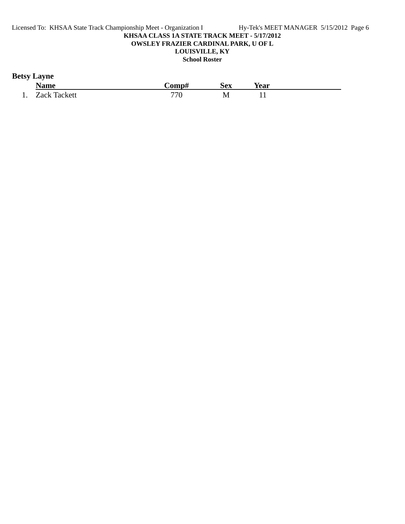### **Betsy Layne**

|     | Name                | `omp# | Sex | Year |  |
|-----|---------------------|-------|-----|------|--|
| . . | <b>Zack Tackett</b> | 770   | IVI | . .  |  |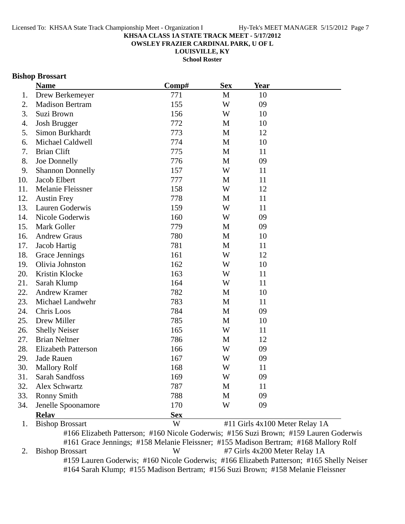**OWSLEY FRAZIER CARDINAL PARK, U OF L**

**LOUISVILLE, KY**

**School Roster**

### **Bishop Brossart**

|     | <b>Name</b>                | Comp#      | <b>Sex</b>   | <b>Year</b>                    |  |
|-----|----------------------------|------------|--------------|--------------------------------|--|
| 1.  | Drew Berkemeyer            | 771        | $\mathbf{M}$ | 10                             |  |
| 2.  | <b>Madison Bertram</b>     | 155        | W            | 09                             |  |
| 3.  | Suzi Brown                 | 156        | W            | 10                             |  |
| 4.  | <b>Josh Brugger</b>        | 772        | M            | 10                             |  |
| 5.  | Simon Burkhardt            | 773        | M            | 12                             |  |
| 6.  | Michael Caldwell           | 774        | M            | 10                             |  |
| 7.  | <b>Brian Clift</b>         | 775        | M            | 11                             |  |
| 8.  | Joe Donnelly               | 776        | M            | 09                             |  |
| 9.  | <b>Shannon Donnelly</b>    | 157        | W            | 11                             |  |
| 10. | Jacob Elbert               | 777        | M            | 11                             |  |
| 11. | Melanie Fleissner          | 158        | W            | 12                             |  |
| 12. | <b>Austin Frey</b>         | 778        | M            | 11                             |  |
| 13. | Lauren Goderwis            | 159        | W            | 11                             |  |
| 14. | Nicole Goderwis            | 160        | W            | 09                             |  |
| 15. | Mark Goller                | 779        | M            | 09                             |  |
| 16. | <b>Andrew Graus</b>        | 780        | M            | 10                             |  |
| 17. | Jacob Hartig               | 781        | M            | 11                             |  |
| 18. | Grace Jennings             | 161        | W            | 12                             |  |
| 19. | Olivia Johnston            | 162        | W            | 10                             |  |
| 20. | Kristin Klocke             | 163        | W            | 11                             |  |
| 21. | Sarah Klump                | 164        | W            | 11                             |  |
| 22. | <b>Andrew Kramer</b>       | 782        | M            | 10                             |  |
| 23. | Michael Landwehr           | 783        | M            | 11                             |  |
| 24. | Chris Loos                 | 784        | M            | 09                             |  |
| 25. | Drew Miller                | 785        | M            | 10                             |  |
| 26. | <b>Shelly Neiser</b>       | 165        | W            | 11                             |  |
| 27. | <b>Brian Neltner</b>       | 786        | M            | 12                             |  |
| 28. | <b>Elizabeth Patterson</b> | 166        | W            | 09                             |  |
| 29. | Jade Rauen                 | 167        | W            | 09                             |  |
| 30. | <b>Mallory Rolf</b>        | 168        | W            | 11                             |  |
| 31. | Sarah Sandfoss             | 169        | W            | 09                             |  |
| 32. | Alex Schwartz              | 787        | M            | 11                             |  |
| 33. | <b>Ronny Smith</b>         | 788        | M            | 09                             |  |
| 34. | Jenelle Spoonamore         | 170        | W            | 09                             |  |
|     | <b>Relay</b>               | <b>Sex</b> |              |                                |  |
| 1.  | <b>Bishop Brossart</b>     | W          |              | #11 Girls 4x100 Meter Relay 1A |  |

#166 Elizabeth Patterson; #160 Nicole Goderwis; #156 Suzi Brown; #159 Lauren Goderwis #161 Grace Jennings; #158 Melanie Fleissner; #155 Madison Bertram; #168 Mallory Rolf 2. Bishop Brossart W #7 Girls 4x200 Meter Relay 1A #159 Lauren Goderwis; #160 Nicole Goderwis; #166 Elizabeth Patterson; #165 Shelly Neiser #164 Sarah Klump; #155 Madison Bertram; #156 Suzi Brown; #158 Melanie Fleissner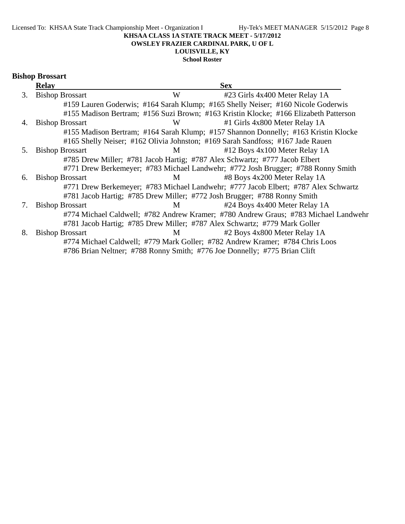#### **KHSAA CLASS 1A STATE TRACK MEET - 5/17/2012 OWSLEY FRAZIER CARDINAL PARK, U OF L**

### **LOUISVILLE, KY**

**School Roster**

| <b>Bishop Brossart</b> |
|------------------------|
| Relay                  |

|    | <b>Relay</b>           |   | <b>Sex</b>                                                                           |  |
|----|------------------------|---|--------------------------------------------------------------------------------------|--|
| 3. | <b>Bishop Brossart</b> | W | #23 Girls 4x400 Meter Relay 1A                                                       |  |
|    |                        |   | #159 Lauren Goderwis; #164 Sarah Klump; #165 Shelly Neiser; #160 Nicole Goderwis     |  |
|    |                        |   | #155 Madison Bertram; #156 Suzi Brown; #163 Kristin Klocke; #166 Elizabeth Patterson |  |
| 4. | <b>Bishop Brossart</b> | W | #1 Girls 4x800 Meter Relay 1A                                                        |  |
|    |                        |   | #155 Madison Bertram; #164 Sarah Klump; #157 Shannon Donnelly; #163 Kristin Klocke   |  |
|    |                        |   | #165 Shelly Neiser; #162 Olivia Johnston; #169 Sarah Sandfoss; #167 Jade Rauen       |  |
| 5. | <b>Bishop Brossart</b> | M | #12 Boys 4x100 Meter Relay 1A                                                        |  |
|    |                        |   | #785 Drew Miller; #781 Jacob Hartig; #787 Alex Schwartz; #777 Jacob Elbert           |  |
|    |                        |   | #771 Drew Berkemeyer; #783 Michael Landwehr; #772 Josh Brugger; #788 Ronny Smith     |  |
| 6. | <b>Bishop Brossart</b> | M | #8 Boys 4x200 Meter Relay 1A                                                         |  |
|    |                        |   | #771 Drew Berkemeyer; #783 Michael Landwehr; #777 Jacob Elbert; #787 Alex Schwartz   |  |
|    |                        |   | #781 Jacob Hartig; #785 Drew Miller; #772 Josh Brugger; #788 Ronny Smith             |  |
| 7. | <b>Bishop Brossart</b> | M | #24 Boys 4x400 Meter Relay 1A                                                        |  |
|    |                        |   | #774 Michael Caldwell; #782 Andrew Kramer; #780 Andrew Graus; #783 Michael Landwehr  |  |
|    |                        |   | #781 Jacob Hartig; #785 Drew Miller; #787 Alex Schwartz; #779 Mark Goller            |  |
| 8. | <b>Bishop Brossart</b> | M | #2 Boys 4x800 Meter Relay 1A                                                         |  |
|    |                        |   | #774 Michael Caldwell; #779 Mark Goller; #782 Andrew Kramer; #784 Chris Loos         |  |
|    |                        |   | #786 Brian Neltner; #788 Ronny Smith; #776 Joe Donnelly; #775 Brian Clift            |  |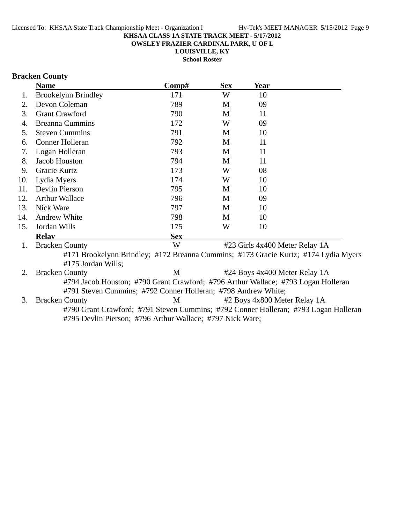**OWSLEY FRAZIER CARDINAL PARK, U OF L**

**LOUISVILLE, KY**

**School Roster**

### **Bracken County**

|     | <b>Name</b>                                                                       | $\bf Comp\#$ | <b>Sex</b> | Year |                                                                                     |
|-----|-----------------------------------------------------------------------------------|--------------|------------|------|-------------------------------------------------------------------------------------|
| 1.  | <b>Brookelynn Brindley</b>                                                        | 171          | W          | 10   |                                                                                     |
| 2.  | Devon Coleman                                                                     | 789          | M          | 09   |                                                                                     |
| 3.  | <b>Grant Crawford</b>                                                             | 790          | M          | 11   |                                                                                     |
| 4.  | <b>Breanna Cummins</b>                                                            | 172          | W          | 09   |                                                                                     |
| 5.  | <b>Steven Cummins</b>                                                             | 791          | M          | 10   |                                                                                     |
| 6.  | Conner Holleran                                                                   | 792          | M          | 11   |                                                                                     |
| 7.  | Logan Holleran                                                                    | 793          | M          | 11   |                                                                                     |
| 8.  | Jacob Houston                                                                     | 794          | M          | 11   |                                                                                     |
| 9.  | Gracie Kurtz                                                                      | 173          | W          | 08   |                                                                                     |
| 10. | Lydia Myers                                                                       | 174          | W          | 10   |                                                                                     |
| 11. | Devlin Pierson                                                                    | 795          | M          | 10   |                                                                                     |
| 12. | <b>Arthur Wallace</b>                                                             | 796          | M          | 09   |                                                                                     |
| 13. | Nick Ware                                                                         | 797          | M          | 10   |                                                                                     |
| 14. | <b>Andrew White</b>                                                               | 798          | M          | 10   |                                                                                     |
| 15. | Jordan Wills                                                                      | 175          | W          | 10   |                                                                                     |
|     | <b>Relav</b>                                                                      | <b>Sex</b>   |            |      |                                                                                     |
| 1.  | <b>Bracken County</b>                                                             | W            |            |      | #23 Girls 4x400 Meter Relay 1A                                                      |
|     | #175 Jordan Wills;                                                                |              |            |      | #171 Brookelynn Brindley; #172 Breanna Cummins; #173 Gracie Kurtz; #174 Lydia Myers |
| 2.  | <b>Bracken County</b>                                                             | M            |            |      | #24 Boys 4x400 Meter Relay 1A                                                       |
|     | #794 Jacob Houston; #790 Grant Crawford; #796 Arthur Wallace; #793 Logan Holleran |              |            |      |                                                                                     |
|     | #791 Steven Cummins; #792 Conner Holleran; #798 Andrew White;                     |              |            |      |                                                                                     |
| 3.  | <b>Bracken County</b>                                                             | M            |            |      | #2 Boys 4x800 Meter Relay 1A                                                        |
|     | #795 Devlin Pierson; #796 Arthur Wallace; #797 Nick Ware;                         |              |            |      | #790 Grant Crawford; #791 Steven Cummins; #792 Conner Holleran; #793 Logan Holleran |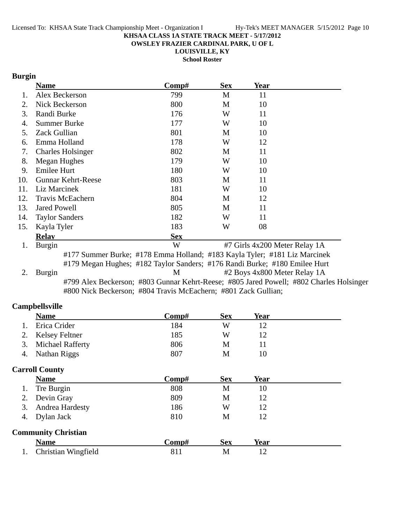**OWSLEY FRAZIER CARDINAL PARK, U OF L**

**LOUISVILLE, KY**

**School Roster**

### **Burgin**

|     | <b>Name</b>           |                           | Comp#                                                                                   | <b>Sex</b> | Year                          |  |
|-----|-----------------------|---------------------------|-----------------------------------------------------------------------------------------|------------|-------------------------------|--|
| 1.  |                       | Alex Beckerson            | 799                                                                                     | M          | 11                            |  |
| 2.  |                       | Nick Beckerson            | 800                                                                                     | M          | 10                            |  |
| 3.  | Randi Burke           |                           | 176                                                                                     | W          | 11                            |  |
| 4.  | <b>Summer Burke</b>   |                           | 177                                                                                     | W          | 10                            |  |
| 5.  | Zack Gullian          |                           | 801                                                                                     | M          | 10                            |  |
| 6.  | Emma Holland          |                           | 178                                                                                     | W          | 12                            |  |
| 7.  |                       | <b>Charles Holsinger</b>  | 802                                                                                     | M          | 11                            |  |
| 8.  | Megan Hughes          |                           | 179                                                                                     | W          | 10                            |  |
| 9.  | Emilee Hurt           |                           | 180                                                                                     | W          | 10                            |  |
| 10. |                       | <b>Gunnar Kehrt-Reese</b> | 803                                                                                     | M          | 11                            |  |
| 11. | Liz Marcinek          |                           | 181                                                                                     | W          | 10                            |  |
| 12. |                       | <b>Travis McEachern</b>   | 804                                                                                     | M          | 12                            |  |
| 13. | <b>Jared Powell</b>   |                           | 805                                                                                     | M          | 11                            |  |
| 14. | <b>Taylor Sanders</b> |                           | 182                                                                                     | W          | 11                            |  |
| 15. | Kayla Tyler           |                           | 183                                                                                     | W          | 08                            |  |
|     | <b>Relay</b>          |                           | <b>Sex</b>                                                                              |            |                               |  |
| 1.  | Burgin                |                           | W                                                                                       |            | #7 Girls 4x200 Meter Relay 1A |  |
|     |                       |                           | #177 Summer Burke; #178 Emma Holland; #183 Kayla Tyler; #181 Liz Marcinek               |            |                               |  |
|     |                       |                           | #179 Megan Hughes; #182 Taylor Sanders; #176 Randi Burke; #180 Emilee Hurt              |            |                               |  |
| 2.  | Burgin                |                           | M                                                                                       |            | #2 Boys 4x800 Meter Relay 1A  |  |
|     |                       |                           | #799 Alex Beckerson; #803 Gunnar Kehrt-Reese; #805 Jared Powell; #802 Charles Holsinger |            |                               |  |
|     |                       |                           | #800 Nick Beckerson; #804 Travis McEachern; #801 Zack Gullian;                          |            |                               |  |
|     |                       |                           |                                                                                         |            |                               |  |

### **Campbellsville**

|    | <b>Name</b>         | Comp# | Sex | Year |
|----|---------------------|-------|-----|------|
|    | Erica Crider        | 184   | W   |      |
|    | 2. Kelsey Feltner   | 185   | W   |      |
|    | 3. Michael Rafferty | 806   | M   |      |
| 4. | Nathan Riggs        | 807   | M   | 10   |
|    |                     |       |     |      |

### **Carroll County**

| <b>Name</b>                | Comp# | <b>Sex</b> | Year |  |
|----------------------------|-------|------------|------|--|
| Tre Burgin                 | 808   | M          | 10   |  |
| 2. Devin Gray              | 809   | М          | 12   |  |
| 3. Andrea Hardesty         | 186   | W          | 12   |  |
| 4. Dylan Jack              | 810   | M          | 12   |  |
| <b>Community Christian</b> |       |            |      |  |
| <b>Name</b>                | Comp# | <b>Sex</b> | Year |  |
| Christian Wingfield        | 811   | M          | 12   |  |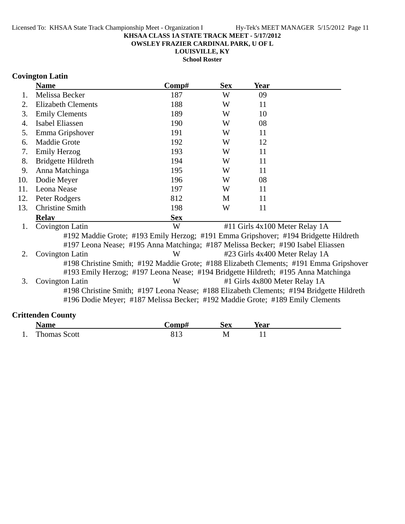**OWSLEY FRAZIER CARDINAL PARK, U OF L**

**LOUISVILLE, KY**

**School Roster**

### **Covington Latin**

|     | <b>Name</b>                                                                                                                                                                 | Comp#      | <b>Sex</b> | Year                           |  |
|-----|-----------------------------------------------------------------------------------------------------------------------------------------------------------------------------|------------|------------|--------------------------------|--|
| 1.  | Melissa Becker                                                                                                                                                              | 187        | W          | 09                             |  |
| 2.  | <b>Elizabeth Clements</b>                                                                                                                                                   | 188        | W          | 11                             |  |
| 3.  | <b>Emily Clements</b>                                                                                                                                                       | 189        | W          | 10                             |  |
| 4.  | Isabel Eliassen                                                                                                                                                             | 190        | W          | 08                             |  |
| 5.  | Emma Gripshover                                                                                                                                                             | 191        | W          | 11                             |  |
| 6.  | <b>Maddie Grote</b>                                                                                                                                                         | 192        | W          | 12                             |  |
| 7.  | <b>Emily Herzog</b>                                                                                                                                                         | 193        | W          | 11                             |  |
| 8.  | Bridgette Hildreth                                                                                                                                                          | 194        | W          | 11                             |  |
| 9.  | Anna Matchinga                                                                                                                                                              | 195        | W          | 11                             |  |
| 10. | Dodie Meyer                                                                                                                                                                 | 196        | W          | 08                             |  |
| 11. | Leona Nease                                                                                                                                                                 | 197        | W          | 11                             |  |
| 12. | Peter Rodgers                                                                                                                                                               | 812        | M          | 11                             |  |
| 13. | <b>Christine Smith</b>                                                                                                                                                      | 198        | W          | 11                             |  |
|     | <b>Relay</b>                                                                                                                                                                | <b>Sex</b> |            |                                |  |
| 1.  | Covington Latin                                                                                                                                                             | W          |            | #11 Girls 4x100 Meter Relay 1A |  |
|     | #192 Maddie Grote; #193 Emily Herzog; #191 Emma Gripshover; #194 Bridgette Hildreth<br>#197 Leona Nease; #195 Anna Matchinga; #187 Melissa Becker; #190 Isabel Eliassen     |            |            |                                |  |
| 2.  | Covington Latin                                                                                                                                                             | W          |            | #23 Girls 4x400 Meter Relay 1A |  |
|     | #198 Christine Smith; #192 Maddie Grote; #188 Elizabeth Clements; #191 Emma Gripshover<br>#193 Emily Herzog; #197 Leona Nease; #194 Bridgette Hildreth; #195 Anna Matchinga |            |            |                                |  |
| 3.  | Covington Latin                                                                                                                                                             | W          |            | #1 Girls 4x800 Meter Relay 1A  |  |
|     | #198 Christine Smith; #197 Leona Nease; #188 Elizabeth Clements; #194 Bridgette Hildreth<br>#196 Dodie Meyer; #187 Melissa Becker; #192 Maddie Grote; #189 Emily Clements   |            |            |                                |  |
|     | <b>Crittenden County</b>                                                                                                                                                    |            |            |                                |  |

|     | Name                | `omp# | Sex | Year |  |
|-----|---------------------|-------|-----|------|--|
| . . | <b>Thomas Scott</b> | ر د ب | M   | . .  |  |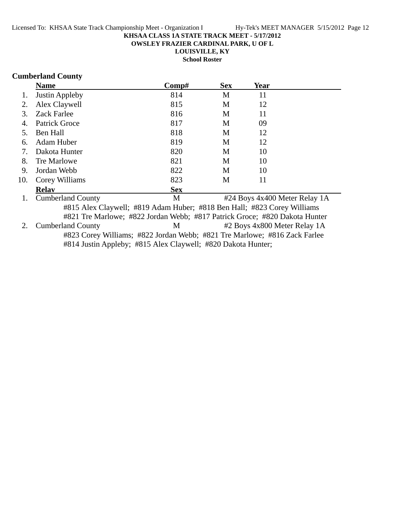**OWSLEY FRAZIER CARDINAL PARK, U OF L**

**LOUISVILLE, KY**

**School Roster**

#### **Cumberland County**

|     | <b>Name</b>                                                                | $\bf Comp\#$ | <b>Sex</b> | Year                         |                               |
|-----|----------------------------------------------------------------------------|--------------|------------|------------------------------|-------------------------------|
| 1.  | Justin Appleby                                                             | 814          | M          | 11                           |                               |
| 2.  | Alex Claywell                                                              | 815          | M          | 12                           |                               |
| 3.  | <b>Zack Farlee</b>                                                         | 816          | M          | 11                           |                               |
| 4.  | Patrick Groce                                                              | 817          | M          | 09                           |                               |
| 5.  | Ben Hall                                                                   | 818          | M          | 12                           |                               |
| 6.  | Adam Huber                                                                 | 819          | M          | 12                           |                               |
| 7.  | Dakota Hunter                                                              | 820          | M          | 10                           |                               |
| 8.  | Tre Marlowe                                                                | 821          | M          | 10                           |                               |
| 9.  | Jordan Webb                                                                | 822          | M          | 10                           |                               |
| 10. | Corey Williams                                                             | 823          | M          | 11                           |                               |
|     | <b>Relav</b>                                                               | <b>Sex</b>   |            |                              |                               |
| 1.  | <b>Cumberland County</b>                                                   | M            |            |                              | #24 Boys 4x400 Meter Relay 1A |
|     | #815 Alex Claywell; #819 Adam Huber; #818 Ben Hall; #823 Corey Williams    |              |            |                              |                               |
|     | #821 Tre Marlowe; #822 Jordan Webb; #817 Patrick Groce; #820 Dakota Hunter |              |            |                              |                               |
| 2.  | <b>Cumberland County</b>                                                   | M            |            | #2 Boys 4x800 Meter Relay 1A |                               |
|     | #823 Corey Williams; #822 Jordan Webb; #821 Tre Marlowe; #816 Zack Farlee  |              |            |                              |                               |

#814 Justin Appleby; #815 Alex Claywell; #820 Dakota Hunter;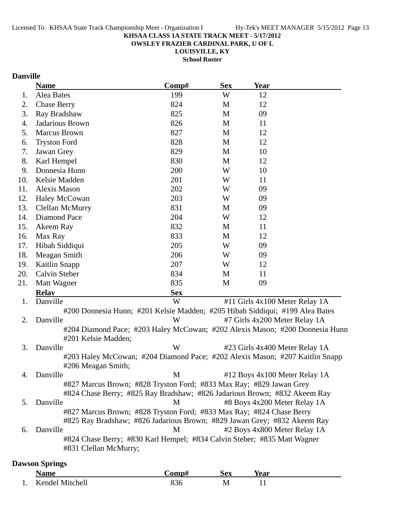**OWSLEY FRAZIER CARDINAL PARK, U OF L**

**LOUISVILLE, KY School Roster**

### **Danville**

|     | <b>Name</b>                                                                                         | Comp#      | <b>Sex</b> | Year |                                |
|-----|-----------------------------------------------------------------------------------------------------|------------|------------|------|--------------------------------|
| 1.  | Alea Bates                                                                                          | 199        | W          | 12   |                                |
| 2.  | <b>Chase Berry</b>                                                                                  | 824        | M          | 12   |                                |
| 3.  | Ray Bradshaw                                                                                        | 825        | M          | 09   |                                |
| 4.  | Jadarious Brown                                                                                     | 826        | M          | 11   |                                |
| 5.  | <b>Marcus Brown</b>                                                                                 | 827        | M          | 12   |                                |
| 6.  | <b>Tryston Ford</b>                                                                                 | 828        | M          | 12   |                                |
| 7.  | Jawan Grey                                                                                          | 829        | M          | 10   |                                |
| 8.  | Karl Hempel                                                                                         | 830        | M          | 12   |                                |
| 9.  | Donnesia Hunn                                                                                       | 200        | W          | 10   |                                |
| 10. | Kelsie Madden                                                                                       | 201        | W          | 11   |                                |
| 11. | <b>Alexis Mason</b>                                                                                 | 202        | W          | 09   |                                |
| 12. | <b>Haley McCowan</b>                                                                                | 203        | W          | 09   |                                |
| 13. | Clellan McMurry                                                                                     | 831        | M          | 09   |                                |
| 14. | Diamond Pace                                                                                        | 204        | W          | 12   |                                |
| 15. | Akeem Ray                                                                                           | 832        | M          | 11   |                                |
| 16. | Max Ray                                                                                             | 833        | M          | 12   |                                |
| 17. | Hibah Siddiqui                                                                                      | 205        | W          | 09   |                                |
| 18. | Meagan Smith                                                                                        | 206        | W          | 09   |                                |
| 19. | <b>Kaitlin Snapp</b>                                                                                | 207        | W          | 12   |                                |
| 20. | Calvin Steber                                                                                       | 834        | M          | 11   |                                |
| 21. | Matt Wagner                                                                                         | 835        | M          | 09   |                                |
|     | <b>Relav</b>                                                                                        | <b>Sex</b> |            |      |                                |
| 1.  | Danville                                                                                            | W          |            |      | #11 Girls 4x100 Meter Relay 1A |
|     | #200 Donnesia Hunn; #201 Kelsie Madden; #205 Hibah Siddiqui; #199 Alea Bates                        |            |            |      |                                |
| 2.  | Danville                                                                                            | W          |            |      | #7 Girls 4x200 Meter Relay 1A  |
|     | #204 Diamond Pace; #203 Haley McCowan; #202 Alexis Mason; #200 Donnesia Hunn<br>#201 Kelsie Madden; |            |            |      |                                |
| 3.  | Danville                                                                                            | W          |            |      | #23 Girls 4x400 Meter Relay 1A |
|     | #203 Haley McCowan; #204 Diamond Pace; #202 Alexis Mason; #207 Kaitlin Snapp<br>#206 Meagan Smith;  |            |            |      |                                |
| 4.  | Danville                                                                                            | M          |            |      | #12 Boys 4x100 Meter Relay 1A  |
|     | #827 Marcus Brown; #828 Tryston Ford; #833 Max Ray; #829 Jawan Grey                                 |            |            |      |                                |
|     | #824 Chase Berry; #825 Ray Bradshaw; #826 Jadarious Brown; #832 Akeem Ray                           |            |            |      |                                |
| 5.  | Danville                                                                                            | M          |            |      | #8 Boys 4x200 Meter Relay 1A   |
|     | #827 Marcus Brown; #828 Tryston Ford; #833 Max Ray; #824 Chase Berry                                |            |            |      |                                |
|     | #825 Ray Bradshaw; #826 Jadarious Brown; #829 Jawan Grey; #832 Akeem Ray                            |            |            |      |                                |
| 6.  | Danville                                                                                            | M          |            |      | #2 Boys 4x800 Meter Relay 1A   |
|     | #824 Chase Berry; #830 Karl Hempel; #834 Calvin Steber; #835 Matt Wagner<br>#831 Clellan McMurry;   |            |            |      |                                |
|     |                                                                                                     |            |            |      |                                |

### **Dawson Springs**

|     | Name            | `omn# | Sex | rear |  |
|-----|-----------------|-------|-----|------|--|
| . . | Kendel Mitchell | 830   | M   |      |  |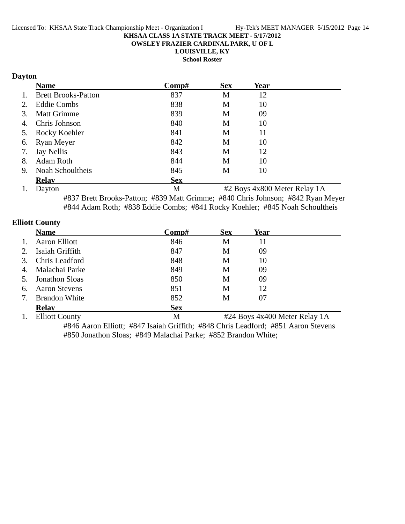**OWSLEY FRAZIER CARDINAL PARK, U OF L**

**LOUISVILLE, KY**

**School Roster**

### **Dayton**

|    | <b>Name</b>                | Comp#      | <b>Sex</b> | Year |  |
|----|----------------------------|------------|------------|------|--|
| 1. | <b>Brett Brooks-Patton</b> | 837        | M          | 12   |  |
| 2. | <b>Eddie Combs</b>         | 838        | M          | 10   |  |
| 3. | <b>Matt Grimme</b>         | 839        | M          | 09   |  |
| 4. | Chris Johnson              | 840        | M          | 10   |  |
|    | 5. Rocky Koehler           | 841        | M          | 11   |  |
| 6. | Ryan Meyer                 | 842        | M          | 10   |  |
| 7. | Jay Nellis                 | 843        | M          | 12   |  |
| 8. | <b>Adam Roth</b>           | 844        | M          | 10   |  |
| 9. | Noah Schoultheis           | 845        | M          | 10   |  |
|    | <b>Relav</b>               | <b>Sex</b> |            |      |  |

1. Dayton M #2 Boys 4x800 Meter Relay 1A #837 Brett Brooks-Patton; #839 Matt Grimme; #840 Chris Johnson; #842 Ryan Meyer #844 Adam Roth; #838 Eddie Combs; #841 Rocky Koehler; #845 Noah Schoultheis

### **Elliott County**

|    | <b>Name</b>           | $\bf Comp\#$ | <b>Sex</b> | Year                                                                                                                                  |  |
|----|-----------------------|--------------|------------|---------------------------------------------------------------------------------------------------------------------------------------|--|
|    | <b>Aaron Elliott</b>  | 846          | M          | 11                                                                                                                                    |  |
| 2. | Isaiah Griffith       | 847          | M          | 09                                                                                                                                    |  |
| 3. | Chris Leadford        | 848          | M          | 10                                                                                                                                    |  |
| 4. | Malachai Parke        | 849          | M          | 09                                                                                                                                    |  |
| 5. | <b>Jonathon Sloas</b> | 850          | M          | 09                                                                                                                                    |  |
| 6. | <b>Aaron Stevens</b>  | 851          | M          | 12                                                                                                                                    |  |
| 7. | <b>Brandon White</b>  | 852          | M          | 07                                                                                                                                    |  |
|    | <b>Relay</b>          | <b>Sex</b>   |            |                                                                                                                                       |  |
|    | E11int C              | $\mathbf{M}$ |            | $#24$ $\Delta$ $\alpha$ $\alpha$ $\beta$ $\alpha$ $\beta$ $\beta$ $\alpha$ $\alpha$ $\beta$ $\alpha$ $\beta$ $\alpha$ $\beta$ $\beta$ |  |

1. Elliott County **1. Alliott County** 1. Elliott County #846 Aaron Elliott; #847 Isaiah Griffith; #848 Chris Leadford; #851 Aaron Stevens #850 Jonathon Sloas; #849 Malachai Parke; #852 Brandon White;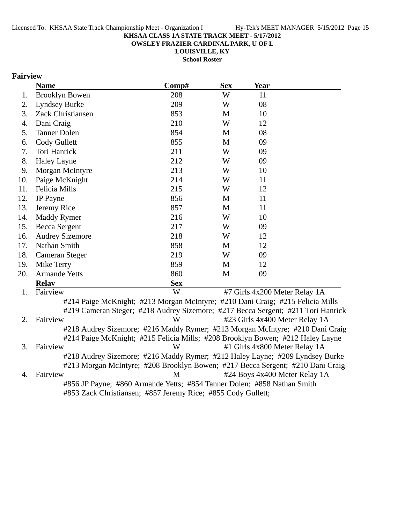**OWSLEY FRAZIER CARDINAL PARK, U OF L**

**LOUISVILLE, KY School Roster**

### **Fairview**

|     | <b>Name</b>            | Comp#                                                                            | <b>Sex</b> | <b>Year</b>                    |  |
|-----|------------------------|----------------------------------------------------------------------------------|------------|--------------------------------|--|
| 1.  | <b>Brooklyn Bowen</b>  | 208                                                                              | W          | 11                             |  |
| 2.  | Lyndsey Burke          | 209                                                                              | W          | 08                             |  |
| 3.  | Zack Christiansen      | 853                                                                              | M          | 10                             |  |
| 4.  | Dani Craig             | 210                                                                              | W          | 12                             |  |
| 5.  | <b>Tanner Dolen</b>    | 854                                                                              | M          | 08                             |  |
| 6.  | Cody Gullett           | 855                                                                              | M          | 09                             |  |
| 7.  | Tori Hanrick           | 211                                                                              | W          | 09                             |  |
| 8.  | <b>Haley Layne</b>     | 212                                                                              | W          | 09                             |  |
| 9.  | Morgan McIntyre        | 213                                                                              | W          | 10                             |  |
| 10. | Paige McKnight         | 214                                                                              | W          | 11                             |  |
| 11. | Felicia Mills          | 215                                                                              | W          | 12                             |  |
| 12. | <b>JP</b> Payne        | 856                                                                              | M          | 11                             |  |
| 13. | Jeremy Rice            | 857                                                                              | M          | 11                             |  |
| 14. | <b>Maddy Rymer</b>     | 216                                                                              | W          | 10                             |  |
| 15. | Becca Sergent          | 217                                                                              | W          | 09                             |  |
| 16. | <b>Audrey Sizemore</b> | 218                                                                              | W          | 12                             |  |
| 17. | Nathan Smith           | 858                                                                              | M          | 12                             |  |
| 18. | Cameran Steger         | 219                                                                              | W          | 09                             |  |
| 19. | Mike Terry             | 859                                                                              | M          | 12                             |  |
| 20. | <b>Armande Yetts</b>   | 860                                                                              | M          | 09                             |  |
|     | <b>Relay</b>           | <b>Sex</b>                                                                       |            |                                |  |
| 1.  | Fairview               | W                                                                                |            | #7 Girls 4x200 Meter Relay 1A  |  |
|     |                        | #214 Paige McKnight; #213 Morgan McIntyre; #210 Dani Craig; #215 Felicia Mills   |            |                                |  |
|     |                        | #219 Cameran Steger; #218 Audrey Sizemore; #217 Becca Sergent; #211 Tori Hanrick |            |                                |  |
| 2.  | Fairview               | W                                                                                |            | #23 Girls 4x400 Meter Relay 1A |  |
|     |                        | #218 Audrey Sizemore; #216 Maddy Rymer; #213 Morgan McIntyre; #210 Dani Craig    |            |                                |  |
|     |                        | #214 Paige McKnight; #215 Felicia Mills; #208 Brooklyn Bowen; #212 Haley Layne   |            |                                |  |
| 3.  | Fairview               | W                                                                                |            | #1 Girls 4x800 Meter Relay 1A  |  |
|     |                        | #218 Audrey Sizemore; #216 Maddy Rymer; #212 Haley Layne; #209 Lyndsey Burke     |            |                                |  |
|     |                        | #213 Morgan McIntyre; #208 Brooklyn Bowen; #217 Becca Sergent; #210 Dani Craig   |            |                                |  |
| 4.  | Fairview               | M                                                                                |            | #24 Boys 4x400 Meter Relay 1A  |  |
|     |                        | #856 JP Payne; #860 Armande Yetts; #854 Tanner Dolen; #858 Nathan Smith          |            |                                |  |

#853 Zack Christiansen; #857 Jeremy Rice; #855 Cody Gullett;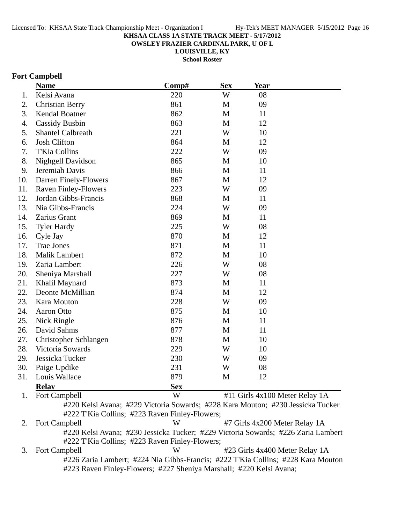**OWSLEY FRAZIER CARDINAL PARK, U OF L**

**LOUISVILLE, KY**

**School Roster**

### **Fort Campbell**

|     | <b>Name</b>                 | Comp#      | <b>Sex</b>   | <b>Year</b>                    |  |
|-----|-----------------------------|------------|--------------|--------------------------------|--|
| 1.  | Kelsi Avana                 | 220        | W            | 08                             |  |
| 2.  | <b>Christian Berry</b>      | 861        | M            | 09                             |  |
| 3.  | Kendal Boatner              | 862        | M            | 11                             |  |
| 4.  | <b>Cassidy Busbin</b>       | 863        | M            | 12                             |  |
| 5.  | <b>Shantel Calbreath</b>    | 221        | W            | 10                             |  |
| 6.  | <b>Josh Clifton</b>         | 864        | M            | 12                             |  |
| 7.  | T'Kia Collins               | 222        | W            | 09                             |  |
| 8.  | Nighgell Davidson           | 865        | M            | 10                             |  |
| 9.  | Jeremiah Davis              | 866        | $\mathbf{M}$ | 11                             |  |
| 10. | Darren Finely-Flowers       | 867        | M            | 12                             |  |
| 11. | <b>Raven Finley-Flowers</b> | 223        | W            | 09                             |  |
| 12. | Jordan Gibbs-Francis        | 868        | M            | 11                             |  |
| 13. | Nia Gibbs-Francis           | 224        | W            | 09                             |  |
| 14. | Zarius Grant                | 869        | M            | 11                             |  |
| 15. | <b>Tyler Hardy</b>          | 225        | W            | 08                             |  |
| 16. | Cyle Jay                    | 870        | M            | 12                             |  |
| 17. | <b>Trae Jones</b>           | 871        | M            | 11                             |  |
| 18. | <b>Malik Lambert</b>        | 872        | $\mathbf{M}$ | 10                             |  |
| 19. | Zaria Lambert               | 226        | W            | 08                             |  |
| 20. | Sheniya Marshall            | 227        | W            | 08                             |  |
| 21. | Khalil Maynard              | 873        | M            | 11                             |  |
| 22. | Deonte McMillian            | 874        | M            | 12                             |  |
| 23. | Kara Mouton                 | 228        | W            | 09                             |  |
| 24. | Aaron Otto                  | 875        | M            | 10                             |  |
| 25. | Nick Ringle                 | 876        | M            | 11                             |  |
| 26. | David Sahms                 | 877        | M            | 11                             |  |
| 27. | Christopher Schlangen       | 878        | M            | 10                             |  |
| 28. | Victoria Sowards            | 229        | W            | 10                             |  |
| 29. | Jessicka Tucker             | 230        | W            | 09                             |  |
| 30. | Paige Updike                | 231        | W            | 08                             |  |
| 31. | Louis Wallace               | 879        | M            | 12                             |  |
|     | <b>Relay</b>                | <b>Sex</b> |              |                                |  |
| 1.  | Fort Campbell               | W          |              | #11 Girls 4x100 Meter Relay 1A |  |

#220 Kelsi Avana; #229 Victoria Sowards; #228 Kara Mouton; #230 Jessicka Tucker #222 T'Kia Collins; #223 Raven Finley-Flowers;

2. Fort Campbell W #7 Girls 4x200 Meter Relay 1A #220 Kelsi Avana; #230 Jessicka Tucker; #229 Victoria Sowards; #226 Zaria Lambert #222 T'Kia Collins; #223 Raven Finley-Flowers;

3. Fort Campbell W #23 Girls 4x400 Meter Relay 1A #226 Zaria Lambert; #224 Nia Gibbs-Francis; #222 T'Kia Collins; #228 Kara Mouton #223 Raven Finley-Flowers; #227 Sheniya Marshall; #220 Kelsi Avana;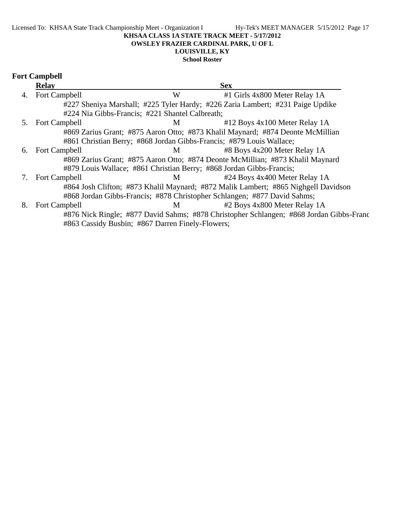#### **LOUISVILLE, KY School Roster**

|  | <b>Fort Campbell</b> |
|--|----------------------|
|--|----------------------|

|    | <b>Relay</b>                                     |   | <b>Sex</b>                                                                              |
|----|--------------------------------------------------|---|-----------------------------------------------------------------------------------------|
| 4. | Fort Campbell                                    | W | #1 Girls 4x800 Meter Relay 1A                                                           |
|    |                                                  |   | #227 Sheniya Marshall; #225 Tyler Hardy; #226 Zaria Lambert; #231 Paige Updike          |
|    | #224 Nia Gibbs-Francis; #221 Shantel Calbreath;  |   |                                                                                         |
| 5. | Fort Campbell                                    | M | #12 Boys 4x100 Meter Relay 1A                                                           |
|    |                                                  |   | #869 Zarius Grant; #875 Aaron Otto; #873 Khalil Maynard; #874 Deonte McMillian          |
|    |                                                  |   | #861 Christian Berry; #868 Jordan Gibbs-Francis; #879 Louis Wallace;                    |
| 6. | Fort Campbell                                    | M | #8 Boys 4x200 Meter Relay 1A                                                            |
|    |                                                  |   | #869 Zarius Grant; #875 Aaron Otto; #874 Deonte McMillian; #873 Khalil Maynard          |
|    |                                                  |   | #879 Louis Wallace; #861 Christian Berry; #868 Jordan Gibbs-Francis;                    |
| 7. | Fort Campbell                                    | M | #24 Boys 4x400 Meter Relay 1A                                                           |
|    |                                                  |   | #864 Josh Clifton; #873 Khalil Maynard; #872 Malik Lambert; #865 Nighgell Davidson      |
|    |                                                  |   | #868 Jordan Gibbs-Francis; #878 Christopher Schlangen; #877 David Sahms;                |
| 8. | Fort Campbell                                    | M | #2 Boys 4x800 Meter Relay 1A                                                            |
|    |                                                  |   | #876 Nick Ringle; #877 David Sahms; #878 Christopher Schlangen; #868 Jordan Gibbs-Franc |
|    | #863 Cassidy Busbin; #867 Darren Finely-Flowers; |   |                                                                                         |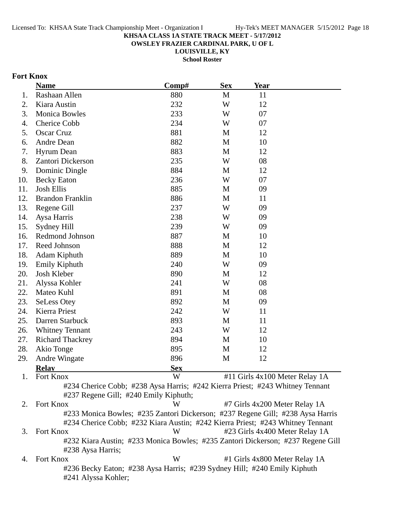**OWSLEY FRAZIER CARDINAL PARK, U OF L**

**LOUISVILLE, KY**

**School Roster**

### **Fort Knox**

| 1.<br>2.<br>3.<br>4.<br>5.<br>6.<br>7. | Rashaan Allen<br>Kiara Austin<br><b>Monica Bowles</b><br>Cherice Cobb<br><b>Oscar Cruz</b><br>Andre Dean | 880<br>232<br>233<br>234<br>881 | M<br>W<br>W<br>W | 11<br>12<br>07<br>07          |                                |
|----------------------------------------|----------------------------------------------------------------------------------------------------------|---------------------------------|------------------|-------------------------------|--------------------------------|
|                                        |                                                                                                          |                                 |                  |                               |                                |
|                                        |                                                                                                          |                                 |                  |                               |                                |
|                                        |                                                                                                          |                                 |                  |                               |                                |
|                                        |                                                                                                          |                                 |                  |                               |                                |
|                                        |                                                                                                          |                                 | M                | 12                            |                                |
|                                        |                                                                                                          | 882                             | M                | 10                            |                                |
|                                        | <b>Hyrum</b> Dean                                                                                        | 883                             | M                | 12                            |                                |
| 8.                                     | Zantori Dickerson                                                                                        | 235                             | W                | 08                            |                                |
| 9.                                     | Dominic Dingle                                                                                           | 884                             | M                | 12                            |                                |
| 10.                                    | <b>Becky Eaton</b>                                                                                       | 236                             | W                | 07                            |                                |
| 11.                                    | <b>Josh Ellis</b>                                                                                        | 885                             | M                | 09                            |                                |
| 12.                                    | <b>Brandon Franklin</b>                                                                                  | 886                             | M                | 11                            |                                |
| 13.                                    | Regene Gill                                                                                              | 237                             | W                | 09                            |                                |
| 14.                                    | Aysa Harris                                                                                              | 238                             | W                | 09                            |                                |
| 15.                                    | Sydney Hill                                                                                              | 239                             | W                | 09                            |                                |
| 16.                                    | Redmond Johnson                                                                                          | 887                             | M                | 10                            |                                |
| 17.                                    | Reed Johnson                                                                                             | 888                             | M                | 12                            |                                |
| 18.                                    | Adam Kiphuth                                                                                             | 889                             | M                | 10                            |                                |
| 19.                                    | Emily Kiphuth                                                                                            | 240                             | W                | 09                            |                                |
| 20.                                    | Josh Kleber                                                                                              | 890                             | M                | 12                            |                                |
| 21.                                    | Alyssa Kohler                                                                                            | 241                             | W                | 08                            |                                |
| 22.                                    | Mateo Kuhl                                                                                               | 891                             | M                | 08                            |                                |
| 23.                                    | <b>SeLess Otey</b>                                                                                       | 892                             | M                | 09                            |                                |
| 24.                                    | Kierra Priest                                                                                            | 242                             | W                | 11                            |                                |
| 25.                                    | Darren Starbuck                                                                                          | 893                             | M                | 11                            |                                |
| 26.                                    | <b>Whitney Tennant</b>                                                                                   | 243                             | W                | 12                            |                                |
| 27.                                    | <b>Richard Thackrey</b>                                                                                  | 894                             | M                | 10                            |                                |
| 28.                                    | Akio Tonge                                                                                               | 895                             | M                | 12                            |                                |
| 29.                                    | <b>Andre Wingate</b>                                                                                     | 896                             | M                | 12                            |                                |
|                                        | <b>Relay</b>                                                                                             | <b>Sex</b>                      |                  |                               |                                |
| 1.                                     | Fort Knox                                                                                                | W                               |                  |                               | #11 Girls 4x100 Meter Relay 1A |
|                                        | #234 Cherice Cobb; #238 Aysa Harris; #242 Kierra Priest; #243 Whitney Tennant                            |                                 |                  |                               |                                |
|                                        | #237 Regene Gill; #240 Emily Kiphuth;                                                                    |                                 |                  |                               |                                |
| 2.                                     | Fort Knox                                                                                                | W                               |                  | #7 Girls 4x200 Meter Relay 1A |                                |
|                                        | #233 Monica Bowles; #235 Zantori Dickerson; #237 Regene Gill; #238 Aysa Harris                           |                                 |                  |                               |                                |
|                                        | #234 Cherice Cobb; #232 Kiara Austin; #242 Kierra Priest; #243 Whitney Tennant                           |                                 |                  |                               |                                |
| 3.                                     | Fort Knox                                                                                                | W                               |                  |                               | #23 Girls 4x400 Meter Relay 1A |
|                                        | #232 Kiara Austin; #233 Monica Bowles; #235 Zantori Dickerson; #237 Regene Gill<br>#238 Aysa Harris;     |                                 |                  |                               |                                |
| 4.                                     | Fort Knox                                                                                                | W                               |                  | #1 Girls 4x800 Meter Relay 1A |                                |
|                                        | #236 Becky Eaton; #238 Aysa Harris; #239 Sydney Hill; #240 Emily Kiphuth                                 |                                 |                  |                               |                                |

#241 Alyssa Kohler;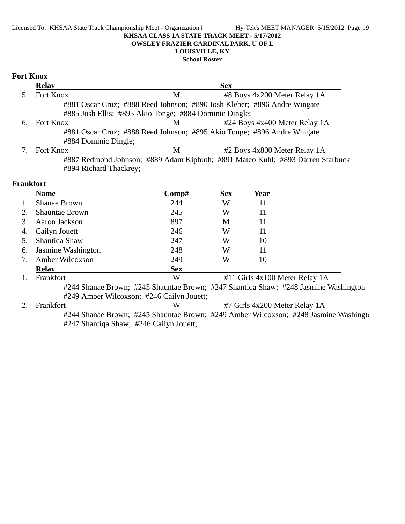#### Licensed To: KHSAA State Track Championship Meet - Organization I Hy-Tek's MEET MANAGER 5/15/2012 Page 19 **KHSAA CLASS 1A STATE TRACK MEET - 5/17/2012 OWSLEY FRAZIER CARDINAL PARK, U OF L LOUISVILLE, KY**

**School Roster**

#### **Fort Knox**

|    | <b>Relay</b>           |                                                        | <b>Sex</b>                                                                     |
|----|------------------------|--------------------------------------------------------|--------------------------------------------------------------------------------|
|    | Fort Knox              | M                                                      | #8 Boys 4x200 Meter Relay 1A                                                   |
|    |                        |                                                        | #881 Oscar Cruz; #888 Reed Johnson; #890 Josh Kleber; #896 Andre Wingate       |
|    |                        | #885 Josh Ellis; #895 Akio Tonge; #884 Dominic Dingle; |                                                                                |
| 6. | Fort Knox              | M                                                      | #24 Boys 4x400 Meter Relay 1A                                                  |
|    |                        |                                                        | #881 Oscar Cruz; #888 Reed Johnson; #895 Akio Tonge; #896 Andre Wingate        |
|    | #884 Dominic Dingle;   |                                                        |                                                                                |
|    | Fort Knox              | М                                                      | #2 Boys 4x800 Meter Relay 1A                                                   |
|    |                        |                                                        | #887 Redmond Johnson; #889 Adam Kiphuth; #891 Mateo Kuhl; #893 Darren Starbuck |
|    | #894 Richard Thackrey; |                                                        |                                                                                |

### **Frankfort**

|    | <b>Name</b>                                                                         | Comp#      | <b>Sex</b> | Year                           |  |
|----|-------------------------------------------------------------------------------------|------------|------------|--------------------------------|--|
|    | <b>Shanae Brown</b>                                                                 | 244        | W          | 11                             |  |
|    | <b>Shauntae Brown</b>                                                               | 245        | W          | 11                             |  |
| 3. | Aaron Jackson                                                                       | 897        | M          | 11                             |  |
| 4. | Cailyn Jouett                                                                       | 246        | W          | 11                             |  |
|    | Shantiqa Shaw                                                                       | 247        | W          | 10                             |  |
| 6. | Jasmine Washington                                                                  | 248        | W          | 11                             |  |
| 7. | Amber Wilcoxson                                                                     | 249        | W          | 10                             |  |
|    | <b>Relay</b>                                                                        | <b>Sex</b> |            |                                |  |
|    | Frankfort                                                                           | W          |            | #11 Girls 4x100 Meter Relay 1A |  |
|    | #244 Shanae Brown; #245 Shauntae Brown; #247 Shantiqa Shaw; #248 Jasmine Washington |            |            |                                |  |
|    | #249 Amber Wilcoxson; #246 Cailyn Jouett;                                           |            |            |                                |  |
|    | Frankfort                                                                           | W          |            | #7 Girls 4x200 Meter Relay 1A  |  |

#244 Shanae Brown; #245 Shauntae Brown; #249 Amber Wilcoxson; #248 Jasmine Washingto #247 Shantiqa Shaw; #246 Cailyn Jouett;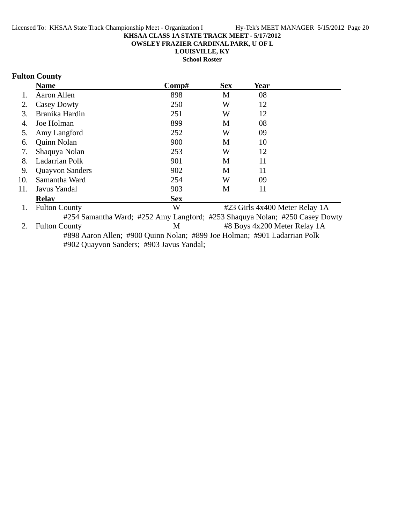**OWSLEY FRAZIER CARDINAL PARK, U OF L**

**LOUISVILLE, KY**

**School Roster**

### **Fulton County**

|     | <b>Name</b>            | Comp#                                                                       | <b>Sex</b> | <b>Year</b>                    |  |
|-----|------------------------|-----------------------------------------------------------------------------|------------|--------------------------------|--|
| 1.  | Aaron Allen            | 898                                                                         | М          | 08                             |  |
| 2.  | Casey Dowty            | 250                                                                         | W          | 12                             |  |
| 3.  | Branika Hardin         | 251                                                                         | W          | 12                             |  |
| 4.  | Joe Holman             | 899                                                                         | M          | 08                             |  |
| 5.  | Amy Langford           | 252                                                                         | W          | 09                             |  |
| 6.  | Quinn Nolan            | 900                                                                         | M          | 10                             |  |
| 7.  | Shaquya Nolan          | 253                                                                         | W          | 12                             |  |
| 8.  | Ladarrian Polk         | 901                                                                         | M          | 11                             |  |
| 9.  | <b>Quayvon Sanders</b> | 902                                                                         | M          | 11                             |  |
| 10. | Samantha Ward          | 254                                                                         | W          | 09                             |  |
| 11. | Javus Yandal           | 903                                                                         | M          | 11                             |  |
|     | <b>Relay</b>           | <b>Sex</b>                                                                  |            |                                |  |
| 1.  | <b>Fulton County</b>   | W                                                                           |            | #23 Girls 4x400 Meter Relay 1A |  |
|     |                        | #254 Samantha Ward; #252 Amy Langford; #253 Shaquya Nolan; #250 Casey Dowty |            |                                |  |
| 2.  | <b>Fulton County</b>   | M                                                                           |            | #8 Boys 4x200 Meter Relay 1A   |  |
|     |                        | #898 Aaron Allen; #900 Quinn Nolan; #899 Joe Holman; #901 Ladarrian Polk    |            |                                |  |
|     |                        |                                                                             |            |                                |  |

#902 Quayvon Sanders; #903 Javus Yandal;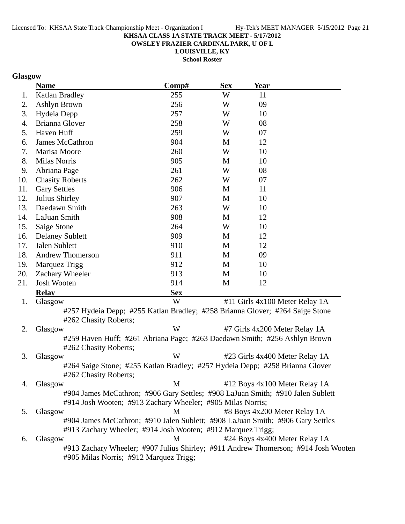**OWSLEY FRAZIER CARDINAL PARK, U OF L**

**LOUISVILLE, KY School Roster**

### **Glasgow**

|     | <b>Name</b>                                                                          | Comp#      | <b>Sex</b> | <b>Year</b>                    |  |
|-----|--------------------------------------------------------------------------------------|------------|------------|--------------------------------|--|
| 1.  | Katlan Bradley                                                                       | 255        | W          | 11                             |  |
| 2.  | Ashlyn Brown                                                                         | 256        | W          | 09                             |  |
| 3.  | Hydeia Depp                                                                          | 257        | W          | 10                             |  |
| 4.  | <b>Brianna Glover</b>                                                                | 258        | W          | 08                             |  |
| 5.  | Haven Huff                                                                           | 259        | W          | 07                             |  |
| 6.  | James McCathron                                                                      | 904        | M          | 12                             |  |
| 7.  | Marisa Moore                                                                         | 260        | W          | 10                             |  |
| 8.  | <b>Milas Norris</b>                                                                  | 905        | M          | 10                             |  |
| 9.  | Abriana Page                                                                         | 261        | W          | 08                             |  |
| 10. | <b>Chasity Roberts</b>                                                               | 262        | W          | 07                             |  |
| 11. | <b>Gary Settles</b>                                                                  | 906        | M          | 11                             |  |
| 12. | Julius Shirley                                                                       | 907        | M          | 10                             |  |
| 13. | Daedawn Smith                                                                        | 263        | W          | 10                             |  |
| 14. | LaJuan Smith                                                                         | 908        | M          | 12                             |  |
| 15. | Saige Stone                                                                          | 264        | W          | 10                             |  |
| 16. | <b>Delaney Sublett</b>                                                               | 909        | M          | 12                             |  |
| 17. | Jalen Sublett                                                                        | 910        | M          | 12                             |  |
| 18. | <b>Andrew Thomerson</b>                                                              | 911        | M          | 09                             |  |
| 19. | Marquez Trigg                                                                        | 912        | M          | 10                             |  |
| 20. | Zachary Wheeler                                                                      | 913        | M          | 10                             |  |
| 21. | Josh Wooten                                                                          | 914        | M          | 12                             |  |
|     | <b>Relav</b>                                                                         | <b>Sex</b> |            |                                |  |
| 1.  | Glasgow                                                                              | W          |            | #11 Girls 4x100 Meter Relay 1A |  |
|     | #257 Hydeia Depp; #255 Katlan Bradley; #258 Brianna Glover; #264 Saige Stone         |            |            |                                |  |
| 2.  | #262 Chasity Roberts;                                                                | W          |            | #7 Girls 4x200 Meter Relay 1A  |  |
|     | Glasgow<br>#259 Haven Huff; #261 Abriana Page; #263 Daedawn Smith; #256 Ashlyn Brown |            |            |                                |  |
|     | #262 Chasity Roberts;                                                                |            |            |                                |  |
| 3.  | Glasgow                                                                              | W          |            | #23 Girls 4x400 Meter Relay 1A |  |
|     | #264 Saige Stone; #255 Katlan Bradley; #257 Hydeia Depp; #258 Brianna Glover         |            |            |                                |  |
|     | #262 Chasity Roberts;                                                                |            |            |                                |  |
| 4.  | Glasgow                                                                              | M          |            | #12 Boys 4x100 Meter Relay 1A  |  |
|     | #904 James McCathron; #906 Gary Settles; #908 LaJuan Smith; #910 Jalen Sublett       |            |            |                                |  |
|     | #914 Josh Wooten; #913 Zachary Wheeler; #905 Milas Norris;                           |            |            |                                |  |
| 5.  | Glasgow                                                                              | M          |            | #8 Boys 4x200 Meter Relay 1A   |  |
|     | #904 James McCathron; #910 Jalen Sublett; #908 LaJuan Smith; #906 Gary Settles       |            |            |                                |  |
|     | #913 Zachary Wheeler; #914 Josh Wooten; #912 Marquez Trigg;                          |            |            |                                |  |
| 6.  | Glasgow                                                                              | M          |            | #24 Boys 4x400 Meter Relay 1A  |  |
|     | #913 Zachary Wheeler; #907 Julius Shirley; #911 Andrew Thomerson; #914 Josh Wooten   |            |            |                                |  |
|     | #905 Milas Norris; #912 Marquez Trigg;                                               |            |            |                                |  |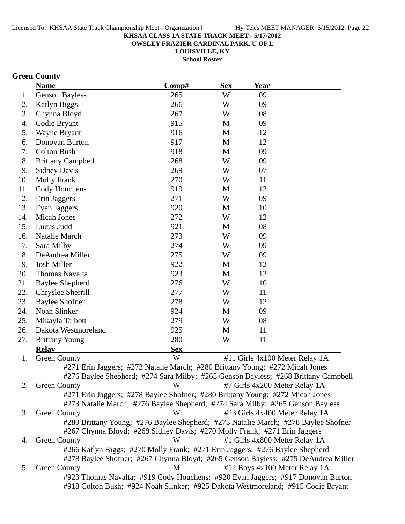**OWSLEY FRAZIER CARDINAL PARK, U OF L**

**LOUISVILLE, KY School Roster**

### **Green County**

|     | <b>Name</b>                                                                        | Comp#                                                                              | <b>Sex</b> | <b>Year</b>                    |  |
|-----|------------------------------------------------------------------------------------|------------------------------------------------------------------------------------|------------|--------------------------------|--|
| 1.  | <b>Genson Bayless</b>                                                              | 265                                                                                | W          | 09                             |  |
| 2.  | <b>Katlyn Biggs</b>                                                                | 266                                                                                | W          | 09                             |  |
| 3.  | Chynna Bloyd                                                                       | 267                                                                                | W          | 08                             |  |
| 4.  | Codie Bryant                                                                       | 915                                                                                | M          | 09                             |  |
| 5.  | Wayne Bryant                                                                       | 916                                                                                | M          | 12                             |  |
| 6.  | Donovan Burton                                                                     | 917                                                                                | M          | 12                             |  |
| 7.  | <b>Colton Bush</b>                                                                 | 918                                                                                | M          | 09                             |  |
| 8.  | <b>Brittany Campbell</b>                                                           | 268                                                                                | W          | 09                             |  |
| 9.  | <b>Sidney Davis</b>                                                                | 269                                                                                | W          | 07                             |  |
| 10. | <b>Molly Frank</b>                                                                 | 270                                                                                | W          | 11                             |  |
| 11. | Cody Houchens                                                                      | 919                                                                                | M          | 12                             |  |
| 12. | Erin Jaggers                                                                       | 271                                                                                | W          | 09                             |  |
| 13. | Evan Jaggers                                                                       | 920                                                                                | M          | 10                             |  |
| 14. | <b>Micah Jones</b>                                                                 | 272                                                                                | W          | 12                             |  |
| 15. | Lucus Judd                                                                         | 921                                                                                | M          | 08                             |  |
| 16. | Natalie March                                                                      | 273                                                                                | W          | 09                             |  |
| 17. | Sara Milby                                                                         | 274                                                                                | W          | 09                             |  |
| 18. | DeAndrea Miller                                                                    | 275                                                                                | W          | 09                             |  |
| 19. | Josh Miller                                                                        | 922                                                                                | M          | 12                             |  |
| 20. | Thomas Navalta                                                                     | 923                                                                                | M          | 12                             |  |
| 21. | <b>Baylee Shepherd</b>                                                             | 276                                                                                | W          | 10                             |  |
| 22. | Chryslee Sherrill                                                                  | 277                                                                                | W          | 11                             |  |
| 23. | <b>Baylee Shofner</b>                                                              | 278                                                                                | W          | 12                             |  |
| 24. | Noah Slinker                                                                       | 924                                                                                | M          | 09                             |  |
| 25. | Mikayla Talbott                                                                    | 279                                                                                | W          | 08                             |  |
| 26. | Dakota Westmoreland                                                                | 925                                                                                | M          | 11                             |  |
| 27. | <b>Brittany Young</b>                                                              | 280                                                                                | W          | 11                             |  |
|     | <b>Relay</b>                                                                       | <b>Sex</b>                                                                         |            |                                |  |
| 1.  | <b>Green County</b>                                                                | W                                                                                  |            | #11 Girls 4x100 Meter Relay 1A |  |
|     | #271 Erin Jaggers; #273 Natalie March; #280 Brittany Young; #272 Micah Jones       |                                                                                    |            |                                |  |
|     |                                                                                    | #276 Baylee Shepherd; #274 Sara Milby; #265 Genson Bayless; #268 Brittany Campbell |            |                                |  |
| 2.  | <b>Green County</b>                                                                | W                                                                                  |            | #7 Girls 4x200 Meter Relay 1A  |  |
|     | #271 Erin Jaggers; #278 Baylee Shofner; #280 Brittany Young; #272 Micah Jones      |                                                                                    |            |                                |  |
|     | #273 Natalie March; #276 Baylee Shepherd; #274 Sara Milby; #265 Genson Bayless     |                                                                                    |            |                                |  |
| 3.  | <b>Green County</b>                                                                | W                                                                                  |            | #23 Girls 4x400 Meter Relay 1A |  |
|     | #280 Brittany Young; #276 Baylee Shepherd; #273 Natalie March; #278 Baylee Shofner |                                                                                    |            |                                |  |
|     | #267 Chynna Bloyd; #269 Sidney Davis; #270 Molly Frank; #271 Erin Jaggers          |                                                                                    |            |                                |  |
| 4.  | <b>Green County</b>                                                                | W                                                                                  |            | #1 Girls 4x800 Meter Relay 1A  |  |
|     | #266 Katlyn Biggs; #270 Molly Frank; #271 Erin Jaggers; #276 Baylee Shepherd       |                                                                                    |            |                                |  |
|     | #278 Baylee Shofner; #267 Chynna Bloyd; #265 Genson Bayless; #275 DeAndrea Miller  |                                                                                    |            |                                |  |
| 5.  | <b>Green County</b>                                                                | M                                                                                  |            | #12 Boys 4x100 Meter Relay 1A  |  |
|     | #923 Thomas Navalta; #919 Cody Houchens; #920 Evan Jaggers; #917 Donovan Burton    |                                                                                    |            |                                |  |
|     | #918 Colton Bush; #924 Noah Slinker; #925 Dakota Westmoreland; #915 Codie Bryant   |                                                                                    |            |                                |  |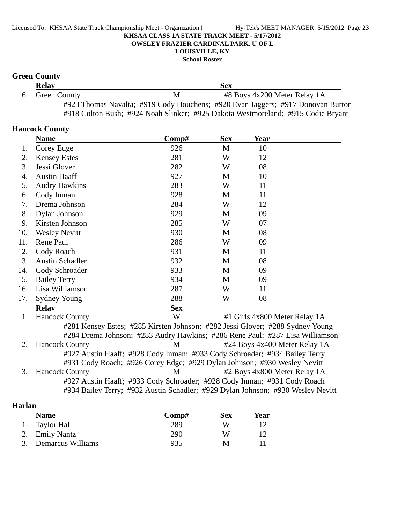**LOUISVILLE, KY**

### **School Roster**

### **Green County**

| <b>Relay</b>    |   | Sex                                                                              |  |
|-----------------|---|----------------------------------------------------------------------------------|--|
| 6. Green County | M | #8 Boys 4x200 Meter Relay 1A                                                     |  |
|                 |   | #923 Thomas Navalta; #919 Cody Houchens; #920 Evan Jaggers; #917 Donovan Burton  |  |
|                 |   | #918 Colton Bush; #924 Noah Slinker; #925 Dakota Westmoreland; #915 Codie Bryant |  |

### **Hancock County**

|     | <b>Name</b>                                                                     | Comp#      | <b>Sex</b> | Year |                               |
|-----|---------------------------------------------------------------------------------|------------|------------|------|-------------------------------|
| 1.  | Corey Edge                                                                      | 926        | M          | 10   |                               |
| 2.  | <b>Kensey Estes</b>                                                             | 281        | W          | 12   |                               |
| 3.  | Jessi Glover                                                                    | 282        | W          | 08   |                               |
| 4.  | <b>Austin Haaff</b>                                                             | 927        | M          | 10   |                               |
| 5.  | <b>Audry Hawkins</b>                                                            | 283        | W          | 11   |                               |
| 6.  | Cody Inman                                                                      | 928        | М          | 11   |                               |
| 7.  | Drema Johnson                                                                   | 284        | W          | 12   |                               |
| 8.  | Dylan Johnson                                                                   | 929        | M          | 09   |                               |
| 9.  | Kirsten Johnson                                                                 | 285        | W          | 07   |                               |
| 10. | <b>Wesley Nevitt</b>                                                            | 930        | M          | 08   |                               |
| 11. | Rene Paul                                                                       | 286        | W          | 09   |                               |
| 12. | Cody Roach                                                                      | 931        | М          | 11   |                               |
| 13. | <b>Austin Schadler</b>                                                          | 932        | M          | 08   |                               |
| 14. | Cody Schroader                                                                  | 933        | M          | 09   |                               |
| 15. | <b>Bailey Terry</b>                                                             | 934        | M          | 09   |                               |
| 16. | Lisa Williamson                                                                 | 287        | W          | 11   |                               |
| 17. | <b>Sydney Young</b>                                                             | 288        | W          | 08   |                               |
|     | <b>Relav</b>                                                                    | <b>Sex</b> |            |      |                               |
| 1.  | <b>Hancock County</b>                                                           | W          |            |      | #1 Girls 4x800 Meter Relay 1A |
|     | #281 Kensey Estes; #285 Kirsten Johnson; #282 Jessi Glover; #288 Sydney Young   |            |            |      |                               |
|     | #284 Drema Johnson; #283 Audry Hawkins; #286 Rene Paul; #287 Lisa Williamson    |            |            |      |                               |
| 2.  | <b>Hancock County</b>                                                           | M          |            |      | #24 Boys 4x400 Meter Relay 1A |
|     | #927 Austin Haaff; #928 Cody Inman; #933 Cody Schroader; #934 Bailey Terry      |            |            |      |                               |
|     | #931 Cody Roach; #926 Corey Edge; #929 Dylan Johnson; #930 Wesley Nevitt        |            |            |      |                               |
| 3.  | <b>Hancock County</b>                                                           | M          |            |      | #2 Boys 4x800 Meter Relay 1A  |
|     | #927 Austin Haaff; #933 Cody Schroader; #928 Cody Inman; #931 Cody Roach        |            |            |      |                               |
|     | #934 Bailey Terry; #932 Austin Schadler; #929 Dylan Johnson; #930 Wesley Nevitt |            |            |      |                               |

### **Harlan**

|    | <b>Name</b>          | Comp# | Sex | Year |  |
|----|----------------------|-------|-----|------|--|
| 1. | Taylor Hall          | 289   | W   |      |  |
|    | 2. Emily Nantz       | 290   | W   |      |  |
|    | 3. Demarcus Williams | 935   | М   |      |  |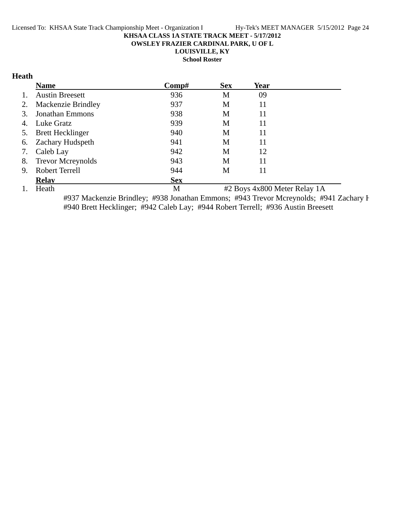**OWSLEY FRAZIER CARDINAL PARK, U OF L**

**LOUISVILLE, KY**

**School Roster**

### **Heath**

|    | <b>Name</b>               | Comp#      | <b>Sex</b> | Year |  |
|----|---------------------------|------------|------------|------|--|
| 1. | <b>Austin Breesett</b>    | 936        | M          | 09   |  |
| 2. | <b>Mackenzie Brindley</b> | 937        | M          | 11   |  |
| 3. | <b>Jonathan Emmons</b>    | 938        | M          | 11   |  |
|    | 4. Luke Gratz             | 939        | M          | 11   |  |
| 5. | <b>Brett Hecklinger</b>   | 940        | M          | 11   |  |
|    | 6. Zachary Hudspeth       | 941        | М          | 11   |  |
| 7. | Caleb Lay                 | 942        | M          | 12   |  |
| 8. | <b>Trevor Mcreynolds</b>  | 943        | M          | 11   |  |
| 9. | Robert Terrell            | 944        | М          | 11   |  |
|    | <b>Relav</b>              | <b>Sex</b> |            |      |  |

1. Heath M #2 Boys 4x800 Meter Relay 1A

#937 Mackenzie Brindley; #938 Jonathan Emmons; #943 Trevor Mcreynolds; #941 Zachary H #940 Brett Hecklinger; #942 Caleb Lay; #944 Robert Terrell; #936 Austin Breesett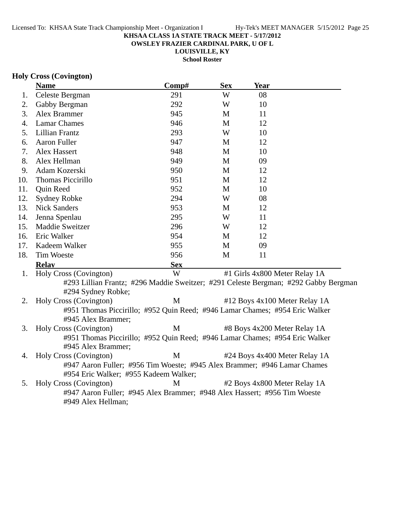**OWSLEY FRAZIER CARDINAL PARK, U OF L**

**LOUISVILLE, KY School Roster**

### **Holy Cross (Covington)**

|     | <b>Name</b>                                                                         | Comp#      | <b>Sex</b>   | Year                          |  |
|-----|-------------------------------------------------------------------------------------|------------|--------------|-------------------------------|--|
| 1.  | Celeste Bergman                                                                     | 291        | W            | 08                            |  |
| 2.  | Gabby Bergman                                                                       | 292        | W            | 10                            |  |
| 3.  | Alex Brammer                                                                        | 945        | M            | 11                            |  |
| 4.  | <b>Lamar Chames</b>                                                                 | 946        | M            | 12                            |  |
| 5.  | Lillian Frantz                                                                      | 293        | W            | 10                            |  |
| 6.  | Aaron Fuller                                                                        | 947        | M            | 12                            |  |
| 7.  | Alex Hassert                                                                        | 948        | M            | 10                            |  |
| 8.  | Alex Hellman                                                                        | 949        | $\mathbf{M}$ | 09                            |  |
| 9.  | Adam Kozerski                                                                       | 950        | $\mathbf{M}$ | 12                            |  |
| 10. | Thomas Piccirillo                                                                   | 951        | $\mathbf{M}$ | 12                            |  |
| 11. | Quin Reed                                                                           | 952        | $\mathbf{M}$ | 10                            |  |
| 12. | Sydney Robke                                                                        | 294        | W            | 08                            |  |
| 13. | <b>Nick Sanders</b>                                                                 | 953        | M            | 12                            |  |
| 14. | Jenna Spenlau                                                                       | 295        | W            | 11                            |  |
| 15. | Maddie Sweitzer                                                                     | 296        | W            | 12                            |  |
| 16. | Eric Walker                                                                         | 954        | M            | 12                            |  |
| 17. | Kadeem Walker                                                                       | 955        | M            | 09                            |  |
| 18. | <b>Tim Woeste</b>                                                                   | 956        | $\mathbf{M}$ | 11                            |  |
|     | <b>Relay</b>                                                                        | <b>Sex</b> |              |                               |  |
| 1.  | Holy Cross (Covington)                                                              | W          |              | #1 Girls 4x800 Meter Relay 1A |  |
|     | #293 Lillian Frantz; #296 Maddie Sweitzer; #291 Celeste Bergman; #292 Gabby Bergman |            |              |                               |  |
|     | #294 Sydney Robke;                                                                  |            |              |                               |  |
| 2.  | Holy Cross (Covington)                                                              | M          |              | #12 Boys 4x100 Meter Relay 1A |  |
|     | #951 Thomas Piccirillo; #952 Quin Reed; #946 Lamar Chames; #954 Eric Walker         |            |              |                               |  |
|     | #945 Alex Brammer;                                                                  |            |              |                               |  |
| 3.  | Holy Cross (Covington)                                                              | M          |              | #8 Boys 4x200 Meter Relay 1A  |  |
|     | #951 Thomas Piccirillo; #952 Quin Reed; #946 Lamar Chames; #954 Eric Walker         |            |              |                               |  |
|     | #945 Alex Brammer;                                                                  |            |              |                               |  |
| 4.  | Holy Cross (Covington)                                                              | M          |              | #24 Boys 4x400 Meter Relay 1A |  |
|     | #947 Aaron Fuller; #956 Tim Woeste; #945 Alex Brammer; #946 Lamar Chames            |            |              |                               |  |
|     | #954 Eric Walker; #955 Kadeem Walker;                                               |            |              |                               |  |
| 5.  | Holy Cross (Covington)                                                              | M          |              | #2 Boys 4x800 Meter Relay 1A  |  |
|     | #947 Aaron Fuller; #945 Alex Brammer; #948 Alex Hassert; #956 Tim Woeste            |            |              |                               |  |
|     | #949 Alex Hellman;                                                                  |            |              |                               |  |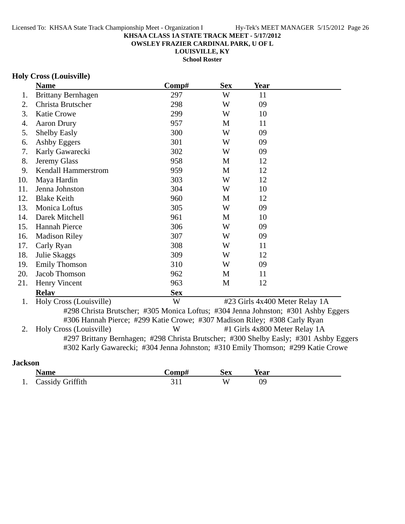**OWSLEY FRAZIER CARDINAL PARK, U OF L**

**LOUISVILLE, KY**

**School Roster**

#### **Holy Cross (Louisville)**

|     | <b>Name</b>                                                                           | Comp#      | <b>Sex</b> | <b>Year</b>                    |  |
|-----|---------------------------------------------------------------------------------------|------------|------------|--------------------------------|--|
| 1.  | <b>Brittany Bernhagen</b>                                                             | 297        | W          | 11                             |  |
| 2.  | Christa Brutscher                                                                     | 298        | W          | 09                             |  |
| 3.  | <b>Katie Crowe</b>                                                                    | 299        | W          | 10                             |  |
| 4.  | <b>Aaron Drury</b>                                                                    | 957        | M          | 11                             |  |
| 5.  | <b>Shelby Easly</b>                                                                   | 300        | W          | 09                             |  |
| 6.  | Ashby Eggers                                                                          | 301        | W          | 09                             |  |
| 7.  | Karly Gawarecki                                                                       | 302        | W          | 09                             |  |
| 8.  | Jeremy Glass                                                                          | 958        | M          | 12                             |  |
| 9.  | Kendall Hammerstrom                                                                   | 959        | M          | 12                             |  |
| 10. | Maya Hardin                                                                           | 303        | W          | 12                             |  |
| 11. | Jenna Johnston                                                                        | 304        | W          | 10                             |  |
| 12. | <b>Blake Keith</b>                                                                    | 960        | M          | 12                             |  |
| 13. | Monica Loftus                                                                         | 305        | W          | 09                             |  |
| 14. | Darek Mitchell                                                                        | 961        | M          | 10                             |  |
| 15. | <b>Hannah Pierce</b>                                                                  | 306        | W          | 09                             |  |
| 16. | <b>Madison Riley</b>                                                                  | 307        | W          | 09                             |  |
| 17. | Carly Ryan                                                                            | 308        | W          | 11                             |  |
| 18. | Julie Skaggs                                                                          | 309        | W          | 12                             |  |
| 19. | <b>Emily Thomson</b>                                                                  | 310        | W          | 09                             |  |
| 20. | Jacob Thomson                                                                         | 962        | M          | 11                             |  |
| 21. | Henry Vincent                                                                         | 963        | M          | 12                             |  |
|     | <b>Relav</b>                                                                          | <b>Sex</b> |            |                                |  |
| 1.  | Holy Cross (Louisville)                                                               | W          |            | #23 Girls 4x400 Meter Relay 1A |  |
|     | #298 Christa Brutscher; #305 Monica Loftus; #304 Jenna Johnston; #301 Ashby Eggers    |            |            |                                |  |
|     | #306 Hannah Pierce; #299 Katie Crowe; #307 Madison Riley; #308 Carly Ryan             |            |            |                                |  |
| 2.  | Holy Cross (Louisville)                                                               | W          |            | #1 Girls 4x800 Meter Relay 1A  |  |
|     | #297 Brittany Bernhagen; #298 Christa Brutscher; #300 Shelby Easly; #301 Ashby Eggers |            |            |                                |  |
|     | #302 Karly Gawarecki; #304 Jenna Johnston; #310 Emily Thomson; #299 Katie Crowe       |            |            |                                |  |
|     |                                                                                       |            |            |                                |  |

### **Jackson**

|    | Name                    | ->omp# | Sex | <b>Year</b> |
|----|-------------------------|--------|-----|-------------|
| 1. | <b>Cassidy Griffith</b> |        | v۸  | 09          |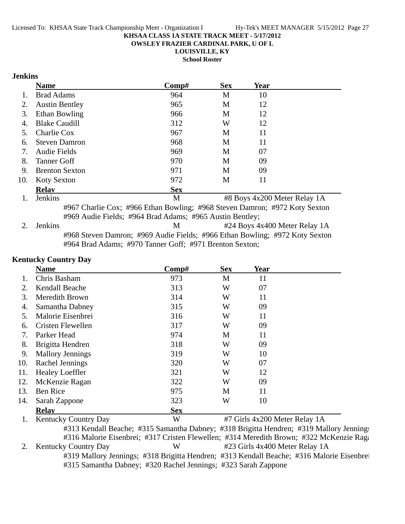**OWSLEY FRAZIER CARDINAL PARK, U OF L**

**LOUISVILLE, KY**

**School Roster**

### **Jenkins**

|     | <b>Name</b>                                              | Comp#      | <b>Sex</b> | Year                                                                       |  |  |
|-----|----------------------------------------------------------|------------|------------|----------------------------------------------------------------------------|--|--|
|     | <b>Brad Adams</b>                                        | 964        | М          | 10                                                                         |  |  |
| 2.  | <b>Austin Bentley</b>                                    | 965        | М          | 12                                                                         |  |  |
| 3.  | Ethan Bowling                                            | 966        | М          | 12                                                                         |  |  |
| 4.  | <b>Blake Caudill</b>                                     | 312        | W          | 12                                                                         |  |  |
| 5.  | Charlie Cox                                              | 967        | M          | 11                                                                         |  |  |
| 6.  | <b>Steven Damron</b>                                     | 968        | M          | 11                                                                         |  |  |
| 7.  | Audie Fields                                             | 969        | М          | 07                                                                         |  |  |
| 8.  | <b>Tanner Goff</b>                                       | 970        | M          | 09                                                                         |  |  |
| 9.  | <b>Brenton Sexton</b>                                    | 971        | М          | 09                                                                         |  |  |
| 10. | <b>Koty Sexton</b>                                       | 972        | М          | 11                                                                         |  |  |
|     | <b>Relav</b>                                             | <b>Sex</b> |            |                                                                            |  |  |
|     | <b>Jenkins</b>                                           | М          |            | #8 Boys 4x200 Meter Relay 1A                                               |  |  |
|     |                                                          |            |            | #967 Charlie Cox; #966 Ethan Bowling; #968 Steven Damron; #972 Koty Sexton |  |  |
|     | #969 Audie Fields; #964 Brad Adams; #965 Austin Bentley; |            |            |                                                                            |  |  |

2. Jenkins M #24 Boys 4x400 Meter Relay 1A #968 Steven Damron; #969 Audie Fields; #966 Ethan Bowling; #972 Koty Sexton #964 Brad Adams; #970 Tanner Goff; #971 Brenton Sexton;

#### **Kentucky Country Day**

|     | <b>Name</b>                 | Comp#      | <b>Sex</b> | Year                          |  |
|-----|-----------------------------|------------|------------|-------------------------------|--|
|     | Chris Basham                | 973        | M          | 11                            |  |
| 2.  | Kendall Beache              | 313        | W          | 07                            |  |
| 3.  | Meredith Brown              | 314        | W          | 11                            |  |
| 4.  | Samantha Dabney             | 315        | W          | 09                            |  |
| 5.  | Malorie Eisenbrei           | 316        | W          | 11                            |  |
| 6.  | Cristen Flewellen           | 317        | W          | 09                            |  |
| 7.  | Parker Head                 | 974        | M          | 11                            |  |
| 8.  | Brigitta Hendren            | 318        | W          | 09                            |  |
| 9.  | <b>Mallory Jennings</b>     | 319        | W          | 10                            |  |
| 10. | Rachel Jennings             | 320        | W          | 07                            |  |
| 11. | <b>Healey Loeffler</b>      | 321        | W          | 12                            |  |
| 12. | McKenzie Ragan              | 322        | W          | 09                            |  |
| 13. | <b>Ben Rice</b>             | 975        | M          | 11                            |  |
| 14. | Sarah Zappone               | 323        | W          | 10                            |  |
|     | <b>Relav</b>                | <b>Sex</b> |            |                               |  |
|     | <b>Kentucky Country Day</b> | W          |            | #7 Girls 4x200 Meter Relay 1A |  |

#313 Kendall Beache; #315 Samantha Dabney; #318 Brigitta Hendren; #319 Mallory Jennings #316 Malorie Eisenbrei; #317 Cristen Flewellen; #314 Meredith Brown; #322 McKenzie Raga 2. Kentucky Country Day W #23 Girls 4x400 Meter Relay 1A #319 Mallory Jennings; #318 Brigitta Hendren; #313 Kendall Beache; #316 Malorie Eisenbrei #315 Samantha Dabney; #320 Rachel Jennings; #323 Sarah Zappone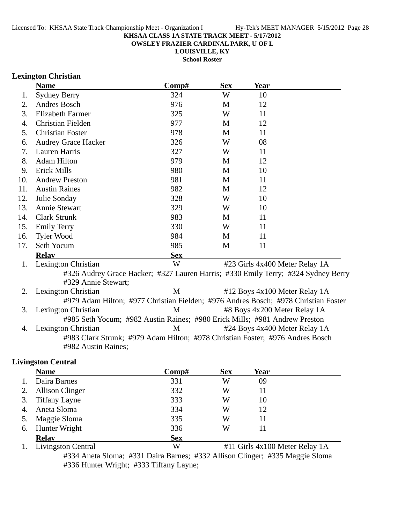**OWSLEY FRAZIER CARDINAL PARK, U OF L**

**LOUISVILLE, KY School Roster**

### **Lexington Christian**

|     | <b>Name</b>                                                                        | Comp#      | <b>Sex</b> | Year |                                |
|-----|------------------------------------------------------------------------------------|------------|------------|------|--------------------------------|
| 1.  | <b>Sydney Berry</b>                                                                | 324        | W          | 10   |                                |
| 2.  | Andres Bosch                                                                       | 976        | M          | 12   |                                |
| 3.  | <b>Elizabeth Farmer</b>                                                            | 325        | W          | 11   |                                |
| 4.  | Christian Fielden                                                                  | 977        | M          | 12   |                                |
| 5.  | <b>Christian Foster</b>                                                            | 978        | M          | 11   |                                |
| 6.  | <b>Audrey Grace Hacker</b>                                                         | 326        | W          | 08   |                                |
| 7.  | Lauren Harris                                                                      | 327        | W          | 11   |                                |
| 8.  | <b>Adam Hilton</b>                                                                 | 979        | M          | 12   |                                |
| 9.  | <b>Erick Mills</b>                                                                 | 980        | M          | 10   |                                |
| 10. | <b>Andrew Preston</b>                                                              | 981        | M          | 11   |                                |
| 11. | <b>Austin Raines</b>                                                               | 982        | M          | 12   |                                |
| 12. | Julie Sonday                                                                       | 328        | W          | 10   |                                |
| 13. | <b>Annie Stewart</b>                                                               | 329        | W          | 10   |                                |
| 14. | <b>Clark Strunk</b>                                                                | 983        | M          | 11   |                                |
| 15. | <b>Emily Terry</b>                                                                 | 330        | W          | 11   |                                |
| 16. | <b>Tyler Wood</b>                                                                  | 984        | M          | 11   |                                |
| 17. | Seth Yocum                                                                         | 985        | M          | 11   |                                |
|     | <b>Relav</b>                                                                       | <b>Sex</b> |            |      |                                |
| 1.  | Lexington Christian                                                                | W          |            |      | #23 Girls 4x400 Meter Relay 1A |
|     | #326 Audrey Grace Hacker; #327 Lauren Harris; #330 Emily Terry; #324 Sydney Berry  |            |            |      |                                |
|     | #329 Annie Stewart;                                                                |            |            |      |                                |
| 2.  | Lexington Christian                                                                | M          |            |      | #12 Boys 4x100 Meter Relay 1A  |
|     | #979 Adam Hilton; #977 Christian Fielden; #976 Andres Bosch; #978 Christian Foster |            |            |      |                                |
| 3.  | Lexington Christian                                                                | M          |            |      | #8 Boys 4x200 Meter Relay 1A   |
|     | #985 Seth Yocum; #982 Austin Raines; #980 Erick Mills; #981 Andrew Preston         |            |            |      |                                |
| 4.  | Lexington Christian                                                                | M          |            |      | #24 Boys 4x400 Meter Relay 1A  |
|     | #983 Clark Strunk; #979 Adam Hilton; #978 Christian Foster; #976 Andres Bosch      |            |            |      |                                |
|     | #982 Austin Raines;                                                                |            |            |      |                                |
|     |                                                                                    |            |            |      |                                |

### **Livingston Central**

|    | <b>Name</b>            | Comp#      | <b>Sex</b> | Year |  |
|----|------------------------|------------|------------|------|--|
|    | Daira Barnes           | 331        | W          | 09   |  |
| 2. | <b>Allison Clinger</b> | 332        | W          | 11   |  |
| 3. | <b>Tiffany Layne</b>   | 333        | W          | 10   |  |
| 4. | Aneta Sloma            | 334        | W          | 12   |  |
|    | Maggie Sloma           | 335        | W          | 11   |  |
|    | 6. Hunter Wright       | 336        | W          | 11   |  |
|    | <b>Relav</b>           | <b>Sex</b> |            |      |  |
|    |                        |            |            |      |  |

1. Livingston Central W #11 Girls 4x100 Meter Relay 1A #334 Aneta Sloma; #331 Daira Barnes; #332 Allison Clinger; #335 Maggie Sloma #336 Hunter Wright; #333 Tiffany Layne;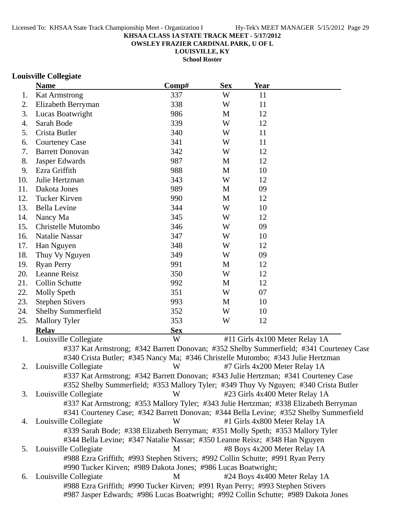**OWSLEY FRAZIER CARDINAL PARK, U OF L**

**LOUISVILLE, KY**

**School Roster**

### **Louisville Collegiate**

|     | <b>Name</b>                                                                          | Comp#      | <b>Sex</b> | <b>Year</b> |                                                                                        |
|-----|--------------------------------------------------------------------------------------|------------|------------|-------------|----------------------------------------------------------------------------------------|
| 1.  | <b>Kat Armstrong</b>                                                                 | 337        | W          | 11          |                                                                                        |
| 2.  | Elizabeth Berryman                                                                   | 338        | W          | 11          |                                                                                        |
| 3.  | Lucas Boatwright                                                                     | 986        | M          | 12          |                                                                                        |
| 4.  | Sarah Bode                                                                           | 339        | W          | 12          |                                                                                        |
| 5.  | Crista Butler                                                                        | 340        | W          | 11          |                                                                                        |
| 6.  | <b>Courteney Case</b>                                                                | 341        | W          | 11          |                                                                                        |
| 7.  | <b>Barrett Donovan</b>                                                               | 342        | W          | 12          |                                                                                        |
| 8.  | Jasper Edwards                                                                       | 987        | M          | 12          |                                                                                        |
| 9.  | Ezra Griffith                                                                        | 988        | M          | 10          |                                                                                        |
| 10. | Julie Hertzman                                                                       | 343        | W          | 12          |                                                                                        |
| 11. | Dakota Jones                                                                         | 989        | M          | 09          |                                                                                        |
| 12. | Tucker Kirven                                                                        | 990        | M          | 12          |                                                                                        |
| 13. | <b>Bella Levine</b>                                                                  | 344        | W          | 10          |                                                                                        |
| 14. | Nancy Ma                                                                             | 345        | W          | 12          |                                                                                        |
| 15. | Christelle Mutombo                                                                   | 346        | W          | 09          |                                                                                        |
| 16. | <b>Natalie Nassar</b>                                                                | 347        | W          | 10          |                                                                                        |
| 17. | Han Nguyen                                                                           | 348        | W          | 12          |                                                                                        |
| 18. | Thuy Vy Nguyen                                                                       | 349        | W          | 09          |                                                                                        |
| 19. | <b>Ryan Perry</b>                                                                    | 991        | M          | 12          |                                                                                        |
| 20. | Leanne Reisz                                                                         | 350        | W          | 12          |                                                                                        |
| 21. | <b>Collin Schutte</b>                                                                | 992        | M          | 12          |                                                                                        |
| 22. | <b>Molly Speth</b>                                                                   | 351        | W          | 07          |                                                                                        |
| 23. | <b>Stephen Stivers</b>                                                               | 993        | M          | 10          |                                                                                        |
| 24. | <b>Shelby Summerfield</b>                                                            | 352        | W          | 10          |                                                                                        |
| 25. | <b>Mallory Tyler</b>                                                                 | 353        | W          | 12          |                                                                                        |
|     | <b>Relay</b>                                                                         | <b>Sex</b> |            |             |                                                                                        |
| 1.  | Louisville Collegiate                                                                | W          |            |             | #11 Girls 4x100 Meter Relay 1A                                                         |
|     |                                                                                      |            |            |             | #337 Kat Armstrong; #342 Barrett Donovan; #352 Shelby Summerfield; #341 Courteney Case |
|     | #340 Crista Butler; #345 Nancy Ma; #346 Christelle Mutombo; #343 Julie Hertzman      |            |            |             |                                                                                        |
| 2.  | Louisville Collegiate                                                                | W          |            |             | #7 Girls 4x200 Meter Relay 1A                                                          |
|     | #337 Kat Armstrong; #342 Barrett Donovan; #343 Julie Hertzman; #341 Courteney Case   |            |            |             |                                                                                        |
|     | #352 Shelby Summerfield; #353 Mallory Tyler; #349 Thuy Vy Nguyen; #340 Crista Butler |            |            |             |                                                                                        |
| 3.  | Louisville Collegiate                                                                | W          |            |             | #23 Girls 4x400 Meter Relay 1A                                                         |
|     | #337 Kat Armstrong; #353 Mallory Tyler; #343 Julie Hertzman; #338 Elizabeth Berryman |            |            |             |                                                                                        |
|     |                                                                                      |            |            |             | #341 Courteney Case; #342 Barrett Donovan; #344 Bella Levine; #352 Shelby Summerfield  |
| 4.  | Louisville Collegiate                                                                | W          |            |             | #1 Girls 4x800 Meter Relay 1A                                                          |
|     | #339 Sarah Bode; #338 Elizabeth Berryman; #351 Molly Speth; #353 Mallory Tyler       |            |            |             |                                                                                        |
|     | #344 Bella Levine; #347 Natalie Nassar; #350 Leanne Reisz; #348 Han Nguyen           |            |            |             |                                                                                        |
| 5.  | Louisville Collegiate                                                                | М          |            |             | #8 Boys 4x200 Meter Relay 1A                                                           |
|     | #988 Ezra Griffith; #993 Stephen Stivers; #992 Collin Schutte; #991 Ryan Perry       |            |            |             |                                                                                        |
|     | #990 Tucker Kirven; #989 Dakota Jones; #986 Lucas Boatwright;                        |            |            |             |                                                                                        |
| 6.  | Louisville Collegiate                                                                | M          |            |             | #24 Boys 4x400 Meter Relay 1A                                                          |
|     | #988 Ezra Griffith; #990 Tucker Kirven; #991 Ryan Perry; #993 Stephen Stivers        |            |            |             |                                                                                        |
|     | #987 Jasper Edwards; #986 Lucas Boatwright; #992 Collin Schutte; #989 Dakota Jones   |            |            |             |                                                                                        |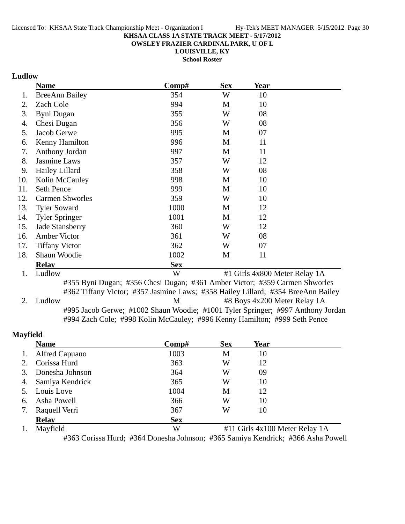**OWSLEY FRAZIER CARDINAL PARK, U OF L**

**LOUISVILLE, KY**

**School Roster**

### **Ludlow**

|     | <b>Name</b>            | Comp#                                                                                                                                                          | <b>Sex</b> | Year                          |  |
|-----|------------------------|----------------------------------------------------------------------------------------------------------------------------------------------------------------|------------|-------------------------------|--|
| 1.  | <b>BreeAnn Bailey</b>  | 354                                                                                                                                                            | W          | 10                            |  |
| 2.  | Zach Cole              | 994                                                                                                                                                            | M          | 10                            |  |
| 3.  | Byni Dugan             | 355                                                                                                                                                            | W          | 08                            |  |
| 4.  | Chesi Dugan            | 356                                                                                                                                                            | W          | 08                            |  |
| 5.  | Jacob Gerwe            | 995                                                                                                                                                            | M          | 07                            |  |
| 6.  | Kenny Hamilton         | 996                                                                                                                                                            | M          | 11                            |  |
| 7.  | Anthony Jordan         | 997                                                                                                                                                            | M          | 11                            |  |
| 8.  | Jasmine Laws           | 357                                                                                                                                                            | W          | 12                            |  |
| 9.  | Hailey Lillard         | 358                                                                                                                                                            | W          | 08                            |  |
| 10. | Kolin McCauley         | 998                                                                                                                                                            | M          | 10                            |  |
| 11. | <b>Seth Pence</b>      | 999                                                                                                                                                            | M          | 10                            |  |
| 12. | <b>Carmen Shworles</b> | 359                                                                                                                                                            | W          | 10                            |  |
| 13. | <b>Tyler Soward</b>    | 1000                                                                                                                                                           | M          | 12                            |  |
| 14. | <b>Tyler Springer</b>  | 1001                                                                                                                                                           | M          | 12                            |  |
| 15. | Jade Stansberry        | 360                                                                                                                                                            | W          | 12                            |  |
| 16. | Amber Victor           | 361                                                                                                                                                            | W          | 08                            |  |
| 17. | <b>Tiffany Victor</b>  | 362                                                                                                                                                            | W          | 07                            |  |
| 18. | Shaun Woodie           | 1002                                                                                                                                                           | M          | 11                            |  |
|     | <b>Relay</b>           | <b>Sex</b>                                                                                                                                                     |            |                               |  |
| 1.  | Ludlow                 | W                                                                                                                                                              |            | #1 Girls 4x800 Meter Relay 1A |  |
|     |                        | #355 Byni Dugan; #356 Chesi Dugan; #361 Amber Victor; #359 Carmen Shworles<br>#362 Tiffany Victor; #357 Jasmine Laws; #358 Hailey Lillard; #354 BreeAnn Bailey |            |                               |  |

2. Ludlow M #8 Boys 4x200 Meter Relay 1A #995 Jacob Gerwe; #1002 Shaun Woodie; #1001 Tyler Springer; #997 Anthony Jordan #994 Zach Cole; #998 Kolin McCauley; #996 Kenny Hamilton; #999 Seth Pence

#### **Mayfield**

|    | <b>Name</b>     | Comp#      | <b>Sex</b>                     | Year |  |  |
|----|-----------------|------------|--------------------------------|------|--|--|
| 1. | Alfred Capuano  | 1003       | M                              | 10   |  |  |
| 2. | Corissa Hurd    | 363        | W                              | 12   |  |  |
| 3. | Donesha Johnson | 364        | W                              | 09   |  |  |
| 4. | Samiya Kendrick | 365        | W                              | 10   |  |  |
|    | 5. Louis Love   | 1004       | M                              | 12   |  |  |
| 6. | Asha Powell     | 366        | W                              | 10   |  |  |
| 7. | Raquell Verri   | 367        | W                              | 10   |  |  |
|    | <b>Relay</b>    | <b>Sex</b> |                                |      |  |  |
|    | Mayfield        | W          | #11 Girls 4x100 Meter Relay 1A |      |  |  |

#363 Corissa Hurd; #364 Donesha Johnson; #365 Samiya Kendrick; #366 Asha Powell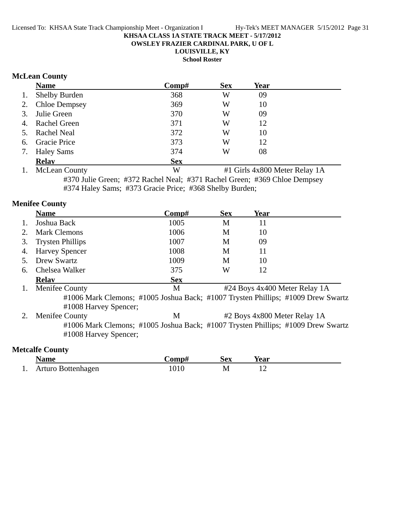**OWSLEY FRAZIER CARDINAL PARK, U OF L**

**LOUISVILLE, KY**

**School Roster**

#### **McLean County**

|    | <b>Name</b>          | Comp#      | <b>Sex</b> | Year |  |
|----|----------------------|------------|------------|------|--|
| 1. | <b>Shelby Burden</b> | 368        | W          | 09   |  |
|    | 2. Chloe Dempsey     | 369        | W          | 10   |  |
|    | 3. Julie Green       | 370        | W          | 09   |  |
|    | 4. Rachel Green      | 371        | W          | 12   |  |
|    | 5. Rachel Neal       | 372        | W          | 10   |  |
|    | 6. Gracie Price      | 373        | W          | 12   |  |
| 7. | <b>Haley Sams</b>    | 374        | W          | 08   |  |
|    | <b>Relav</b>         | <b>Sex</b> |            |      |  |

1. McLean County W #1 Girls 4x800 Meter Relay 1A #370 Julie Green; #372 Rachel Neal; #371 Rachel Green; #369 Chloe Dempsey #374 Haley Sams; #373 Gracie Price; #368 Shelby Burden;

### **Menifee County Name Comp#** Sex Year 1. Joshua Back 1005 M 11 2. Mark Clemons 1006 M 10 3. Trysten Phillips 1007 M 09 4. Harvey Spencer 1008 M 11 5. Drew Swartz 1009 M 10 6. Chelsea Walker 375 W 12 **Relay**<br> **Sex**<br> **Relay**<br> **Sex**<br> **Sex**<br> **M** M #24 Boys 4x400 Meter Relay 1A #1006 Mark Clemons; #1005 Joshua Back; #1007 Trysten Phillips; #1009 Drew Swartz #1008 Harvey Spencer; 2. Menifee County M #2 Boys 4x800 Meter Relay 1A #1006 Mark Clemons; #1005 Joshua Back; #1007 Trysten Phillips; #1009 Drew Swartz #1008 Harvey Spencer; **Metcalfe County**

|     | √ame               | 'omn# | Sex | rear |  |
|-----|--------------------|-------|-----|------|--|
| . . | Arturo Bottenhagen |       | M   |      |  |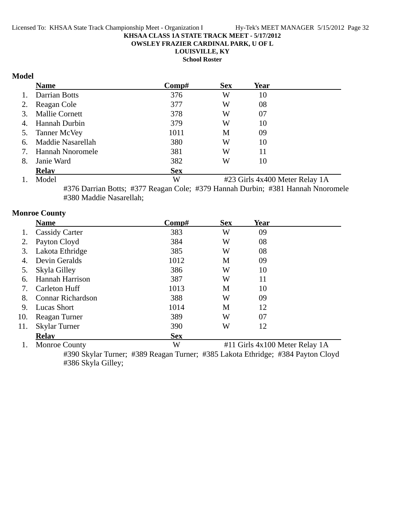**OWSLEY FRAZIER CARDINAL PARK, U OF L**

**LOUISVILLE, KY**

**School Roster**

### **Model**

|    | <b>Name</b>           | Comp#      | <b>Sex</b>                     | Year |  |  |
|----|-----------------------|------------|--------------------------------|------|--|--|
| 1. | Darrian Botts         | 376        | W                              | 10   |  |  |
| 2. | Reagan Cole           | 377        | W                              | 08   |  |  |
| 3. | <b>Mallie Cornett</b> | 378        | W                              | 07   |  |  |
| 4. | Hannah Durbin         | 379        | W                              | 10   |  |  |
|    | 5. Tanner McVey       | 1011       | M                              | 09   |  |  |
| 6. | Maddie Nasarellah     | 380        | W                              | 10   |  |  |
| 7. | Hannah Nnoromele      | 381        | W                              | 11   |  |  |
| 8. | Janie Ward            | 382        | W                              | 10   |  |  |
|    | <b>Relay</b>          | <b>Sex</b> |                                |      |  |  |
| 1. | Model                 | W          | #23 Girls 4x400 Meter Relay 1A |      |  |  |

#376 Darrian Botts; #377 Reagan Cole; #379 Hannah Durbin; #381 Hannah Nnoromele #380 Maddie Nasarellah;

### **Monroe County**

|     | <b>Name</b>              | $\bf Comp\#$ | <b>Sex</b>                     | <b>Year</b> |  |  |
|-----|--------------------------|--------------|--------------------------------|-------------|--|--|
|     | <b>Cassidy Carter</b>    | 383          | W                              | 09          |  |  |
| 2.  | Payton Cloyd             | 384          | W                              | 08          |  |  |
| 3.  | Lakota Ethridge          | 385          | W                              | 08          |  |  |
| 4.  | Devin Geralds            | 1012         | M                              | 09          |  |  |
| 5.  | Skyla Gilley             | 386          | W                              | 10          |  |  |
| 6.  | Hannah Harrison          | 387          | W                              | 11          |  |  |
| 7.  | <b>Carleton Huff</b>     | 1013         | M                              | 10          |  |  |
| 8.  | <b>Connar Richardson</b> | 388          | W                              | 09          |  |  |
| 9.  | Lucas Short              | 1014         | M                              | 12          |  |  |
| 10. | Reagan Turner            | 389          | W                              | 07          |  |  |
| 11. | <b>Skylar Turner</b>     | 390          | W                              | 12          |  |  |
|     | <b>Relav</b>             | <b>Sex</b>   |                                |             |  |  |
|     | <b>Monroe County</b>     | W            | #11 Girls 4x100 Meter Relay 1A |             |  |  |

#390 Skylar Turner; #389 Reagan Turner; #385 Lakota Ethridge; #384 Payton Cloyd #386 Skyla Gilley;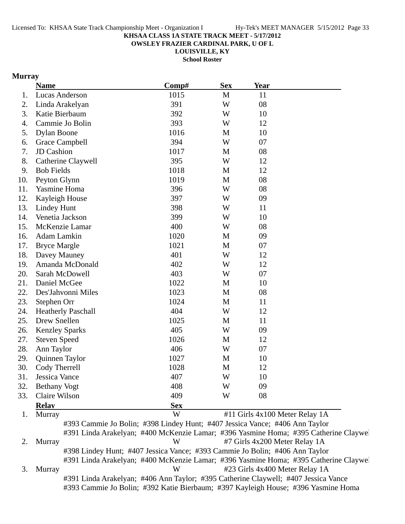**OWSLEY FRAZIER CARDINAL PARK, U OF L**

**LOUISVILLE, KY**

**School Roster**

### **Murray**

|     | <b>Name</b>               | Comp#      | <b>Sex</b>   | Year |  |
|-----|---------------------------|------------|--------------|------|--|
|     | Lucas Anderson            | 1015       | M            | 11   |  |
|     | Linda Arakelyan           | 391        | W            | 08   |  |
|     | Katie Bierbaum            | 392        | W            | 10   |  |
|     | Cammie Jo Bolin           | 393        | W            | 12   |  |
|     | <b>Dylan Boone</b>        | 1016       | M            | 10   |  |
|     | Grace Campbell            | 394        | W            | 07   |  |
|     | JD Cashion                | 1017       | M            | 08   |  |
|     | Catherine Claywell        | 395        | W            | 12   |  |
|     | <b>Bob Fields</b>         | 1018       | M            | 12   |  |
|     | Peyton Glynn              | 1019       | $\mathbf{M}$ | 08   |  |
|     | Yasmine Homa              | 396        | W            | 08   |  |
|     | Kayleigh House            | 397        | W            | 09   |  |
|     | <b>Lindey Hunt</b>        | 398        | W            | 11   |  |
|     | Venetia Jackson           | 399        | W            | 10   |  |
|     | McKenzie Lamar            | 400        | W            | 08   |  |
|     | Adam Lamkin               | 1020       | M            | 09   |  |
|     | <b>Bryce Margle</b>       | 1021       | M            | 07   |  |
| 18. | Davey Mauney              | 401        | W            | 12   |  |
|     | Amanda McDonald           | 402        | W            | 12   |  |
|     | Sarah McDowell            | 403        | W            | 07   |  |
|     | Daniel McGee              | 1022       | M            | 10   |  |
|     | Des'Jahvonni Miles        | 1023       | M            | 08   |  |
|     | Stephen Orr               | 1024       | M            | 11   |  |
|     | <b>Heatherly Paschall</b> | 404        | W            | 12   |  |
|     | Drew Snellen              | 1025       | $\mathbf{M}$ | 11   |  |
|     | <b>Kenzley Sparks</b>     | 405        | W            | 09   |  |
|     | <b>Steven Speed</b>       | 1026       | M            | 12   |  |
|     | Ann Taylor                | 406        | W            | 07   |  |
|     | Quinnen Taylor            | 1027       | M            | 10   |  |
|     | Cody Therrell             | 1028       | M            | 12   |  |
|     | Jessica Vance             | 407        | W            | 10   |  |
|     | <b>Bethany Vogt</b>       | 408        | W            | 09   |  |
|     | Claire Wilson             | 409        | W            | 08   |  |
|     | <b>Relay</b>              | <b>Sex</b> |              |      |  |
|     |                           |            |              |      |  |

#391 Linda Arakelyan; #400 McKenzie Lamar; #396 Yasmine Homa; #395 Catherine Claywel 3. Murray W #23 Girls 4x400 Meter Relay 1A

> #391 Linda Arakelyan; #406 Ann Taylor; #395 Catherine Claywell; #407 Jessica Vance #393 Cammie Jo Bolin; #392 Katie Bierbaum; #397 Kayleigh House; #396 Yasmine Homa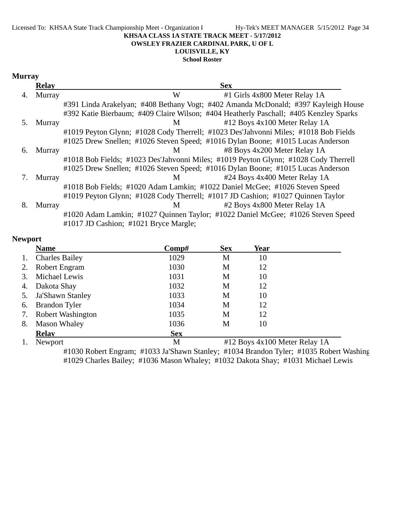#### Licensed To: KHSAA State Track Championship Meet - Organization I Hy-Tek's MEET MANAGER 5/15/2012 Page 34 **KHSAA CLASS 1A STATE TRACK MEET - 5/17/2012 OWSLEY FRAZIER CARDINAL PARK, U OF L**

## **LOUISVILLE, KY**

**School Roster**

#### **Murray**

|    | <b>Relay</b> | <b>Sex</b>                                                                                                               |
|----|--------------|--------------------------------------------------------------------------------------------------------------------------|
| 4. | Murray       | W<br>#1 Girls 4x800 Meter Relay 1A                                                                                       |
|    |              | #391 Linda Arakelyan; #408 Bethany Vogt; #402 Amanda McDonald; #397 Kayleigh House                                       |
|    |              | #392 Katie Bierbaum; #409 Claire Wilson; #404 Heatherly Paschall; #405 Kenzley Sparks                                    |
| 5. | Murray       | #12 Boys 4x100 Meter Relay 1A<br>M                                                                                       |
|    |              | #1019 Peyton Glynn; #1028 Cody Therrell; #1023 Des'Jahvonni Miles; #1018 Bob Fields                                      |
|    |              | #1025 Drew Snellen; #1026 Steven Speed; #1016 Dylan Boone; #1015 Lucas Anderson                                          |
| 6. | Murray       | #8 Boys 4x200 Meter Relay 1A<br>M                                                                                        |
|    |              | #1018 Bob Fields; #1023 Des'Jahvonni Miles; #1019 Peyton Glynn; #1028 Cody Therrell                                      |
|    |              | #1025 Drew Snellen; #1026 Steven Speed; #1016 Dylan Boone; #1015 Lucas Anderson                                          |
|    | Murray       | #24 Boys 4x400 Meter Relay 1A<br>M                                                                                       |
|    |              | #1018 Bob Fields; #1020 Adam Lamkin; #1022 Daniel McGee; #1026 Steven Speed                                              |
|    |              | #1019 Peyton Glynn; #1028 Cody Therrell; #1017 JD Cashion; #1027 Quinnen Taylor                                          |
| 8. | Murray       | #2 Boys 4x800 Meter Relay 1A<br>M                                                                                        |
|    |              | #1020 Adam Lamkin; #1027 Quinnen Taylor; #1022 Daniel McGee; #1026 Steven Speed<br>#1017 JD Cashion; #1021 Bryce Margle; |

#### **Newport**

|    | <b>Name</b>              | $\bf Comp\#$ | <b>Sex</b>                    | Year |  |  |
|----|--------------------------|--------------|-------------------------------|------|--|--|
| 1. | <b>Charles Bailey</b>    | 1029         | М                             | 10   |  |  |
|    | Robert Engram            | 1030         | M                             | 12   |  |  |
| 3. | Michael Lewis            | 1031         | М                             | 10   |  |  |
| 4. | Dakota Shay              | 1032         | M                             | 12   |  |  |
| 5. | Ja'Shawn Stanley         | 1033         | М                             | 10   |  |  |
| 6. | <b>Brandon Tyler</b>     | 1034         | M                             | 12   |  |  |
| 7. | <b>Robert Washington</b> | 1035         | M                             | 12   |  |  |
| 8. | <b>Mason Whaley</b>      | 1036         | М                             | 10   |  |  |
|    | <b>Relav</b>             | <b>Sex</b>   |                               |      |  |  |
|    | Newport                  | M            | #12 Boys 4x100 Meter Relay 1A |      |  |  |

#1030 Robert Engram; #1033 Ja'Shawn Stanley; #1034 Brandon Tyler; #1035 Robert Washing #1029 Charles Bailey; #1036 Mason Whaley; #1032 Dakota Shay; #1031 Michael Lewis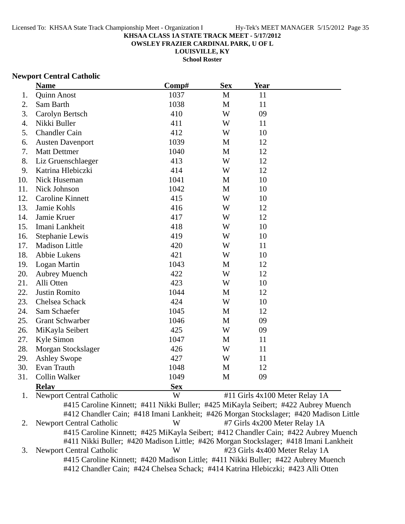**OWSLEY FRAZIER CARDINAL PARK, U OF L**

**LOUISVILLE, KY**

**School Roster**

#### **Newport Central Catholic**

|     | <b>Name</b>                     | Comp#      | <b>Sex</b>   | Year                           |  |
|-----|---------------------------------|------------|--------------|--------------------------------|--|
| 1.  | <b>Quinn Anost</b>              | 1037       | $\mathbf{M}$ | 11                             |  |
| 2.  | Sam Barth                       | 1038       | $\mathbf{M}$ | 11                             |  |
| 3.  | Carolyn Bertsch                 | 410        | W            | 09                             |  |
| 4.  | Nikki Buller                    | 411        | W            | 11                             |  |
| 5.  | <b>Chandler Cain</b>            | 412        | W            | 10                             |  |
| 6.  | <b>Austen Davenport</b>         | 1039       | M            | 12                             |  |
| 7.  | <b>Matt Dettmer</b>             | 1040       | M            | 12                             |  |
| 8.  | Liz Gruenschlaeger              | 413        | W            | 12                             |  |
| 9.  | Katrina Hlebiczki               | 414        | W            | 12                             |  |
| 10. | Nick Huseman                    | 1041       | M            | 10                             |  |
| 11. | Nick Johnson                    | 1042       | M            | 10                             |  |
| 12. | <b>Caroline Kinnett</b>         | 415        | W            | 10                             |  |
| 13. | Jamie Kohls                     | 416        | W            | 12                             |  |
| 14. | Jamie Kruer                     | 417        | W            | 12                             |  |
| 15. | Imani Lankheit                  | 418        | W            | 10                             |  |
| 16. | Stephanie Lewis                 | 419        | W            | 10                             |  |
| 17. | <b>Madison Little</b>           | 420        | W            | 11                             |  |
| 18. | Abbie Lukens                    | 421        | W            | 10                             |  |
| 19. | Logan Martin                    | 1043       | M            | 12                             |  |
| 20. | <b>Aubrey Muench</b>            | 422        | W            | 12                             |  |
| 21. | Alli Otten                      | 423        | W            | 10                             |  |
| 22. | <b>Justin Romito</b>            | 1044       | M            | 12                             |  |
| 23. | Chelsea Schack                  | 424        | W            | 10                             |  |
| 24. | Sam Schaefer                    | 1045       | M            | 12                             |  |
| 25. | <b>Grant Schwarber</b>          | 1046       | M            | 09                             |  |
| 26. | MiKayla Seibert                 | 425        | W            | 09                             |  |
| 27. | Kyle Simon                      | 1047       | M            | 11                             |  |
| 28. | Morgan Stockslager              | 426        | W            | 11                             |  |
| 29. | <b>Ashley Swope</b>             | 427        | W            | 11                             |  |
| 30. | Evan Trauth                     | 1048       | M            | 12                             |  |
| 31. | Collin Walker                   | 1049       | M            | 09                             |  |
|     | <b>Relay</b>                    | <b>Sex</b> |              |                                |  |
| 1.  | <b>Newport Central Catholic</b> | W          |              | #11 Girls 4x100 Meter Relay 1A |  |

#415 Caroline Kinnett; #411 Nikki Buller; #425 MiKayla Seibert; #422 Aubrey Muench #412 Chandler Cain; #418 Imani Lankheit; #426 Morgan Stockslager; #420 Madison Little 2. Newport Central Catholic W #7 Girls 4x200 Meter Relay 1A #415 Caroline Kinnett; #425 MiKayla Seibert; #412 Chandler Cain; #422 Aubrey Muench #411 Nikki Buller; #420 Madison Little; #426 Morgan Stockslager; #418 Imani Lankheit 3. Newport Central Catholic W #23 Girls 4x400 Meter Relay 1A #415 Caroline Kinnett; #420 Madison Little; #411 Nikki Buller; #422 Aubrey Muench #412 Chandler Cain; #424 Chelsea Schack; #414 Katrina Hlebiczki; #423 Alli Otten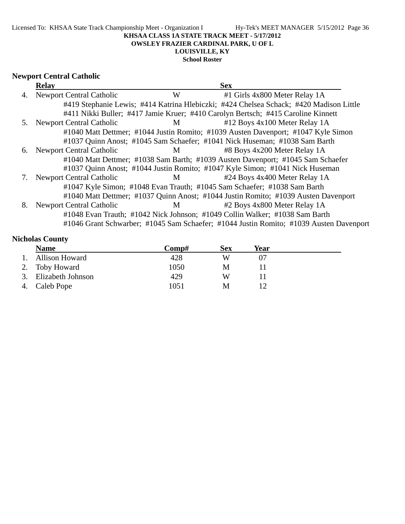Licensed To: KHSAA State Track Championship Meet - Organization I Hy-Tek's MEET MANAGER 5/15/2012 Page 36

#### **KHSAA CLASS 1A STATE TRACK MEET - 5/17/2012**

**OWSLEY FRAZIER CARDINAL PARK, U OF L**

### **LOUISVILLE, KY**

**School Roster**

## **Newport Central Catholic**

|    | <b>Relay</b>                    |                | <b>Sex</b>                                                                             |  |
|----|---------------------------------|----------------|----------------------------------------------------------------------------------------|--|
| 4. | <b>Newport Central Catholic</b> | W              | #1 Girls 4x800 Meter Relay 1A                                                          |  |
|    |                                 |                | #419 Stephanie Lewis; #414 Katrina Hlebiczki; #424 Chelsea Schack; #420 Madison Little |  |
|    |                                 |                | #411 Nikki Buller; #417 Jamie Kruer; #410 Carolyn Bertsch; #415 Caroline Kinnett       |  |
| 5. | <b>Newport Central Catholic</b> | M              | #12 Boys 4x100 Meter Relay 1A                                                          |  |
|    |                                 |                | #1040 Matt Dettmer; #1044 Justin Romito; #1039 Austen Davenport; #1047 Kyle Simon      |  |
|    |                                 |                | #1037 Quinn Anost; #1045 Sam Schaefer; #1041 Nick Huseman; #1038 Sam Barth             |  |
| 6. | <b>Newport Central Catholic</b> | $M \sim$       | #8 Boys 4x200 Meter Relay 1A                                                           |  |
|    |                                 |                | #1040 Matt Dettmer; #1038 Sam Barth; #1039 Austen Davenport; #1045 Sam Schaefer        |  |
|    |                                 |                | #1037 Quinn Anost; #1044 Justin Romito; #1047 Kyle Simon; #1041 Nick Huseman           |  |
|    | <b>Newport Central Catholic</b> | $\mathbf M$    | #24 Boys 4x400 Meter Relay 1A                                                          |  |
|    |                                 |                | #1047 Kyle Simon; #1048 Evan Trauth; #1045 Sam Schaefer; #1038 Sam Barth               |  |
|    |                                 |                | #1040 Matt Dettmer; #1037 Quinn Anost; #1044 Justin Romito; #1039 Austen Davenport     |  |
| 8. | <b>Newport Central Catholic</b> | M <sub>1</sub> | #2 Boys 4x800 Meter Relay 1A                                                           |  |
|    |                                 |                | #1048 Evan Trauth; #1042 Nick Johnson; #1049 Collin Walker; #1038 Sam Barth            |  |
|    |                                 |                | #1046 Grant Schwarber; #1045 Sam Schaefer; #1044 Justin Romito; #1039 Austen Davenport |  |

### **Nicholas County**

|    | <b>Name</b>           | Comp# | Sex | Year |
|----|-----------------------|-------|-----|------|
|    | <b>Allison Howard</b> | 428   | W   |      |
|    | 2. Toby Howard        | 1050  | M   |      |
| 3. | Elizabeth Johnson     | 429   | W   |      |
|    | 4. Caleb Pope         | 1051  | M   |      |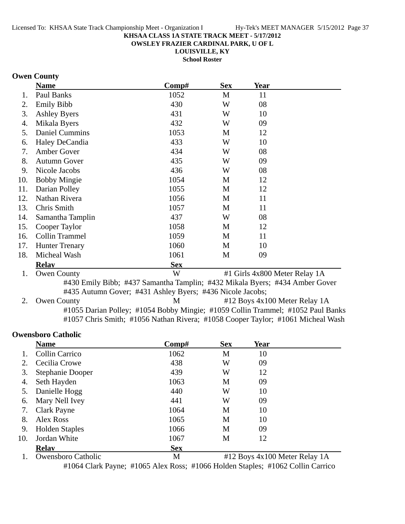**OWSLEY FRAZIER CARDINAL PARK, U OF L**

**LOUISVILLE, KY School Roster**

### **Owen County**

|     | <b>Name</b>                                                                 | Comp#      | <b>Sex</b> | Year                          |  |  |
|-----|-----------------------------------------------------------------------------|------------|------------|-------------------------------|--|--|
| 1.  | Paul Banks                                                                  | 1052       | M          | 11                            |  |  |
| 2.  | <b>Emily Bibb</b>                                                           | 430        | W          | 08                            |  |  |
| 3.  | <b>Ashley Byers</b>                                                         | 431        | W          | 10                            |  |  |
| 4.  | Mikala Byers                                                                | 432        | W          | 09                            |  |  |
| 5.  | <b>Daniel Cummins</b>                                                       | 1053       | M          | 12                            |  |  |
| 6.  | Haley DeCandia                                                              | 433        | W          | 10                            |  |  |
| 7.  | Amber Gover                                                                 | 434        | W          | 08                            |  |  |
| 8.  | <b>Autumn Gover</b>                                                         | 435        | W          | 09                            |  |  |
| 9.  | Nicole Jacobs                                                               | 436        | W          | 08                            |  |  |
| 10. | <b>Bobby Mingie</b>                                                         | 1054       | M          | 12                            |  |  |
| 11. | Darian Polley                                                               | 1055       | M          | 12                            |  |  |
| 12. | Nathan Rivera                                                               | 1056       | M          | 11                            |  |  |
| 13. | Chris Smith                                                                 | 1057       | M          | 11                            |  |  |
| 14. | Samantha Tamplin                                                            | 437        | W          | 08                            |  |  |
| 15. | Cooper Taylor                                                               | 1058       | М          | 12                            |  |  |
| 16. | Collin Trammel                                                              | 1059       | M          | 11                            |  |  |
| 17. | <b>Hunter Trenary</b>                                                       | 1060       | M          | 10                            |  |  |
| 18. | Micheal Wash                                                                | 1061       | M          | 09                            |  |  |
|     | <b>Relay</b>                                                                | <b>Sex</b> |            |                               |  |  |
| 1.  | <b>Owen County</b>                                                          | W          |            | #1 Girls 4x800 Meter Relay 1A |  |  |
|     | #430 Emily Ribb: #437 Samantha Tamplin: #432 Mikala Ryers: #434 Amber Gover |            |            |                               |  |  |

#430 Emily Bibb; #437 Samantha Tamplin; #432 Mikala Byers; #434 Amber Gover #435 Autumn Gover; #431 Ashley Byers; #436 Nicole Jacobs;

2. Owen County M #12 Boys 4x100 Meter Relay 1A #1055 Darian Polley; #1054 Bobby Mingie; #1059 Collin Trammel; #1052 Paul Banks #1057 Chris Smith; #1056 Nathan Rivera; #1058 Cooper Taylor; #1061 Micheal Wash

#### **Owensboro Catholic**

|             | <b>Name</b>           | Comp#      | <b>Sex</b> | Year                                                                                                       |
|-------------|-----------------------|------------|------------|------------------------------------------------------------------------------------------------------------|
|             | <b>Collin Carrico</b> | 1062       | M          | 10                                                                                                         |
|             | Cecilia Crowe         | 438        | W          | 09                                                                                                         |
| 3.          | Stephanie Dooper      | 439        | W          | 12                                                                                                         |
| 4.          | Seth Hayden           | 1063       | M          | 09                                                                                                         |
| 5.          | Danielle Hogg         | 440        | W          | 10                                                                                                         |
| 6.          | Mary Nell Ivey        | 441        | W          | 09                                                                                                         |
| 7.          | Clark Payne           | 1064       | M          | 10                                                                                                         |
| 8.          | Alex Ross             | 1065       | M          | 10                                                                                                         |
| 9.          | <b>Holden Staples</b> | 1066       | M          | 09                                                                                                         |
| 10.         | Jordan White          | 1067       | M          | 12                                                                                                         |
|             | <b>Relay</b>          | <b>Sex</b> |            |                                                                                                            |
| $\mathbf 1$ | Owanghous Cotholic    | <b>N</b>   |            | $\text{412 D}$ $\text{Area}$ $\text{Ar}$ $\text{100 M}$ $\text{Area}$ $\text{D}$ $\text{day}$ $\text{1 A}$ |

1. Owensboro Catholic **1. All and Market All 2** Boys 4x100 Meter Relay 1A #1064 Clark Payne; #1065 Alex Ross; #1066 Holden Staples; #1062 Collin Carrico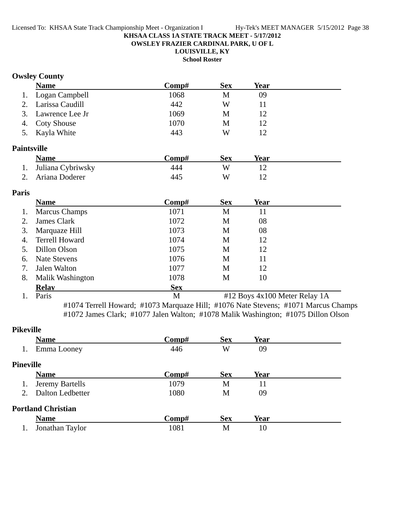**OWSLEY FRAZIER CARDINAL PARK, U OF L**

### **LOUISVILLE, KY**

**School Roster**

### **Owsley County**

|    | <b>Name</b>        | Comp# | <b>Sex</b> | Year |  |
|----|--------------------|-------|------------|------|--|
|    | 1. Logan Campbell  | 1068  | М          | 09   |  |
| 2. | Larissa Caudill    | 442   | W          |      |  |
|    | 3. Lawrence Lee Jr | 1069  | М          | 12   |  |
|    | 4. Coty Shouse     | 1070  | М          | 12   |  |
|    | 5. Kayla White     | 443   | W          | 12   |  |

### **Paintsville**

| <b>Name</b>          | <b>Comp#</b> | Sex | Year |  |
|----------------------|--------------|-----|------|--|
| 1. Juliana Cybriwsky | 444          | W   |      |  |
| 2. Ariana Doderer    | 445          | W   |      |  |

#### **Paris**

|    | <b>Name</b>             | Comp#      | <b>Sex</b>                    | Year |  |
|----|-------------------------|------------|-------------------------------|------|--|
| 1. | <b>Marcus Champs</b>    | 1071       | M                             | 11   |  |
| 2. | James Clark             | 1072       | M                             | 08   |  |
| 3. | Marquaze Hill           | 1073       | М                             | 08   |  |
| 4. | <b>Terrell Howard</b>   | 1074       | М                             | 12   |  |
| 5. | Dillon Olson            | 1075       | М                             | 12   |  |
| 6. | Nate Stevens            | 1076       | М                             | 11   |  |
| 7. | Jalen Walton            | 1077       | М                             | 12   |  |
| 8. | <b>Malik Washington</b> | 1078       | M                             | 10   |  |
|    | <b>Relav</b>            | <b>Sex</b> |                               |      |  |
|    | Paris                   | М          | #12 Boys 4x100 Meter Relay 1A |      |  |

#1074 Terrell Howard; #1073 Marquaze Hill; #1076 Nate Stevens; #1071 Marcus Champs #1072 James Clark; #1077 Jalen Walton; #1078 Malik Washington; #1075 Dillon Olson

### **Pikeville Name Comp# Sex Year** 1. Emma Looney 446 W 09 **Pineville Name Comp# Sex Year** 1. Jeremy Bartells 1079 M 11 2. Dalton Ledbetter 1080 M 09 **Portland Christian Name Comp#** Sex Year 1. Jonathan Taylor 1081 M 10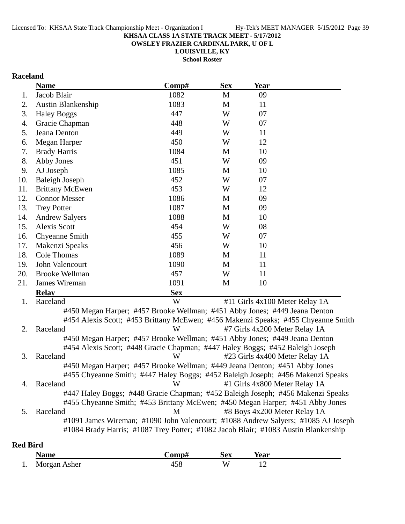**OWSLEY FRAZIER CARDINAL PARK, U OF L**

**LOUISVILLE, KY**

**School Roster**

### **Raceland**

|     | <b>Name</b>                                                                       | Comp#      | <b>Sex</b> | Year                           |  |
|-----|-----------------------------------------------------------------------------------|------------|------------|--------------------------------|--|
| 1.  | Jacob Blair                                                                       | 1082       | M          | 09                             |  |
| 2.  | <b>Austin Blankenship</b>                                                         | 1083       | M          | 11                             |  |
| 3.  | <b>Haley Boggs</b>                                                                | 447        | W          | 07                             |  |
| 4.  | Gracie Chapman                                                                    | 448        | W          | 07                             |  |
| 5.  | Jeana Denton                                                                      | 449        | W          | 11                             |  |
| 6.  | Megan Harper                                                                      | 450        | W          | 12                             |  |
| 7.  | <b>Brady Harris</b>                                                               | 1084       | M          | 10                             |  |
| 8.  | Abby Jones                                                                        | 451        | W          | 09                             |  |
| 9.  | AJ Joseph                                                                         | 1085       | M          | 10                             |  |
| 10. | <b>Baleigh Joseph</b>                                                             | 452        | W          | 07                             |  |
| 11. | <b>Brittany McEwen</b>                                                            | 453        | W          | 12                             |  |
| 12. | <b>Connor Messer</b>                                                              | 1086       | M          | 09                             |  |
| 13. | <b>Trey Potter</b>                                                                | 1087       | M          | 09                             |  |
| 14. | <b>Andrew Salyers</b>                                                             | 1088       | M          | 10                             |  |
| 15. | <b>Alexis Scott</b>                                                               | 454        | W          | 08                             |  |
| 16. | Chyeanne Smith                                                                    | 455        | W          | 07                             |  |
| 17. | Makenzi Speaks                                                                    | 456        | W          | 10                             |  |
| 18. | Cole Thomas                                                                       | 1089       | M          | 11                             |  |
| 19. | John Valencourt                                                                   | 1090       | M          | 11                             |  |
| 20. | <b>Brooke Wellman</b>                                                             | 457        | W          | 11                             |  |
| 21. | James Wireman                                                                     | 1091       | M          | 10                             |  |
|     | <b>Relav</b>                                                                      | <b>Sex</b> |            |                                |  |
| 1.  | Raceland                                                                          | W          |            | #11 Girls 4x100 Meter Relay 1A |  |
|     | #450 Megan Harper; #457 Brooke Wellman; #451 Abby Jones; #449 Jeana Denton        |            |            |                                |  |
|     | #454 Alexis Scott; #453 Brittany McEwen; #456 Makenzi Speaks; #455 Chyeanne Smith |            |            |                                |  |
| 2.  | Raceland                                                                          | W          |            | #7 Girls 4x200 Meter Relay 1A  |  |
|     | #450 Megan Harper; #457 Brooke Wellman; #451 Abby Jones; #449 Jeana Denton        |            |            |                                |  |
|     | #454 Alexis Scott; #448 Gracie Chapman; #447 Haley Boggs; #452 Baleigh Joseph     |            |            |                                |  |
| 3.  | Raceland                                                                          | W          |            | #23 Girls 4x400 Meter Relay 1A |  |
|     | #450 Megan Harper; #457 Brooke Wellman; #449 Jeana Denton; #451 Abby Jones        |            |            |                                |  |
|     | #455 Chyeanne Smith; #447 Haley Boggs; #452 Baleigh Joseph; #456 Makenzi Speaks   |            |            |                                |  |

4. Raceland  $W = W + 1$  Girls 4x800 Meter Relay 1A #447 Haley Boggs; #448 Gracie Chapman; #452 Baleigh Joseph; #456 Makenzi Speaks #455 Chyeanne Smith; #453 Brittany McEwen; #450 Megan Harper; #451 Abby Jones 5. Raceland M #8 Boys 4x200 Meter Relay 1A

#1091 James Wireman; #1090 John Valencourt; #1088 Andrew Salyers; #1085 AJ Joseph #1084 Brady Harris; #1087 Trey Potter; #1082 Jacob Blair; #1083 Austin Blankenship

#### **Red Bird**

|    | Name         | -`omp# | Sex | rear |  |
|----|--------------|--------|-----|------|--|
| 1. | Morgan Asher | t J O  | W   |      |  |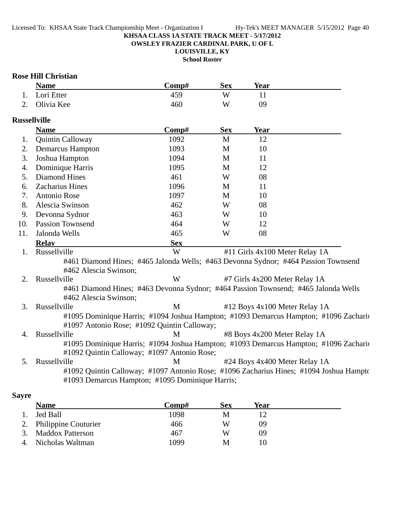**OWSLEY FRAZIER CARDINAL PARK, U OF L**

**LOUISVILLE, KY**

**School Roster**

#### **Rose Hill Christian**

| <b>Name</b>   | Comp# | <b>Sex</b> | Year |  |
|---------------|-------|------------|------|--|
| 1. Lori Etter |       | W          |      |  |
| 2. Olivia Kee | 460   | W          | 09   |  |

### **Russellville**

|                | <b>Name</b>                                 | Comp#      | <b>Sex</b> | <b>Year</b>                                                                         |
|----------------|---------------------------------------------|------------|------------|-------------------------------------------------------------------------------------|
| 1.             | <b>Quintin Calloway</b>                     | 1092       | M          | 12                                                                                  |
| 2.             | <b>Demarcus Hampton</b>                     | 1093       | M          | 10                                                                                  |
| 3.             | Joshua Hampton                              | 1094       | M          | 11                                                                                  |
| 4.             | Dominique Harris                            | 1095       | M          | 12                                                                                  |
| 5.             | Diamond Hines                               | 461        | W          | 08                                                                                  |
| 6.             | Zacharius Hines                             | 1096       | M          | 11                                                                                  |
| 7.             | Antonio Rose                                | 1097       | M          | 10                                                                                  |
| 8.             | Alescia Swinson                             | 462        | W          | 08                                                                                  |
| 9.             | Devonna Sydnor                              | 463        | W          | 10                                                                                  |
| 10.            | <b>Passion Townsend</b>                     | 464        | W          | 12                                                                                  |
| 11.            | Jalonda Wells                               | 465        | W          | 08                                                                                  |
|                | <b>Relay</b>                                | <b>Sex</b> |            |                                                                                     |
| $\mathbf{1}$ . | Russellville                                | W          |            | #11 Girls 4x100 Meter Relay 1A                                                      |
|                |                                             |            |            | #461 Diamond Hines; #465 Jalonda Wells; #463 Devonna Sydnor; #464 Passion Townsend  |
|                | #462 Alescia Swinson;                       |            |            |                                                                                     |
| 2.             | Russellville                                | W          |            | #7 Girls 4x200 Meter Relay 1A                                                       |
|                |                                             |            |            | #461 Diamond Hines; #463 Devonna Sydnor; #464 Passion Townsend; #465 Jalonda Wells  |
|                | #462 Alescia Swinson;                       |            |            |                                                                                     |
| 3.             | Russellville                                | M          |            | #12 Boys 4x100 Meter Relay 1A                                                       |
|                |                                             |            |            | #1095 Dominique Harris; #1094 Joshua Hampton; #1093 Demarcus Hampton; #1096 Zachari |
|                | #1097 Antonio Rose; #1092 Quintin Calloway; |            |            |                                                                                     |
| 4.             | Russellville                                | М          |            | #8 Boys 4x200 Meter Relay 1A                                                        |
|                |                                             |            |            | #1095 Dominique Harris; #1094 Joshua Hampton; #1093 Demarcus Hampton; #1096 Zachari |
|                | #1092 Quintin Calloway; #1097 Antonio Rose; |            |            |                                                                                     |
| 5.             | Russellville                                | M          |            | #24 Boys 4x400 Meter Relay 1A                                                       |

#1092 Quintin Calloway; #1097 Antonio Rose; #1096 Zacharius Hines; #1094 Joshua Hampto #1093 Demarcus Hampton; #1095 Dominique Harris;

### **Sayre**

| <b>Name</b>             | $\bf Comp\#$ | Sex | Year |
|-------------------------|--------------|-----|------|
| Jed Ball                | 1098         | M   |      |
| 2. Philippine Couturier | 466          | W   | 09   |
| 3. Maddox Patterson     | 467          | W   | 09   |
| 4. Nicholas Waltman     | 1099         | М   | 10   |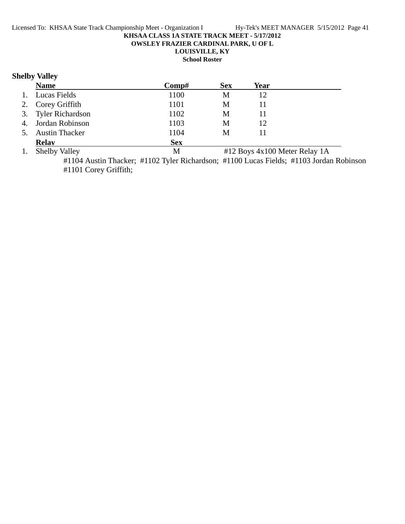**OWSLEY FRAZIER CARDINAL PARK, U OF L**

### **LOUISVILLE, KY**

**School Roster**

### **Shelby Valley**

|                | <b>Name</b>           | Comp#        | <b>Sex</b>                   | Year                              |
|----------------|-----------------------|--------------|------------------------------|-----------------------------------|
| 1.             | Lucas Fields          | 1100         | M                            | 12                                |
|                | 2. Corey Griffith     | 1101         | M                            |                                   |
|                | 3. Tyler Richardson   | 1102         | M                            |                                   |
|                | 4. Jordan Robinson    | 1103         | M                            | 12                                |
| 5.             | <b>Austin Thacker</b> | 1104         | М                            |                                   |
|                | <b>Relay</b>          | <b>Sex</b>   |                              |                                   |
| $\blacksquare$ | 011171                | $\mathbf{A}$ | $\mathbf{u}$ 10 $\mathbf{v}$ | $\overline{100M}$ $\overline{11}$ |

1. Shelby Valley **1. Shelby Valley 1.** Shelby Valley

#1104 Austin Thacker; #1102 Tyler Richardson; #1100 Lucas Fields; #1103 Jordan Robinson #1101 Corey Griffith;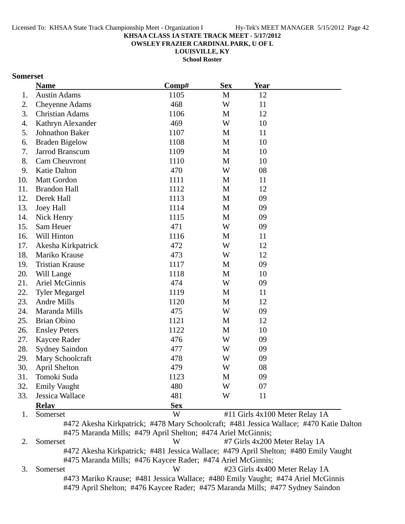**OWSLEY FRAZIER CARDINAL PARK, U OF L**

**LOUISVILLE, KY**

**School Roster**

### **Somerset**

|     | <b>Name</b>            | Comp#      | <b>Sex</b>   | <b>Year</b>                    |  |
|-----|------------------------|------------|--------------|--------------------------------|--|
| 1.  | <b>Austin Adams</b>    | 1105       | M            | 12                             |  |
| 2.  | <b>Cheyenne Adams</b>  | 468        | W            | 11                             |  |
| 3.  | <b>Christian Adams</b> | 1106       | $\mathbf M$  | 12                             |  |
| 4.  | Kathryn Alexander      | 469        | W            | 10                             |  |
| 5.  | Johnathon Baker        | 1107       | $\mathbf M$  | 11                             |  |
| 6.  | <b>Braden Bigelow</b>  | 1108       | $\mathbf M$  | 10                             |  |
| 7.  | Jarrod Branscum        | 1109       | $\mathbf M$  | 10                             |  |
| 8.  | Cam Cheuvront          | 1110       | M            | 10                             |  |
| 9.  | <b>Katie Dalton</b>    | 470        | W            | 08                             |  |
| 10. | <b>Matt Gordon</b>     | 1111       | $\mathbf M$  | 11                             |  |
| 11. | <b>Brandon Hall</b>    | 1112       | $\mathbf{M}$ | 12                             |  |
| 12. | Derek Hall             | 1113       | $\mathbf{M}$ | 09                             |  |
| 13. | <b>Joey Hall</b>       | 1114       | $\mathbf M$  | 09                             |  |
| 14. | Nick Henry             | 1115       | M            | 09                             |  |
| 15. | Sam Heuer              | 471        | W            | 09                             |  |
| 16. | Will Hinton            | 1116       | M            | 11                             |  |
| 17. | Akesha Kirkpatrick     | 472        | W            | 12                             |  |
| 18. | Mariko Krause          | 473        | W            | 12                             |  |
| 19. | <b>Tristian Krause</b> | 1117       | M            | 09                             |  |
| 20. | Will Lange             | 1118       | M            | 10                             |  |
| 21. | Ariel McGinnis         | 474        | W            | 09                             |  |
| 22. | <b>Tyler Megargel</b>  | 1119       | M            | 11                             |  |
| 23. | <b>Andre Mills</b>     | 1120       | $\mathbf M$  | 12                             |  |
| 24. | Maranda Mills          | 475        | W            | 09                             |  |
| 25. | <b>Brian Obino</b>     | 1121       | M            | 12                             |  |
| 26. | <b>Ensley Peters</b>   | 1122       | $\mathbf M$  | 10                             |  |
| 27. | Kaycee Rader           | 476        | W            | 09                             |  |
| 28. | <b>Sydney Saindon</b>  | 477        | W            | 09                             |  |
| 29. | Mary Schoolcraft       | 478        | W            | 09                             |  |
| 30. | April Shelton          | 479        | W            | 08                             |  |
| 31. | Tomoki Suda            | 1123       | M            | 09                             |  |
| 32. | <b>Emily Vaught</b>    | 480        | W            | 07                             |  |
| 33. | Jessica Wallace        | 481        | W            | 11                             |  |
|     | <b>Relay</b>           | <b>Sex</b> |              |                                |  |
| 1.  | Somerset               | W          |              | #11 Girls 4x100 Meter Relay 1A |  |

#475 Maranda Mills; #479 April Shelton; #474 Ariel McGinnis; 2. Somerset W #7 Girls 4x200 Meter Relay 1A

#472 Akesha Kirkpatrick; #481 Jessica Wallace; #479 April Shelton; #480 Emily Vaught #475 Maranda Mills; #476 Kaycee Rader; #474 Ariel McGinnis;

3. Somerset W #23 Girls 4x400 Meter Relay 1A #473 Mariko Krause; #481 Jessica Wallace; #480 Emily Vaught; #474 Ariel McGinnis #479 April Shelton; #476 Kaycee Rader; #475 Maranda Mills; #477 Sydney Saindon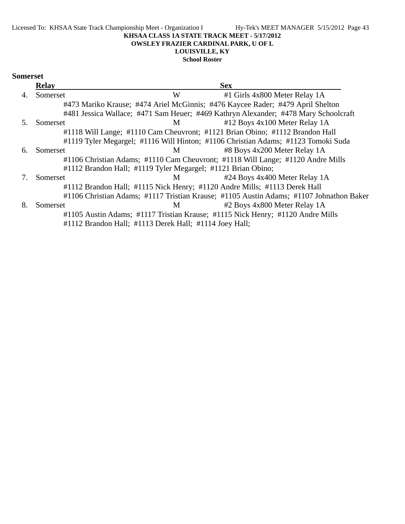#### Licensed To: KHSAA State Track Championship Meet - Organization I Hy-Tek's MEET MANAGER 5/15/2012 Page 43 **KHSAA CLASS 1A STATE TRACK MEET - 5/17/2012 OWSLEY FRAZIER CARDINAL PARK, U OF L LOUISVILLE, KY**

**School Roster**

#### **Somerset**

|    | <b>Relay</b> |                                                              | <b>Sex</b>                                                                              |  |
|----|--------------|--------------------------------------------------------------|-----------------------------------------------------------------------------------------|--|
| 4. | Somerset     | W                                                            | #1 Girls 4x800 Meter Relay 1A                                                           |  |
|    |              |                                                              | #473 Mariko Krause; #474 Ariel McGinnis; #476 Kaycee Rader; #479 April Shelton          |  |
|    |              |                                                              | #481 Jessica Wallace; #471 Sam Heuer; #469 Kathryn Alexander; #478 Mary Schoolcraft     |  |
|    | Somerset     | M                                                            | #12 Boys 4x100 Meter Relay 1A                                                           |  |
|    |              |                                                              | #1118 Will Lange; #1110 Cam Cheuvront; #1121 Brian Obino; #1112 Brandon Hall            |  |
|    |              |                                                              | #1119 Tyler Megargel; #1116 Will Hinton; #1106 Christian Adams; #1123 Tomoki Suda       |  |
| 6. | Somerset     | M                                                            | #8 Boys 4x200 Meter Relay 1A                                                            |  |
|    |              |                                                              | #1106 Christian Adams; #1110 Cam Cheuvront; #1118 Will Lange; #1120 Andre Mills         |  |
|    |              | #1112 Brandon Hall; #1119 Tyler Megargel; #1121 Brian Obino; |                                                                                         |  |
|    | Somerset     | M <sub>1</sub>                                               | #24 Boys 4x400 Meter Relay 1A                                                           |  |
|    |              |                                                              | #1112 Brandon Hall; #1115 Nick Henry; #1120 Andre Mills; #1113 Derek Hall               |  |
|    |              |                                                              | #1106 Christian Adams; #1117 Tristian Krause; #1105 Austin Adams; #1107 Johnathon Baker |  |
| 8. | Somerset     | M                                                            | #2 Boys 4x800 Meter Relay 1A                                                            |  |
|    |              |                                                              | #1105 Austin Adams; #1117 Tristian Krause; #1115 Nick Henry; #1120 Andre Mills          |  |
|    |              | #1112 Brandon Hall; #1113 Derek Hall; #1114 Joey Hall;       |                                                                                         |  |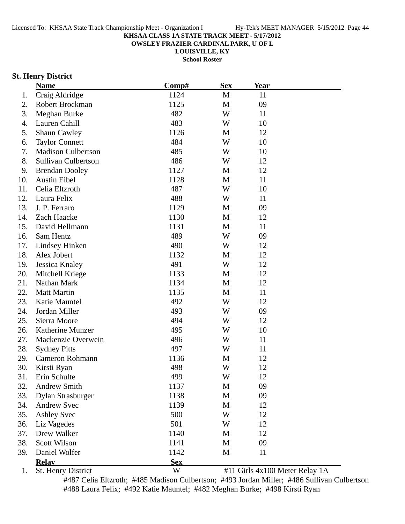**OWSLEY FRAZIER CARDINAL PARK, U OF L**

**LOUISVILLE, KY**

**School Roster**

### **St. Henry District**

|     | <b>Name</b>               | Comp#      | <b>Sex</b>  | <u>Year</u>                    |  |
|-----|---------------------------|------------|-------------|--------------------------------|--|
| 1.  | Craig Aldridge            | 1124       | M           | 11                             |  |
| 2.  | Robert Brockman           | 1125       | M           | 09                             |  |
| 3.  | Meghan Burke              | 482        | W           | 11                             |  |
| 4.  | Lauren Cahill             | 483        | W           | 10                             |  |
| 5.  | <b>Shaun Cawley</b>       | 1126       | $\mathbf M$ | 12                             |  |
| 6.  | <b>Taylor Connett</b>     | 484        | W           | 10                             |  |
| 7.  | <b>Madison Culbertson</b> | 485        | W           | 10                             |  |
| 8.  | Sullivan Culbertson       | 486        | W           | 12                             |  |
| 9.  | <b>Brendan Dooley</b>     | 1127       | M           | 12                             |  |
| 10. | <b>Austin Eibel</b>       | 1128       | M           | 11                             |  |
| 11. | Celia Eltzroth            | 487        | W           | 10                             |  |
| 12. | Laura Felix               | 488        | W           | 11                             |  |
| 13. | J. P. Ferraro             | 1129       | M           | 09                             |  |
| 14. | Zach Haacke               | 1130       | M           | 12                             |  |
| 15. | David Hellmann            | 1131       | M           | 11                             |  |
| 16. | Sam Hentz                 | 489        | W           | 09                             |  |
| 17. | Lindsey Hinken            | 490        | W           | 12                             |  |
| 18. | Alex Jobert               | 1132       | M           | 12                             |  |
| 19. | Jessica Knaley            | 491        | W           | 12                             |  |
| 20. | Mitchell Kriege           | 1133       | M           | 12                             |  |
| 21. | Nathan Mark               | 1134       | M           | 12                             |  |
| 22. | <b>Matt Martin</b>        | 1135       | M           | 11                             |  |
| 23. | Katie Mauntel             | 492        | W           | 12                             |  |
| 24. | Jordan Miller             | 493        | W           | 09                             |  |
| 25. | Sierra Moore              | 494        | W           | 12                             |  |
| 26. | Katherine Munzer          | 495        | W           | 10                             |  |
| 27. | Mackenzie Overwein        | 496        | W           | 11                             |  |
| 28. | <b>Sydney Pitts</b>       | 497        | W           | 11                             |  |
| 29. | Cameron Rohmann           | 1136       | M           | 12                             |  |
| 30. | Kirsti Ryan               | 498        | W           | 12                             |  |
| 31. | Erin Schulte              | 499        | W           | 12                             |  |
| 32. | <b>Andrew Smith</b>       | 1137       | M           | 09                             |  |
| 33. | <b>Dylan Strasburger</b>  | 1138       | M           | 09                             |  |
| 34. | <b>Andrew Svec</b>        | 1139       | M           | 12                             |  |
| 35. | <b>Ashley Svec</b>        | 500        | W           | 12                             |  |
| 36. | Liz Vagedes               | 501        | W           | 12                             |  |
| 37. | Drew Walker               | 1140       | M           | 12                             |  |
| 38. | <b>Scott Wilson</b>       | 1141       | M           | 09                             |  |
| 39. | Daniel Wolfer             | 1142       | M           | 11                             |  |
|     | <b>Relav</b>              | <b>Sex</b> |             |                                |  |
| 1.  | St. Henry District        | W          |             | #11 Girls 4x100 Meter Relay 1A |  |

#487 Celia Eltzroth; #485 Madison Culbertson; #493 Jordan Miller; #486 Sullivan Culbertson #488 Laura Felix; #492 Katie Mauntel; #482 Meghan Burke; #498 Kirsti Ryan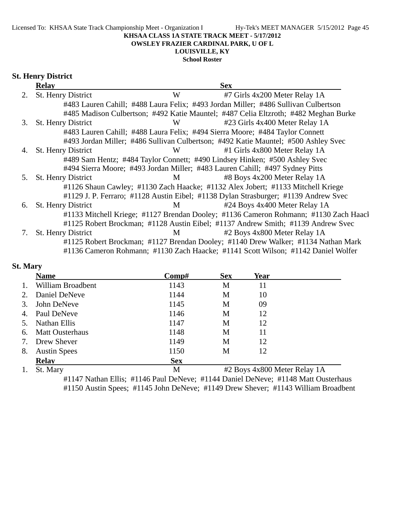#### **OWSLEY FRAZIER CARDINAL PARK, U OF L**

### **LOUISVILLE, KY**

### **School Roster**

#### **St. Henry District**

|    | <b>Relay</b>              |   | <b>Sex</b>                                                                           |
|----|---------------------------|---|--------------------------------------------------------------------------------------|
| 2. | St. Henry District        | W | #7 Girls 4x200 Meter Relay 1A                                                        |
|    |                           |   | #483 Lauren Cahill; #488 Laura Felix; #493 Jordan Miller; #486 Sullivan Culbertson   |
|    |                           |   | #485 Madison Culbertson; #492 Katie Mauntel; #487 Celia Eltzroth; #482 Meghan Burke  |
| 3. | St. Henry District        | W | #23 Girls 4x400 Meter Relay 1A                                                       |
|    |                           |   | #483 Lauren Cahill; #488 Laura Felix; #494 Sierra Moore; #484 Taylor Connett         |
|    |                           |   | #493 Jordan Miller; #486 Sullivan Culbertson; #492 Katie Mauntel; #500 Ashley Svec   |
| 4. | <b>St. Henry District</b> | W | #1 Girls 4x800 Meter Relay 1A                                                        |
|    |                           |   | #489 Sam Hentz; #484 Taylor Connett; #490 Lindsey Hinken; #500 Ashley Svec           |
|    |                           |   | #494 Sierra Moore; #493 Jordan Miller; #483 Lauren Cahill; #497 Sydney Pitts         |
| 5. | St. Henry District        | M | #8 Boys 4x200 Meter Relay 1A                                                         |
|    |                           |   | #1126 Shaun Cawley; #1130 Zach Haacke; #1132 Alex Jobert; #1133 Mitchell Kriege      |
|    |                           |   | #1129 J. P. Ferraro; #1128 Austin Eibel; #1138 Dylan Strasburger; #1139 Andrew Svec  |
| 6. | St. Henry District        | M | #24 Boys 4x400 Meter Relay 1A                                                        |
|    |                           |   | #1133 Mitchell Kriege; #1127 Brendan Dooley; #1136 Cameron Rohmann; #1130 Zach Haacl |
|    |                           |   | #1125 Robert Brockman; #1128 Austin Eibel; #1137 Andrew Smith; #1139 Andrew Svec     |
| 7. | St. Henry District        | M | #2 Boys 4x800 Meter Relay 1A                                                         |
|    |                           |   | #1125 Robert Brockman; #1127 Brendan Dooley; #1140 Drew Walker; #1134 Nathan Mark    |
|    |                           |   | #1136 Cameron Rohmann; #1130 Zach Haacke; #1141 Scott Wilson; #1142 Daniel Wolfer    |

### **St. Mary**

|    | <b>Name</b>            | Comp#      | <b>Sex</b> | Year                         |
|----|------------------------|------------|------------|------------------------------|
|    | William Broadbent      | 1143       | M          | 11                           |
| 2. | Daniel DeNeve          | 1144       | M          | 10                           |
| 3. | John DeNeve            | 1145       | M          | 09                           |
| 4. | Paul DeNeve            | 1146       | M          | 12                           |
| 5. | Nathan Ellis           | 1147       | M          | 12                           |
| 6. | <b>Matt Ousterhaus</b> | 1148       | M          | 11                           |
| 7. | Drew Shever            | 1149       | M          | 12                           |
| 8. | <b>Austin Spees</b>    | 1150       | М          | 12                           |
|    | <b>Relay</b>           | <b>Sex</b> |            |                              |
|    | St. Mary               | M          |            | #2 Boys 4x800 Meter Relay 1A |

#1147 Nathan Ellis; #1146 Paul DeNeve; #1144 Daniel DeNeve; #1148 Matt Ousterhaus #1150 Austin Spees; #1145 John DeNeve; #1149 Drew Shever; #1143 William Broadbent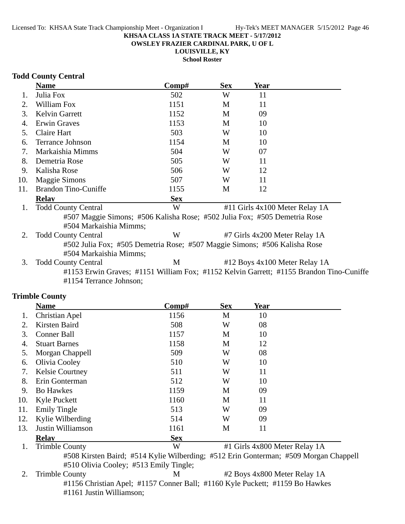**OWSLEY FRAZIER CARDINAL PARK, U OF L**

**LOUISVILLE, KY**

**School Roster**

### **Todd County Central**

|     | <b>Name</b>                                                                             | Comp#      | <b>Sex</b> | Year                           |  |
|-----|-----------------------------------------------------------------------------------------|------------|------------|--------------------------------|--|
|     | Julia Fox                                                                               | 502        | W          | 11                             |  |
| 2.  | William Fox                                                                             | 1151       | M          | 11                             |  |
| 3.  | <b>Kelvin Garrett</b>                                                                   | 1152       | М          | 09                             |  |
| 4.  | Erwin Graves                                                                            | 1153       | M          | 10                             |  |
| 5.  | Claire Hart                                                                             | 503        | W          | 10                             |  |
| 6.  | Terrance Johnson                                                                        | 1154       | M          | 10                             |  |
| 7.  | Markaishia Mimms                                                                        | 504        | W          | 07                             |  |
| 8.  | Demetria Rose                                                                           | 505        | W          | 11                             |  |
| 9.  | Kalisha Rose                                                                            | 506        | W          | 12                             |  |
| 10. | <b>Maggie Simons</b>                                                                    | 507        | W          | 11                             |  |
| 11. | <b>Brandon Tino-Cuniffe</b>                                                             | 1155       | M          | 12                             |  |
|     | <b>Relay</b>                                                                            | <b>Sex</b> |            |                                |  |
| 1.  | <b>Todd County Central</b>                                                              | W          |            | #11 Girls 4x100 Meter Relay 1A |  |
|     | #507 Maggie Simons; #506 Kalisha Rose; #502 Julia Fox; #505 Demetria Rose               |            |            |                                |  |
|     | #504 Markaishia Mimms;                                                                  |            |            |                                |  |
| 2.  | <b>Todd County Central</b>                                                              | W          |            | #7 Girls 4x200 Meter Relay 1A  |  |
|     | #502 Julia Fox; #505 Demetria Rose; #507 Maggie Simons; #506 Kalisha Rose               |            |            |                                |  |
|     | #504 Markaishia Mimms;                                                                  |            |            |                                |  |
| 3.  | <b>Todd County Central</b>                                                              | M          |            | #12 Boys 4x100 Meter Relay 1A  |  |
|     | #1153 Erwin Graves; #1151 William Fox; #1152 Kelvin Garrett; #1155 Brandon Tino-Cuniffe |            |            |                                |  |
|     | #1154 Terrance Johnson;                                                                 |            |            |                                |  |

### **Trimble County**

|     | <b>Name</b>            | Comp#      | <b>Sex</b> | Year                          |  |
|-----|------------------------|------------|------------|-------------------------------|--|
|     | Christian Apel         | 1156       | M          | 10                            |  |
| 2.  | Kirsten Baird          | 508        | W          | 08                            |  |
| 3.  | <b>Conner Ball</b>     | 1157       | M          | 10                            |  |
| 4.  | <b>Stuart Barnes</b>   | 1158       | M          | 12                            |  |
| 5.  | Morgan Chappell        | 509        | W          | 08                            |  |
| 6.  | Olivia Cooley          | 510        | W          | 10                            |  |
| 7.  | <b>Kelsie Courtney</b> | 511        | W          | 11                            |  |
| 8.  | Erin Gonterman         | 512        | W          | 10                            |  |
| 9.  | <b>Bo Hawkes</b>       | 1159       | M          | 09                            |  |
| 10. | <b>Kyle Puckett</b>    | 1160       | M          | 11                            |  |
| 11. | <b>Emily Tingle</b>    | 513        | W          | 09                            |  |
| 12. | Kylie Wilberding       | 514        | W          | 09                            |  |
| 13. | Justin Williamson      | 1161       | M          | 11                            |  |
|     | <b>Relav</b>           | <b>Sex</b> |            |                               |  |
|     | <b>Trimble County</b>  | W          |            | #1 Girls 4x800 Meter Relay 1A |  |

#508 Kirsten Baird; #514 Kylie Wilberding; #512 Erin Gonterman; #509 Morgan Chappell #510 Olivia Cooley; #513 Emily Tingle;

2. Trimble County M #2 Boys 4x800 Meter Relay 1A #1156 Christian Apel; #1157 Conner Ball; #1160 Kyle Puckett; #1159 Bo Hawkes #1161 Justin Williamson;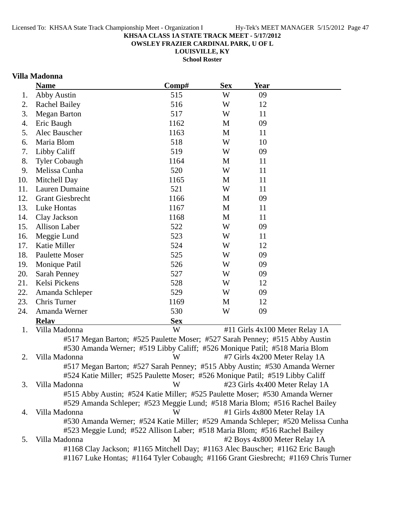**OWSLEY FRAZIER CARDINAL PARK, U OF L**

**LOUISVILLE, KY School Roster**

### **Villa Madonna**

|     | <b>Name</b>                                                                        | Comp#      | <b>Sex</b> | <b>Year</b>                   |                                |
|-----|------------------------------------------------------------------------------------|------------|------------|-------------------------------|--------------------------------|
| 1.  | <b>Abby Austin</b>                                                                 | 515        | W          | 09                            |                                |
| 2.  | <b>Rachel Bailey</b>                                                               | 516        | W          | 12                            |                                |
| 3.  | <b>Megan Barton</b>                                                                | 517        | W          | 11                            |                                |
| 4.  | Eric Baugh                                                                         | 1162       | M          | 09                            |                                |
| 5.  | Alec Bauscher                                                                      | 1163       | M          | 11                            |                                |
| 6.  | Maria Blom                                                                         | 518        | W          | 10                            |                                |
| 7.  | Libby Califf                                                                       | 519        | W          | 09                            |                                |
| 8.  | <b>Tyler Cobaugh</b>                                                               | 1164       | M          | 11                            |                                |
| 9.  | Melissa Cunha                                                                      | 520        | W          | 11                            |                                |
| 10. | Mitchell Day                                                                       | 1165       | M          | 11                            |                                |
| 11. | Lauren Dumaine                                                                     | 521        | W          | 11                            |                                |
| 12. | <b>Grant Giesbrecht</b>                                                            | 1166       | M          | 09                            |                                |
| 13. | Luke Hontas                                                                        | 1167       | M          | 11                            |                                |
| 14. | Clay Jackson                                                                       | 1168       | M          | 11                            |                                |
| 15. | Allison Laber                                                                      | 522        | W          | 09                            |                                |
| 16. | Meggie Lund                                                                        | 523        | W          | 11                            |                                |
| 17. | Katie Miller                                                                       | 524        | W          | 12                            |                                |
| 18. | <b>Paulette Moser</b>                                                              | 525        | W          | 09                            |                                |
| 19. | Monique Patil                                                                      | 526        | W          | 09                            |                                |
| 20. | Sarah Penney                                                                       | 527        | W          | 09                            |                                |
| 21. | Kelsi Pickens                                                                      | 528        | W          | 12                            |                                |
| 22. | Amanda Schleper                                                                    | 529        | W          | 09                            |                                |
| 23. | Chris Turner                                                                       | 1169       | M          | 12                            |                                |
| 24. | Amanda Werner                                                                      | 530        | W          | 09                            |                                |
|     | <b>Relav</b>                                                                       | <b>Sex</b> |            |                               |                                |
| 1.  | Villa Madonna                                                                      | W          |            |                               | #11 Girls 4x100 Meter Relay 1A |
|     | #517 Megan Barton; #525 Paulette Moser; #527 Sarah Penney; #515 Abby Austin        |            |            |                               |                                |
|     | #530 Amanda Werner; #519 Libby Califf; #526 Monique Patil; #518 Maria Blom         |            |            |                               |                                |
| 2.  | Villa Madonna                                                                      | W          |            | #7 Girls 4x200 Meter Relay 1A |                                |
|     | #517 Megan Barton; #527 Sarah Penney; #515 Abby Austin; #530 Amanda Werner         |            |            |                               |                                |
|     | #524 Katie Miller; #525 Paulette Moser; #526 Monique Patil; #519 Libby Califf      |            |            |                               |                                |
| 3.  | Villa Madonna                                                                      | W          |            |                               | #23 Girls 4x400 Meter Relay 1A |
|     | #515 Abby Austin; #524 Katie Miller; #525 Paulette Moser; #530 Amanda Werner       |            |            |                               |                                |
|     | #529 Amanda Schleper; #523 Meggie Lund; #518 Maria Blom; #516 Rachel Bailey        |            |            |                               |                                |
| 4.  | Villa Madonna                                                                      | W          |            | #1 Girls 4x800 Meter Relay 1A |                                |
|     | #530 Amanda Werner; #524 Katie Miller; #529 Amanda Schleper; #520 Melissa Cunha    |            |            |                               |                                |
|     | #523 Meggie Lund; #522 Allison Laber; #518 Maria Blom; #516 Rachel Bailey          |            |            |                               |                                |
| 5.  | Villa Madonna                                                                      | M          |            | #2 Boys 4x800 Meter Relay 1A  |                                |
|     | #1168 Clay Jackson; #1165 Mitchell Day; #1163 Alec Bauscher; #1162 Eric Baugh      |            |            |                               |                                |
|     | #1167 Luke Hontas; #1164 Tyler Cobaugh; #1166 Grant Giesbrecht; #1169 Chris Turner |            |            |                               |                                |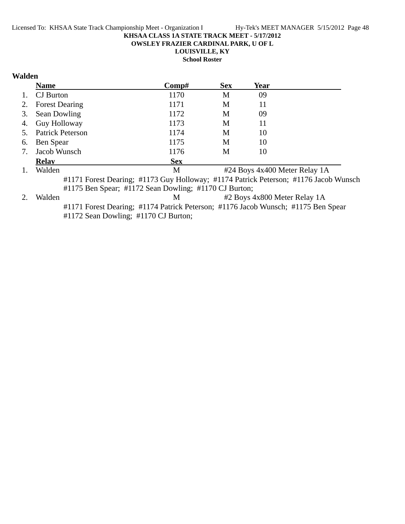**OWSLEY FRAZIER CARDINAL PARK, U OF L**

**LOUISVILLE, KY**

**School Roster**

### **Walden**

|    | <b>Name</b>             | Comp#                                                 | <b>Sex</b> | <b>Year</b> |                                                                                      |
|----|-------------------------|-------------------------------------------------------|------------|-------------|--------------------------------------------------------------------------------------|
|    | CJ Burton               | 1170                                                  | М          | 09          |                                                                                      |
| 2. | <b>Forest Dearing</b>   | 1171                                                  | M          | 11          |                                                                                      |
| 3. | Sean Dowling            | 1172                                                  | М          | 09          |                                                                                      |
| 4. | Guy Holloway            | 1173                                                  | М          | 11          |                                                                                      |
| 5. | <b>Patrick Peterson</b> | 1174                                                  | М          | 10          |                                                                                      |
| 6. | Ben Spear               | 1175                                                  | M          | 10          |                                                                                      |
| 7. | Jacob Wunsch            | 1176                                                  | М          | 10          |                                                                                      |
|    | <b>Relav</b>            | <b>Sex</b>                                            |            |             |                                                                                      |
| 1. | Walden                  | M                                                     |            |             | #24 Boys 4x400 Meter Relay 1A                                                        |
|    |                         |                                                       |            |             | #1171 Forest Dearing; #1173 Guy Holloway; #1174 Patrick Peterson; #1176 Jacob Wunsch |
|    |                         | #1175 Ben Spear; #1172 Sean Dowling; #1170 CJ Burton; |            |             |                                                                                      |
|    |                         |                                                       |            |             |                                                                                      |

2. Walden M #2 Boys 4x800 Meter Relay 1A #1171 Forest Dearing; #1174 Patrick Peterson; #1176 Jacob Wunsch; #1175 Ben Spear #1172 Sean Dowling; #1170 CJ Burton;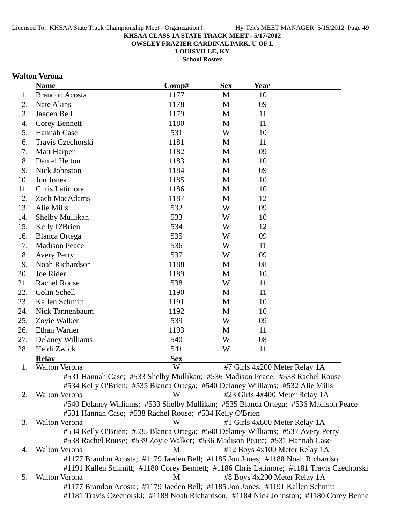**OWSLEY FRAZIER CARDINAL PARK, U OF L**

**LOUISVILLE, KY School Roster**

### **Walton Verona**

|     | <b>Name</b>                                                                         | Comp#      | <b>Sex</b>   | Year |                                                                                          |
|-----|-------------------------------------------------------------------------------------|------------|--------------|------|------------------------------------------------------------------------------------------|
| 1.  | <b>Brandon Acosta</b>                                                               | 1177       | M            | 10   |                                                                                          |
| 2.  | Nate Akins                                                                          | 1178       | $\mathbf{M}$ | 09   |                                                                                          |
| 3.  | Jaeden Bell                                                                         | 1179       | M            | 11   |                                                                                          |
| 4.  | <b>Corey Bennett</b>                                                                | 1180       | M            | 11   |                                                                                          |
| 5.  | Hannah Case                                                                         | 531        | W            | 10   |                                                                                          |
| 6.  | Travis Czechorski                                                                   | 1181       | M            | 11   |                                                                                          |
| 7.  | Matt Harper                                                                         | 1182       | M            | 09   |                                                                                          |
| 8.  | Daniel Helton                                                                       | 1183       | M            | 10   |                                                                                          |
| 9.  | Nick Johnston                                                                       | 1184       | M            | 09   |                                                                                          |
| 10. | Jon Jones                                                                           | 1185       | M            | 10   |                                                                                          |
| 11. | <b>Chris Latimore</b>                                                               | 1186       | M            | 10   |                                                                                          |
| 12. | Zach MacAdams                                                                       | 1187       | M            | 12   |                                                                                          |
| 13. | Alie Mills                                                                          | 532        | W            | 09   |                                                                                          |
| 14. | Shelby Mullikan                                                                     | 533        | W            | 10   |                                                                                          |
| 15. | Kelly O'Brien                                                                       | 534        | W            | 12   |                                                                                          |
| 16. | <b>Blanca Ortega</b>                                                                | 535        | W            | 09   |                                                                                          |
| 17. | <b>Madison Peace</b>                                                                | 536        | W            | 11   |                                                                                          |
| 18. | <b>Avery Perry</b>                                                                  | 537        | W            | 09   |                                                                                          |
| 19. | Noah Richardson                                                                     | 1188       | M            | 08   |                                                                                          |
| 20. | Joe Rider                                                                           | 1189       | M            | 10   |                                                                                          |
| 21. | <b>Rachel Rouse</b>                                                                 | 538        | W            | 11   |                                                                                          |
| 22. | Colin Schell                                                                        | 1190       | M            | 11   |                                                                                          |
| 23. | Kallen Schmitt                                                                      | 1191       | M            | 10   |                                                                                          |
| 24. | Nick Tannenbaum                                                                     | 1192       | M            | 10   |                                                                                          |
| 25. | Zoyie Walker                                                                        | 539        | W            | 09   |                                                                                          |
| 26. | Ethan Warner                                                                        | 1193       | M            | 11   |                                                                                          |
| 27. | Delaney Williams                                                                    | 540        | W            | 08   |                                                                                          |
| 28. | Heidi Zwick                                                                         | 541        | W            | 11   |                                                                                          |
|     | <b>Relav</b>                                                                        | <b>Sex</b> |              |      |                                                                                          |
| 1.  | <b>Walton Verona</b>                                                                | W          |              |      | #7 Girls 4x200 Meter Relay 1A                                                            |
|     | #531 Hannah Case; #533 Shelby Mullikan; #536 Madison Peace; #538 Rachel Rouse       |            |              |      |                                                                                          |
|     | #534 Kelly O'Brien; #535 Blanca Ortega; #540 Delaney Williams; #532 Alie Mills      |            |              |      |                                                                                          |
| 2.  | Walton Verona                                                                       | W          |              |      | #23 Girls 4x400 Meter Relay 1A                                                           |
|     | #540 Delaney Williams; #533 Shelby Mullikan; #535 Blanca Ortega; #536 Madison Peace |            |              |      |                                                                                          |
|     | #531 Hannah Case; #538 Rachel Rouse; #534 Kelly O'Brien                             |            |              |      |                                                                                          |
| 3.  | <b>Walton Verona</b>                                                                | W          |              |      | #1 Girls 4x800 Meter Relay 1A                                                            |
|     | #534 Kelly O'Brien; #535 Blanca Ortega; #540 Delaney Williams; #537 Avery Perry     |            |              |      |                                                                                          |
|     | #538 Rachel Rouse; #539 Zoyie Walker; #536 Madison Peace; #531 Hannah Case          |            |              |      |                                                                                          |
| 4.  | Walton Verona                                                                       | M          |              |      | #12 Boys 4x100 Meter Relay 1A                                                            |
|     | #1177 Brandon Acosta; #1179 Jaeden Bell; #1185 Jon Jones; #1188 Noah Richardson     |            |              |      |                                                                                          |
|     |                                                                                     |            |              |      | #1191 Kallen Schmitt; #1180 Corey Bennett; #1186 Chris Latimore; #1181 Travis Czechorski |
| 5.  | Walton Verona                                                                       | M          |              |      | #8 Boys 4x200 Meter Relay 1A                                                             |
|     | #1177 Brandon Acosta; #1179 Jaeden Bell; #1185 Jon Jones; #1191 Kallen Schmitt      |            |              |      |                                                                                          |
|     |                                                                                     |            |              |      | #1181 Travis Czechorski; #1188 Noah Richardson; #1184 Nick Johnston; #1180 Corey Benne   |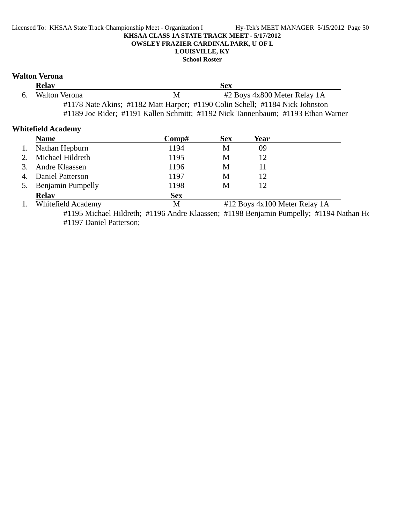#### Licensed To: KHSAA State Track Championship Meet - Organization I Hy-Tek's MEET MANAGER 5/15/2012 Page 50 **KHSAA CLASS 1A STATE TRACK MEET - 5/17/2012 OWSLEY FRAZIER CARDINAL PARK, U OF L LOUISVILLE, KY**

**School Roster**

#### **Walton Verona**

|    | <b>Relay</b>  |   | <b>Sex</b>                                                                       |  |
|----|---------------|---|----------------------------------------------------------------------------------|--|
| 6. | Walton Verona | M | #2 Boys 4x800 Meter Relay 1A                                                     |  |
|    |               |   | #1178 Nate Akins; #1182 Matt Harper; #1190 Colin Schell; #1184 Nick Johnston     |  |
|    |               |   | #1189 Joe Rider; #1191 Kallen Schmitt; #1192 Nick Tannenbaum; #1193 Ethan Warner |  |

### **Whitefield Academy**

| <b>Name</b>                                                                                                                                                                                                                                                                                                                        | Comp#      | <b>Sex</b> | Year                                                                                               |  |
|------------------------------------------------------------------------------------------------------------------------------------------------------------------------------------------------------------------------------------------------------------------------------------------------------------------------------------|------------|------------|----------------------------------------------------------------------------------------------------|--|
| Nathan Hepburn                                                                                                                                                                                                                                                                                                                     | 1194       | М          | 09                                                                                                 |  |
| Michael Hildreth                                                                                                                                                                                                                                                                                                                   | 1195       | М          | 12                                                                                                 |  |
| Andre Klaassen                                                                                                                                                                                                                                                                                                                     | 1196       | М          |                                                                                                    |  |
| Daniel Patterson                                                                                                                                                                                                                                                                                                                   | 1197       | М          | 12                                                                                                 |  |
| <b>Benjamin Pumpelly</b>                                                                                                                                                                                                                                                                                                           | 1198       | М          | 12                                                                                                 |  |
| <b>Relay</b>                                                                                                                                                                                                                                                                                                                       | <b>Sex</b> |            |                                                                                                    |  |
| $\mathbf{W}$ $\mathbf{U}$ $\mathbf{U}$ $\mathbf{U}$ $\mathbf{U}$ $\mathbf{U}$ $\mathbf{U}$ $\mathbf{U}$ $\mathbf{U}$ $\mathbf{U}$ $\mathbf{V}$ $\mathbf{U}$ $\mathbf{U}$ $\mathbf{U}$ $\mathbf{U}$ $\mathbf{U}$ $\mathbf{U}$ $\mathbf{U}$ $\mathbf{U}$ $\mathbf{U}$ $\mathbf{U}$ $\mathbf{U}$ $\mathbf{U}$ $\mathbf{U}$ $\mathbf{$ | <b>N</b>   |            | $\text{H10 D}$ = $\text{H}$ = 100 M $\text{H}$ = $\text{H}$ = $\text{H}$ = $\text{H}$ + $\text{H}$ |  |

1. Whitefield Academy M #12 Boys 4x100 Meter Relay 1A #1195 Michael Hildreth; #1196 Andre Klaassen; #1198 Benjamin Pumpelly; #1194 Nathan He #1197 Daniel Patterson;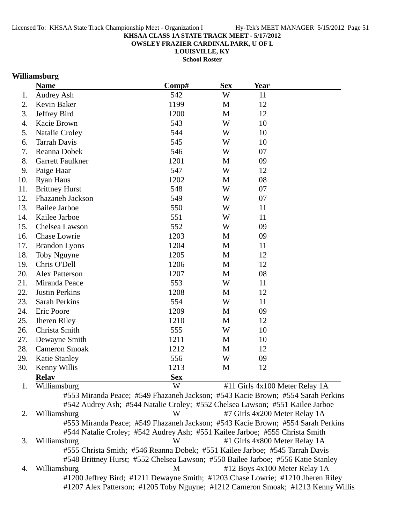**OWSLEY FRAZIER CARDINAL PARK, U OF L**

**LOUISVILLE, KY**

**School Roster**

### **Williamsburg**

|     | <b>Name</b>             | Comp#                                                                           | <b>Sex</b> | <b>Year</b> |                                |
|-----|-------------------------|---------------------------------------------------------------------------------|------------|-------------|--------------------------------|
| 1.  | Audrey Ash              | 542                                                                             | W          | 11          |                                |
| 2.  | Kevin Baker             | 1199                                                                            | M          | 12          |                                |
| 3.  | Jeffrey Bird            | 1200                                                                            | M          | 12          |                                |
| 4.  | Kacie Brown             | 543                                                                             | W          | 10          |                                |
| 5.  | <b>Natalie Croley</b>   | 544                                                                             | W          | 10          |                                |
| 6.  | <b>Tarrah Davis</b>     | 545                                                                             | W          | 10          |                                |
| 7.  | Reanna Dobek            | 546                                                                             | W          | 07          |                                |
| 8.  | <b>Garrett Faulkner</b> | 1201                                                                            | M          | 09          |                                |
| 9.  | Paige Haar              | 547                                                                             | W          | 12          |                                |
| 10. | <b>Ryan Haus</b>        | 1202                                                                            | M          | 08          |                                |
| 11. | <b>Brittney Hurst</b>   | 548                                                                             | W          | 07          |                                |
| 12. | Fhazaneh Jackson        | 549                                                                             | W          | 07          |                                |
| 13. | <b>Bailee Jarboe</b>    | 550                                                                             | W          | 11          |                                |
| 14. | Kailee Jarboe           | 551                                                                             | W          | 11          |                                |
| 15. | Chelsea Lawson          | 552                                                                             | W          | 09          |                                |
| 16. | Chase Lowrie            | 1203                                                                            | M          | 09          |                                |
| 17. | <b>Brandon Lyons</b>    | 1204                                                                            | M          | 11          |                                |
| 18. | Toby Nguyne             | 1205                                                                            | M          | 12          |                                |
| 19. | Chris O'Dell            | 1206                                                                            | M          | 12          |                                |
| 20. | <b>Alex Patterson</b>   | 1207                                                                            | M          | 08          |                                |
| 21. | Miranda Peace           | 553                                                                             | W          | 11          |                                |
| 22. | <b>Justin Perkins</b>   | 1208                                                                            | M          | 12          |                                |
| 23. | <b>Sarah Perkins</b>    | 554                                                                             | W          | 11          |                                |
| 24. | Eric Poore              | 1209                                                                            | M          | 09          |                                |
| 25. | Jheren Riley            | 1210                                                                            | M          | 12          |                                |
| 26. | Christa Smith           | 555                                                                             | W          | 10          |                                |
| 27. | Dewayne Smith           | 1211                                                                            | M          | 10          |                                |
| 28. | Cameron Smoak           | 1212                                                                            | M          | 12          |                                |
| 29. | Katie Stanley           | 556                                                                             | W          | 09          |                                |
| 30. | Kenny Willis            | 1213                                                                            | M          | 12          |                                |
|     | <b>Relav</b>            | <b>Sex</b>                                                                      |            |             |                                |
| 1.  | Williamsburg            | W                                                                               |            |             | #11 Girls 4x100 Meter Relay 1A |
|     |                         | #553 Miranda Peace; #549 Fhazaneh Jackson; #543 Kacie Brown; #554 Sarah Perkins |            |             |                                |
|     |                         | #542 Audrey Ash; #544 Natalie Croley; #552 Chelsea Lawson; #551 Kailee Jarboe   |            |             |                                |
| 2.  | Williamsburg            | W                                                                               |            |             | #7 Girls 4x200 Meter Relay 1A  |
|     |                         | #553 Miranda Peace; #549 Fhazaneh Jackson; #543 Kacie Brown; #554 Sarah Perkins |            |             |                                |
|     |                         | #544 Natalie Croley; #542 Audrey Ash; #551 Kailee Jarboe; #555 Christa Smith    |            |             |                                |
| 3.  | Williamsburg            | W                                                                               |            |             | #1 Girls 4x800 Meter Relay 1A  |

#555 Christa Smith; #546 Reanna Dobek; #551 Kailee Jarboe; #545 Tarrah Davis #548 Brittney Hurst; #552 Chelsea Lawson; #550 Bailee Jarboe; #556 Katie Stanley 4. Williamsburg M #12 Boys 4x100 Meter Relay 1A #1200 Jeffrey Bird; #1211 Dewayne Smith; #1203 Chase Lowrie; #1210 Jheren Riley #1207 Alex Patterson; #1205 Toby Nguyne; #1212 Cameron Smoak; #1213 Kenny Willis